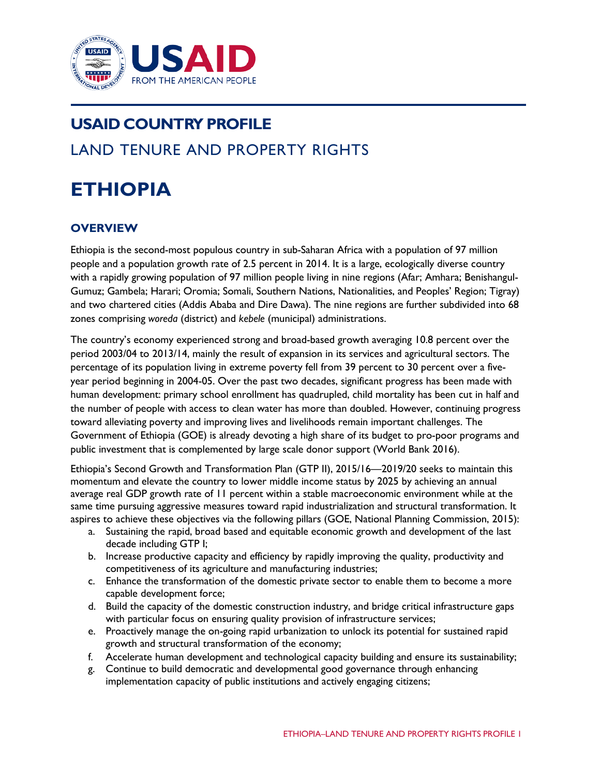

# **USAID COUNTRY PROFILE** LAND TENURE AND PROPERTY RIGHTS

# **ETHIOPIA**

# **OVERVIEW**

Ethiopia is the second-most populous country in sub-Saharan Africa with a population of 97 million people and a population growth rate of 2.5 percent in 2014. It is a large, ecologically diverse country with a rapidly growing population of 97 million people living in nine regions (Afar; Amhara; Benishangul-Gumuz; Gambela; Harari; Oromia; Somali, Southern Nations, Nationalities, and Peoples' Region; Tigray) and two chartered cities (Addis Ababa and Dire Dawa). The nine regions are further subdivided into 68 zones comprising *woreda* (district) and *kebele* (municipal) administrations.

The country's economy experienced strong and broad-based growth averaging 10.8 percent over the period 2003/04 to 2013/14, mainly the result of expansion in its services and agricultural sectors. The percentage of its population living in extreme poverty fell from 39 percent to 30 percent over a fiveyear period beginning in 2004-05. Over the past two decades, significant progress has been made with human development: primary school enrollment has quadrupled, child mortality has been cut in half and the number of people with access to clean water has more than doubled. However, continuing progress toward alleviating poverty and improving lives and livelihoods remain important challenges. The Government of Ethiopia (GOE) is already devoting a high share of its budget to pro-poor programs and public investment that is complemented by large scale donor support (World Bank 2016).

Ethiopia's Second Growth and Transformation Plan (GTP II), 2015/16—2019/20 seeks to maintain this momentum and elevate the country to lower middle income status by 2025 by achieving an annual average real GDP growth rate of 11 percent within a stable macroeconomic environment while at the same time pursuing aggressive measures toward rapid industrialization and structural transformation. It aspires to achieve these objectives via the following pillars (GOE, National Planning Commission, 2015):

- a. Sustaining the rapid, broad based and equitable economic growth and development of the last decade including GTP I;
- b. Increase productive capacity and efficiency by rapidly improving the quality, productivity and competitiveness of its agriculture and manufacturing industries;
- c. Enhance the transformation of the domestic private sector to enable them to become a more capable development force;
- d. Build the capacity of the domestic construction industry, and bridge critical infrastructure gaps with particular focus on ensuring quality provision of infrastructure services;
- e. Proactively manage the on-going rapid urbanization to unlock its potential for sustained rapid growth and structural transformation of the economy;
- f. Accelerate human development and technological capacity building and ensure its sustainability;
- g. Continue to build democratic and developmental good governance through enhancing implementation capacity of public institutions and actively engaging citizens;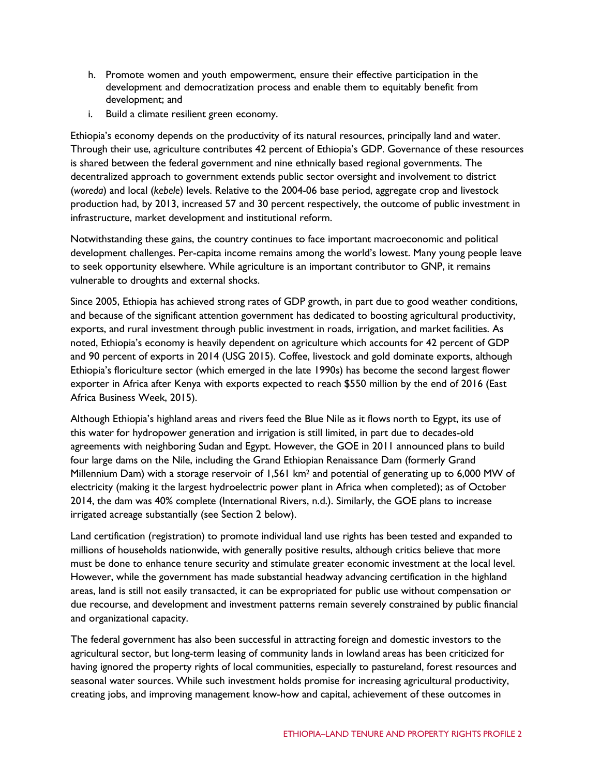- h. Promote women and youth empowerment, ensure their effective participation in the development and democratization process and enable them to equitably benefit from development; and
- i. Build a climate resilient green economy.

Ethiopia's economy depends on the productivity of its natural resources, principally land and water. Through their use, agriculture contributes 42 percent of Ethiopia's GDP. Governance of these resources is shared between the federal government and nine ethnically based regional governments. The decentralized approach to government extends public sector oversight and involvement to district (*woreda*) and local (*kebele*) levels. Relative to the 2004-06 base period, aggregate crop and livestock production had, by 2013, increased 57 and 30 percent respectively, the outcome of public investment in infrastructure, market development and institutional reform.

Notwithstanding these gains, the country continues to face important macroeconomic and political development challenges. Per-capita income remains among the world's lowest. Many young people leave to seek opportunity elsewhere. While agriculture is an important contributor to GNP, it remains vulnerable to droughts and external shocks.

Since 2005, Ethiopia has achieved strong rates of GDP growth, in part due to good weather conditions, and because of the significant attention government has dedicated to boosting agricultural productivity, exports, and rural investment through public investment in roads, irrigation, and market facilities. As noted, Ethiopia's economy is heavily dependent on agriculture which accounts for 42 percent of GDP and 90 percent of exports in 2014 (USG 2015). Coffee, livestock and gold dominate exports, although Ethiopia's floriculture sector (which emerged in the late 1990s) has become the second largest flower exporter in Africa after Kenya with exports expected to reach \$550 million by the end of 2016 (East Africa Business Week, 2015).

Although Ethiopia's highland areas and rivers feed the Blue Nile as it flows north to Egypt, its use of this water for hydropower generation and irrigation is still limited, in part due to decades-old agreements with neighboring Sudan and Egypt. However, the GOE in 2011 announced plans to build four large dams on the Nile, including the Grand Ethiopian Renaissance Dam (formerly Grand Millennium Dam) with a storage reservoir of 1,561 km2 and potential of generating up to 6,000 MW of electricity (making it the largest hydroelectric power plant in Africa when completed); as of October 2014, the dam was 40% complete (International Rivers, n.d.). Similarly, the GOE plans to increase irrigated acreage substantially (see Section 2 below).

Land certification (registration) to promote individual land use rights has been tested and expanded to millions of households nationwide, with generally positive results, although critics believe that more must be done to enhance tenure security and stimulate greater economic investment at the local level. However, while the government has made substantial headway advancing certification in the highland areas, land is still not easily transacted, it can be expropriated for public use without compensation or due recourse, and development and investment patterns remain severely constrained by public financial and organizational capacity.

The federal government has also been successful in attracting foreign and domestic investors to the agricultural sector, but long-term leasing of community lands in lowland areas has been criticized for having ignored the property rights of local communities, especially to pastureland, forest resources and seasonal water sources. While such investment holds promise for increasing agricultural productivity, creating jobs, and improving management know-how and capital, achievement of these outcomes in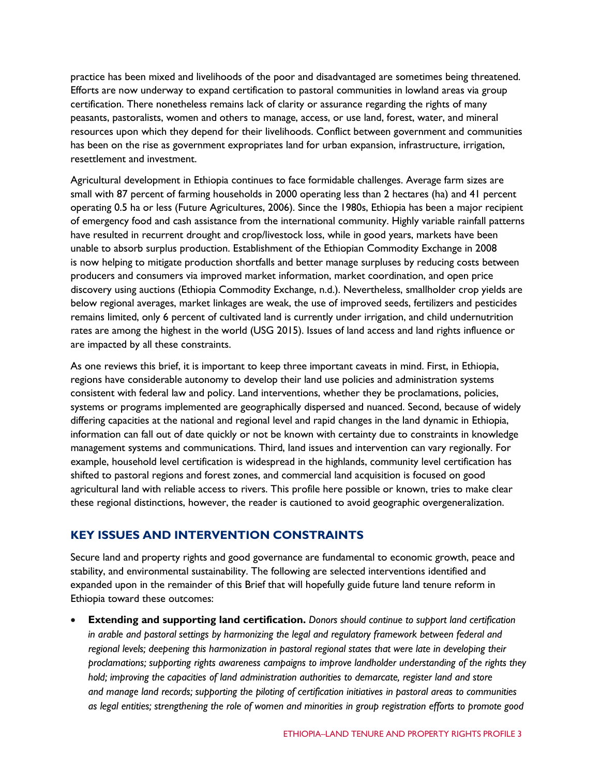practice has been mixed and livelihoods of the poor and disadvantaged are sometimes being threatened. Efforts are now underway to expand certification to pastoral communities in lowland areas via group certification. There nonetheless remains lack of clarity or assurance regarding the rights of many peasants, pastoralists, women and others to manage, access, or use land, forest, water, and mineral resources upon which they depend for their livelihoods. Conflict between government and communities has been on the rise as government expropriates land for urban expansion, infrastructure, irrigation, resettlement and investment.

Agricultural development in Ethiopia continues to face formidable challenges. Average farm sizes are small with 87 percent of farming households in 2000 operating less than 2 hectares (ha) and 41 percent operating 0.5 ha or less (Future Agricultures, 2006). Since the 1980s, Ethiopia has been a major recipient of emergency food and cash assistance from the international community. Highly variable rainfall patterns have resulted in recurrent drought and crop/livestock loss, while in good years, markets have been unable to absorb surplus production. Establishment of the Ethiopian Commodity Exchange in 2008 is now helping to mitigate production shortfalls and better manage surpluses by reducing costs between producers and consumers via improved market information, market coordination, and open price discovery using auctions (Ethiopia Commodity Exchange, n.d.). Nevertheless, smallholder crop yields are below regional averages, market linkages are weak, the use of improved seeds, fertilizers and pesticides remains limited, only 6 percent of cultivated land is currently under irrigation, and child undernutrition rates are among the highest in the world (USG 2015). Issues of land access and land rights influence or are impacted by all these constraints.

As one reviews this brief, it is important to keep three important caveats in mind. First, in Ethiopia, regions have considerable autonomy to develop their land use policies and administration systems consistent with federal law and policy. Land interventions, whether they be proclamations, policies, systems or programs implemented are geographically dispersed and nuanced. Second, because of widely differing capacities at the national and regional level and rapid changes in the land dynamic in Ethiopia, information can fall out of date quickly or not be known with certainty due to constraints in knowledge management systems and communications. Third, land issues and intervention can vary regionally. For example, household level certification is widespread in the highlands, community level certification has shifted to pastoral regions and forest zones, and commercial land acquisition is focused on good agricultural land with reliable access to rivers. This profile here possible or known, tries to make clear these regional distinctions, however, the reader is cautioned to avoid geographic overgeneralization.

# **KEY ISSUES AND INTERVENTION CONSTRAINTS**

Secure land and property rights and good governance are fundamental to economic growth, peace and stability, and environmental sustainability. The following are selected interventions identified and expanded upon in the remainder of this Brief that will hopefully guide future land tenure reform in Ethiopia toward these outcomes:

• **Extending and supporting land certification.** *Donors should continue to support land certification in arable and pastoral settings by harmonizing the legal and regulatory framework between federal and regional levels; deepening this harmonization in pastoral regional states that were late in developing their proclamations; supporting rights awareness campaigns to improve landholder understanding of the rights they hold; improving the capacities of land administration authorities to demarcate, register land and store and manage land records; supporting the piloting of certification initiatives in pastoral areas to communities as legal entities; strengthening the role of women and minorities in group registration efforts to promote good*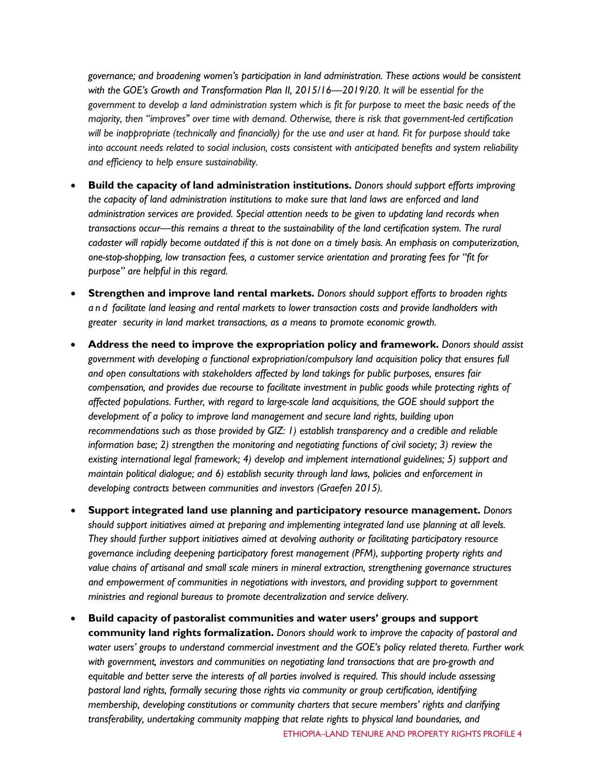*governance; and broadening women's participation in land administration. These actions would be consistent with the GOE's Growth and Transformation Plan II, 2015/16—2019/20. It will be essential for the government to develop a land administration system which is fit for purpose to meet the basic needs of the majority, then "improves" over time with demand. Otherwise, there is risk that government-led certification will be inappropriate (technically and financially) for the use and user at hand. Fit for purpose should take into account needs related to social inclusion, costs consistent with anticipated benefits and system reliability and efficiency to help ensure sustainability.*

- **Build the capacity of land administration institutions.** *Donors should support efforts improving the capacity of land administration institutions to make sure that land laws are enforced and land administration services are provided. Special attention needs to be given to updating land records when transactions occur—this remains a threat to the sustainability of the land certification system. The rural cadaster will rapidly become outdated if this is not done on a timely basis. An emphasis on computerization, one-stop-shopping, low transaction fees, a customer service orientation and prorating fees for "fit for purpose" are helpful in this regard.*
- **Strengthen and improve land rental markets.** *Donors should support efforts to broaden rights and facilitate land leasing and rental markets to lower transaction costs and provide landholders with greater security in land market transactions, as a means to promote economic growth.*
- **Address the need to improve the expropriation policy and framework.** *Donors should assist government with developing a functional expropriation/compulsory land acquisition policy that ensures full and open consultations with stakeholders affected by land takings for public purposes, ensures fair compensation, and provides due recourse to facilitate investment in public goods while protecting rights of affected populations. Further, with regard to large-scale land acquisitions, the GOE should support the development of a policy to improve land management and secure land rights, building upon recommendations such as those provided by GIZ: 1) establish transparency and a credible and reliable information base; 2) strengthen the monitoring and negotiating functions of civil society; 3) review the existing international legal framework; 4) develop and implement international guidelines; 5) support and maintain political dialogue; and 6) establish security through land laws, policies and enforcement in developing contracts between communities and investors (Graefen 2015).*
- **Support integrated land use planning and participatory resource management.** *Donors should support initiatives aimed at preparing and implementing integrated land use planning at all levels. They should further support initiatives aimed at devolving authority or facilitating participatory resource governance including deepening participatory forest management (PFM), supporting property rights and value chains of artisanal and small scale miners in mineral extraction, strengthening governance structures and empowerment of communities in negotiations with investors, and providing support to government ministries and regional bureaus to promote decentralization and service delivery.*
- **Build capacity of pastoralist communities and water users' groups and support community land rights formalization.** *Donors should work to improve the capacity of pastoral and water users' groups to understand commercial investment and the GOE's policy related thereto. Further work with government, investors and communities on negotiating land transactions that are pro-growth and equitable and better serve the interests of all parties involved is required. This should include assessing pastoral land rights, formally securing those rights via community or group certification, identifying membership, developing constitutions or community charters that secure members' rights and clarifying transferability, undertaking community mapping that relate rights to physical land boundaries, and*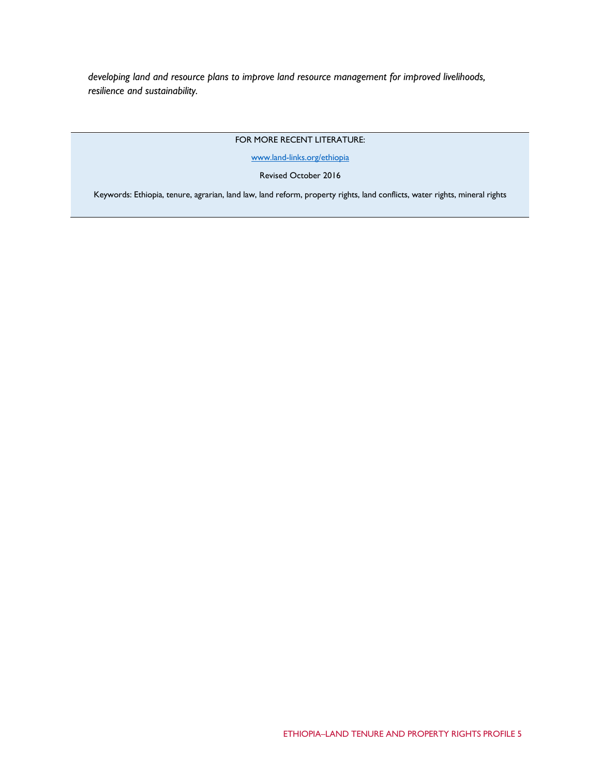*developing land and resource plans to improve land resource management for improved livelihoods, resilience and sustainability.*

## FOR MORE RECENT LITERATURE:

[www.land-links.org/ethiopia](http://www.land-links.org/ethiopia)

## Revised October 2016

Keywords: Ethiopia, tenure, agrarian, land law, land reform, property rights, land conflicts, water rights, mineral rights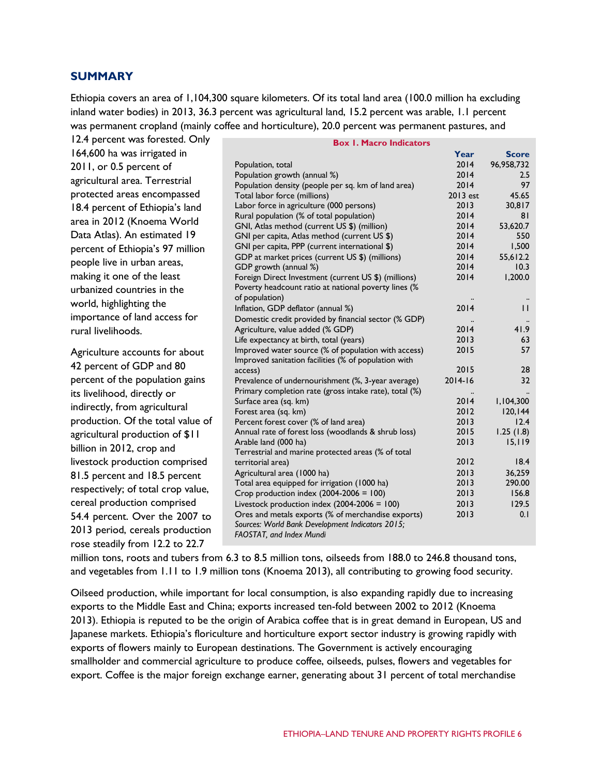## **SUMMARY**

Ethiopia covers an area of 1,104,300 square kilometers. Of its total land area (100.0 million ha excluding inland water bodies) in 2013, 36.3 percent was agricultural land, 15.2 percent was arable, 1.1 percent was permanent cropland (mainly coffee and horticulture), 20.0 percent was permanent pastures, and

| 12.4 percent was forested. Only    | <b>Box 1. Macro Indicators</b>                                                          |                   |                |
|------------------------------------|-----------------------------------------------------------------------------------------|-------------------|----------------|
| 164,600 ha was irrigated in        |                                                                                         | Year              | <b>Score</b>   |
| 2011, or 0.5 percent of            | Population, total                                                                       | 2014              | 96,958,732     |
| agricultural area. Terrestrial     | Population growth (annual %)                                                            | 2014              | 2.5            |
|                                    | Population density (people per sq. km of land area)                                     | 2014              | 97             |
| protected areas encompassed        | Total labor force (millions)                                                            | 2013 est          | 45.65          |
| 18.4 percent of Ethiopia's land    | Labor force in agriculture (000 persons)                                                | 2013              | 30,817         |
| area in 2012 (Knoema World         | Rural population (% of total population)<br>GNI, Atlas method (current US \$) (million) | 2014<br>2014      | 81<br>53,620.7 |
| Data Atlas). An estimated 19       | GNI per capita, Atlas method (current US \$)                                            | 2014              | 550            |
| percent of Ethiopia's 97 million   | GNI per capita, PPP (current international \$)                                          | 2014              | 1,500          |
|                                    | GDP at market prices (current US \$) (millions)                                         | 2014              | 55,612.2       |
| people live in urban areas,        | GDP growth (annual %)                                                                   | 2014              | 10.3           |
| making it one of the least         | Foreign Direct Investment (current US \$) (millions)                                    | 2014              | 1,200.0        |
| urbanized countries in the         | Poverty headcount ratio at national poverty lines (%                                    |                   |                |
| world, highlighting the            | of population)<br>Inflation, GDP deflator (annual %)                                    | $\ddotsc$<br>2014 | $\mathbf{H}$   |
| importance of land access for      | Domestic credit provided by financial sector (% GDP)                                    |                   |                |
| rural livelihoods.                 | Agriculture, value added (% GDP)                                                        | 2014              | 41.9           |
|                                    | Life expectancy at birth, total (years)                                                 | 2013              | 63             |
| Agriculture accounts for about     | Improved water source (% of population with access)                                     | 2015              | 57             |
| 42 percent of GDP and 80           | Improved sanitation facilities (% of population with                                    |                   |                |
|                                    | access)                                                                                 | 2015              | 28             |
| percent of the population gains    | Prevalence of undernourishment (%, 3-year average)                                      | $2014 - 16$       | 32             |
| its livelihood, directly or        | Primary completion rate (gross intake rate), total (%)<br>Surface area (sq. km)         | $\ddotsc$<br>2014 | 1,104,300      |
| indirectly, from agricultural      | Forest area (sq. km)                                                                    | 2012              | 120, 144       |
| production. Of the total value of  | Percent forest cover (% of land area)                                                   | 2013              | 12.4           |
| agricultural production of \$11    | Annual rate of forest loss (woodlands & shrub loss)                                     | 2015              | 1.25(1.8)      |
| billion in 2012, crop and          | Arable land (000 ha)                                                                    | 2013              | 15, 119        |
|                                    | Terrestrial and marine protected areas (% of total                                      | 2012              | 18.4           |
| livestock production comprised     | territorial area)<br>Agricultural area (1000 ha)                                        | 2013              | 36,259         |
| 81.5 percent and 18.5 percent      | Total area equipped for irrigation (1000 ha)                                            | 2013              | 290.00         |
| respectively; of total crop value, | Crop production index $(2004-2006 = 100)$                                               | 2013              | 156.8          |
| cereal production comprised        | Livestock production index $(2004-2006 = 100)$                                          | 2013              | 129.5          |
| 54.4 percent. Over the 2007 to     | Ores and metals exports (% of merchandise exports)                                      | 2013              | 0.1            |
| 2013 period, cereals production    | Sources: World Bank Development Indicators 2015;                                        |                   |                |
| rose steadily from 12.2 to 22.7    | FAOSTAT, and Index Mundi                                                                |                   |                |
|                                    |                                                                                         |                   |                |

million tons, roots and tubers from 6.3 to 8.5 million tons, oilseeds from 188.0 to 246.8 thousand tons, and vegetables from 1.11 to 1.9 million tons (Knoema 2013), all contributing to growing food security.

Oilseed production, while important for local consumption, is also expanding rapidly due to increasing exports to the Middle East and China; exports increased ten-fold between 2002 to 2012 (Knoema 2013). Ethiopia is reputed to be the origin of Arabica coffee that is in great demand in European, US and Japanese markets. Ethiopia's floriculture and horticulture export sector industry is growing rapidly with exports of flowers mainly to European destinations. The Government is actively encouraging smallholder and commercial agriculture to produce coffee, oilseeds, pulses, flowers and vegetables for export. Coffee is the major foreign exchange earner, generating about 31 percent of total merchandise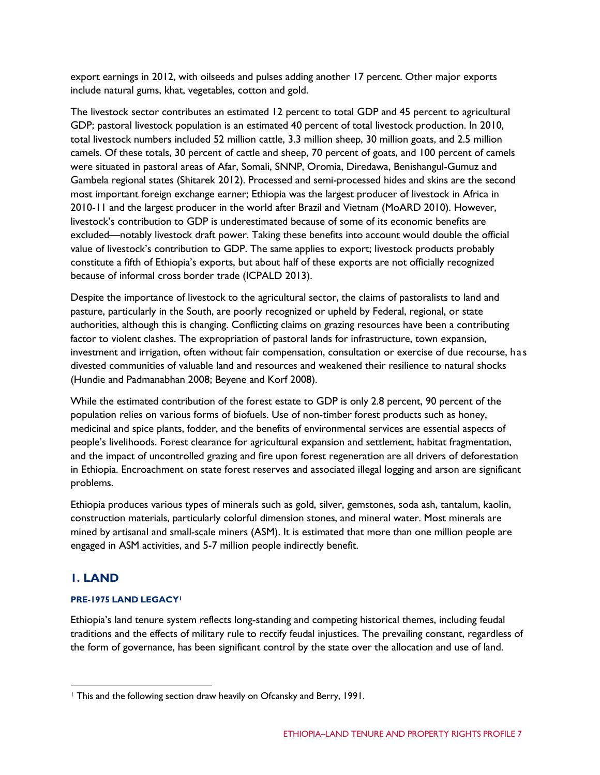export earnings in 2012, with oilseeds and pulses adding another 17 percent. Other major exports include natural gums, khat, vegetables, cotton and gold.

The livestock sector contributes an estimated 12 percent to total GDP and 45 percent to agricultural GDP; pastoral livestock population is an estimated 40 percent of total livestock production. In 2010, total livestock numbers included 52 million cattle, 3.3 million sheep, 30 million goats, and 2.5 million camels. Of these totals, 30 percent of cattle and sheep, 70 percent of goats, and 100 percent of camels were situated in pastoral areas of Afar, Somali, SNNP, Oromia, Diredawa, Benishangul-Gumuz and Gambela regional states (Shitarek 2012). Processed and semi-processed hides and skins are the second most important foreign exchange earner; Ethiopia was the largest producer of livestock in Africa in 2010-11 and the largest producer in the world after Brazil and Vietnam (MoARD 2010). However, livestock's contribution to GDP is underestimated because of some of its economic benefits are excluded—notably livestock draft power. Taking these benefits into account would double the official value of livestock's contribution to GDP. The same applies to export; livestock products probably constitute a fifth of Ethiopia's exports, but about half of these exports are not officially recognized because of informal cross border trade (ICPALD 2013).

Despite the importance of livestock to the agricultural sector, the claims of pastoralists to land and pasture, particularly in the South, are poorly recognized or upheld by Federal, regional, or state authorities, although this is changing. Conflicting claims on grazing resources have been a contributing factor to violent clashes. The expropriation of pastoral lands for infrastructure, town expansion, investment and irrigation, often without fair compensation, consultation or exercise of due recourse, has divested communities of valuable land and resources and weakened their resilience to natural shocks (Hundie and Padmanabhan 2008; Beyene and Korf 2008).

While the estimated contribution of the forest estate to GDP is only 2.8 percent, 90 percent of the population relies on various forms of biofuels. Use of non-timber forest products such as honey, medicinal and spice plants, fodder, and the benefits of environmental services are essential aspects of people's livelihoods. Forest clearance for agricultural expansion and settlement, habitat fragmentation, and the impact of uncontrolled grazing and fire upon forest regeneration are all drivers of deforestation in Ethiopia. Encroachment on state forest reserves and associated illegal logging and arson are significant problems.

Ethiopia produces various types of minerals such as gold, silver, gemstones, soda ash, tantalum, kaolin, construction materials, particularly colorful dimension stones, and mineral water. Most minerals are mined by artisanal and small-scale miners (ASM). It is estimated that more than one million people are engaged in ASM activities, and 5-7 million people indirectly benefit.

# **1. LAND**

## **PRE-1975 LAND LEGAC[Y1](#page-6-0)**

Ethiopia's land tenure system reflects long-standing and competing historical themes, including feudal traditions and the effects of military rule to rectify feudal injustices. The prevailing constant, regardless of the form of governance, has been significant control by the state over the allocation and use of land.

<span id="page-6-0"></span><sup>1</sup> This and the following section draw heavily on Ofcansky and Berry, 1991.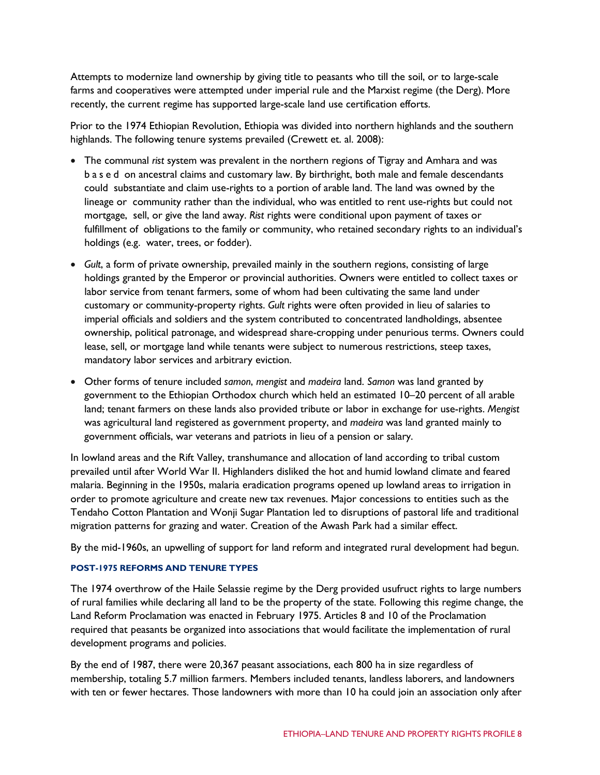Attempts to modernize land ownership by giving title to peasants who till the soil, or to large-scale farms and cooperatives were attempted under imperial rule and the Marxist regime (the Derg). More recently, the current regime has supported large-scale land use certification efforts.

Prior to the 1974 Ethiopian Revolution, Ethiopia was divided into northern highlands and the southern highlands. The following tenure systems prevailed (Crewett et. al. 2008):

- The communal *rist* system was prevalent in the northern regions of Tigray and Amhara and was based on ancestral claims and customary law. By birthright, both male and female descendants could substantiate and claim use-rights to a portion of arable land. The land was owned by the lineage or community rather than the individual, who was entitled to rent use-rights but could not mortgage, sell, or give the land away. *Rist* rights were conditional upon payment of taxes or fulfillment of obligations to the family or community, who retained secondary rights to an individual's holdings (e.g. water, trees, or fodder).
- *Gult*, a form of private ownership, prevailed mainly in the southern regions, consisting of large holdings granted by the Emperor or provincial authorities. Owners were entitled to collect taxes or labor service from tenant farmers, some of whom had been cultivating the same land under customary or community-property rights. *Gult* rights were often provided in lieu of salaries to imperial officials and soldiers and the system contributed to concentrated landholdings, absentee ownership, political patronage, and widespread share-cropping under penurious terms. Owners could lease, sell, or mortgage land while tenants were subject to numerous restrictions, steep taxes, mandatory labor services and arbitrary eviction.
- Other forms of tenure included *samon*, *mengist* and *madeira* land. *Samon* was land granted by government to the Ethiopian Orthodox church which held an estimated 10–20 percent of all arable land; tenant farmers on these lands also provided tribute or labor in exchange for use-rights. *Mengist* was agricultural land registered as government property, and *madeira* was land granted mainly to government officials, war veterans and patriots in lieu of a pension or salary.

In lowland areas and the Rift Valley, transhumance and allocation of land according to tribal custom prevailed until after World War II. Highlanders disliked the hot and humid lowland climate and feared malaria. Beginning in the 1950s, malaria eradication programs opened up lowland areas to irrigation in order to promote agriculture and create new tax revenues. Major concessions to entities such as the Tendaho Cotton Plantation and Wonji Sugar Plantation led to disruptions of pastoral life and traditional migration patterns for grazing and water. Creation of the Awash Park had a similar effect.

By the mid-1960s, an upwelling of support for land reform and integrated rural development had begun.

## **POST-1975 REFORMS AND TENURE TYPES**

The 1974 overthrow of the Haile Selassie regime by the Derg provided usufruct rights to large numbers of rural families while declaring all land to be the property of the state. Following this regime change, the Land Reform Proclamation was enacted in February 1975. Articles 8 and 10 of the Proclamation required that peasants be organized into associations that would facilitate the implementation of rural development programs and policies.

By the end of 1987, there were 20,367 peasant associations, each 800 ha in size regardless of membership, totaling 5.7 million farmers. Members included tenants, landless laborers, and landowners with ten or fewer hectares. Those landowners with more than 10 ha could join an association only after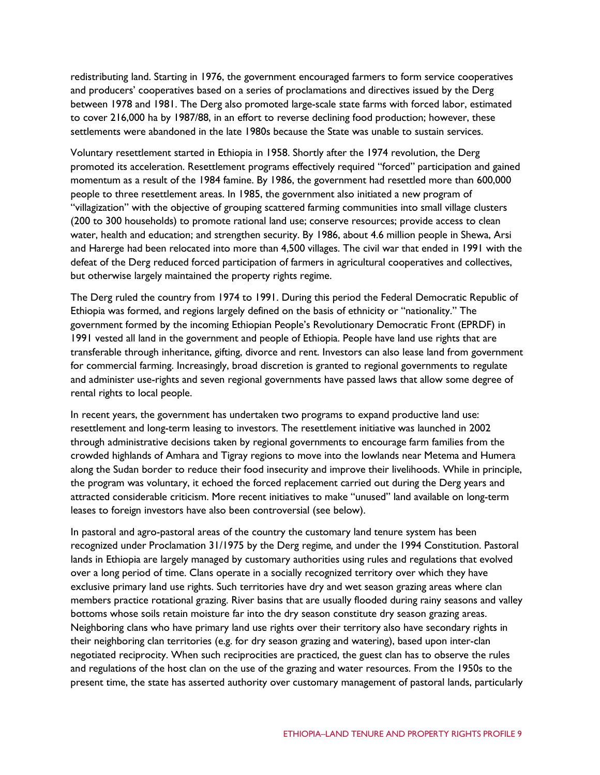redistributing land. Starting in 1976, the government encouraged farmers to form service cooperatives and producers' cooperatives based on a series of proclamations and directives issued by the Derg between 1978 and 1981. The Derg also promoted large-scale state farms with forced labor, estimated to cover 216,000 ha by 1987/88, in an effort to reverse declining food production; however, these settlements were abandoned in the late 1980s because the State was unable to sustain services.

Voluntary resettlement started in Ethiopia in 1958. Shortly after the 1974 revolution, the Derg promoted its acceleration. Resettlement programs effectively required "forced" participation and gained momentum as a result of the 1984 famine. By 1986, the government had resettled more than 600,000 people to three resettlement areas. In 1985, the government also initiated a new program of "villagization" with the objective of grouping scattered farming communities into small village clusters (200 to 300 households) to promote rational land use; conserve resources; provide access to clean water, health and education; and strengthen security. By 1986, about 4.6 million people in Shewa, Arsi and Harerge had been relocated into more than 4,500 villages. The civil war that ended in 1991 with the defeat of the Derg reduced forced participation of farmers in agricultural cooperatives and collectives, but otherwise largely maintained the property rights regime.

The Derg ruled the country from 1974 to 1991. During this period the Federal Democratic Republic of Ethiopia was formed, and regions largely defined on the basis of ethnicity or "nationality." The government formed by the incoming Ethiopian People's Revolutionary Democratic Front (EPRDF) in 1991 vested all land in the government and people of Ethiopia. People have land use rights that are transferable through inheritance, gifting, divorce and rent. Investors can also lease land from government for commercial farming. Increasingly, broad discretion is granted to regional governments to regulate and administer use-rights and seven regional governments have passed laws that allow some degree of rental rights to local people.

In recent years, the government has undertaken two programs to expand productive land use: resettlement and long-term leasing to investors. The resettlement initiative was launched in 2002 through administrative decisions taken by regional governments to encourage farm families from the crowded highlands of Amhara and Tigray regions to move into the lowlands near Metema and Humera along the Sudan border to reduce their food insecurity and improve their livelihoods. While in principle, the program was voluntary, it echoed the forced replacement carried out during the Derg years and attracted considerable criticism. More recent initiatives to make "unused" land available on long-term leases to foreign investors have also been controversial (see below).

In pastoral and agro-pastoral areas of the country the customary land tenure system has been recognized under Proclamation 31/1975 by the Derg regime*,* and under the 1994 Constitution. Pastoral lands in Ethiopia are largely managed by customary authorities using rules and regulations that evolved over a long period of time. Clans operate in a socially recognized territory over which they have exclusive primary land use rights. Such territories have dry and wet season grazing areas where clan members practice rotational grazing. River basins that are usually flooded during rainy seasons and valley bottoms whose soils retain moisture far into the dry season constitute dry season grazing areas. Neighboring clans who have primary land use rights over their territory also have secondary rights in their neighboring clan territories (e.g. for dry season grazing and watering), based upon inter-clan negotiated reciprocity. When such reciprocities are practiced, the guest clan has to observe the rules and regulations of the host clan on the use of the grazing and water resources. From the 1950s to the present time, the state has asserted authority over customary management of pastoral lands, particularly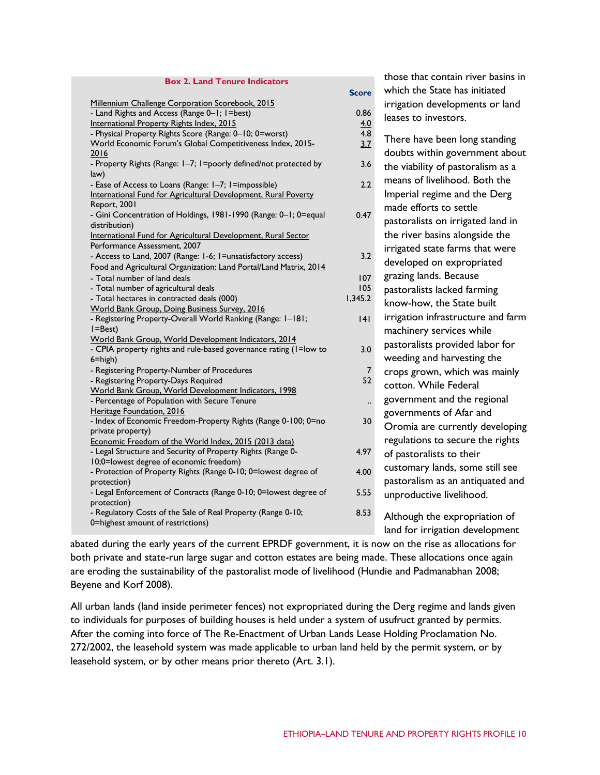| <b>Box 2. Land Tenure Indicators</b><br>which the State has initiated<br><b>Score</b><br>Millennium Challenge Corporation Scorebook, 2015<br>irrigation developments or land<br>- Land Rights and Access (Range 0-1; 1=best)<br>0.86<br>leases to investors.<br>International Property Rights Index, 2015<br>4.0<br>4.8<br>- Physical Property Rights Score (Range: 0-10; 0=worst)<br>There have been long standing<br>World Economic Forum's Global Competitiveness Index, 2015-<br>3.7<br>doubts within government about<br>2016 |
|------------------------------------------------------------------------------------------------------------------------------------------------------------------------------------------------------------------------------------------------------------------------------------------------------------------------------------------------------------------------------------------------------------------------------------------------------------------------------------------------------------------------------------|
|                                                                                                                                                                                                                                                                                                                                                                                                                                                                                                                                    |
|                                                                                                                                                                                                                                                                                                                                                                                                                                                                                                                                    |
|                                                                                                                                                                                                                                                                                                                                                                                                                                                                                                                                    |
|                                                                                                                                                                                                                                                                                                                                                                                                                                                                                                                                    |
|                                                                                                                                                                                                                                                                                                                                                                                                                                                                                                                                    |
|                                                                                                                                                                                                                                                                                                                                                                                                                                                                                                                                    |
|                                                                                                                                                                                                                                                                                                                                                                                                                                                                                                                                    |
| - Property Rights (Range: I-7; I=poorly defined/not protected by<br>3.6<br>the viability of pastoralism as a                                                                                                                                                                                                                                                                                                                                                                                                                       |
| law)<br>means of livelihood. Both the<br>2.2                                                                                                                                                                                                                                                                                                                                                                                                                                                                                       |
| - Ease of Access to Loans (Range: 1-7; 1=impossible)<br>Imperial regime and the Derg<br>International Fund for Agricultural Development, Rural Poverty                                                                                                                                                                                                                                                                                                                                                                             |
| Report, 2001                                                                                                                                                                                                                                                                                                                                                                                                                                                                                                                       |
| made efforts to settle<br>- Gini Concentration of Holdings, 1981-1990 (Range: 0-1; 0=equal<br>0.47                                                                                                                                                                                                                                                                                                                                                                                                                                 |
| pastoralists on irrigated land in<br>distribution)                                                                                                                                                                                                                                                                                                                                                                                                                                                                                 |
| the river basins alongside the<br>International Fund for Agricultural Development, Rural Sector                                                                                                                                                                                                                                                                                                                                                                                                                                    |
| Performance Assessment, 2007<br>irrigated state farms that were                                                                                                                                                                                                                                                                                                                                                                                                                                                                    |
| 3.2<br>- Access to Land, 2007 (Range: 1-6; 1=unsatisfactory access)                                                                                                                                                                                                                                                                                                                                                                                                                                                                |
| developed on expropriated<br>Food and Agricultural Organization: Land Portal/Land Matrix, 2014                                                                                                                                                                                                                                                                                                                                                                                                                                     |
| grazing lands. Because<br>- Total number of land deals<br>107                                                                                                                                                                                                                                                                                                                                                                                                                                                                      |
| 105<br>- Total number of agricultural deals<br>pastoralists lacked farming                                                                                                                                                                                                                                                                                                                                                                                                                                                         |
| 1,345.2<br>- Total hectares in contracted deals (000)<br>know-how, the State built                                                                                                                                                                                                                                                                                                                                                                                                                                                 |
| World Bank Group, Doing Business Survey, 2016<br>irrigation infrastructure and farm<br>- Registering Property-Overall World Ranking (Range: 1-181;                                                                                                                                                                                                                                                                                                                                                                                 |
| 4 <br>$I = Best$ )                                                                                                                                                                                                                                                                                                                                                                                                                                                                                                                 |
| machinery services while<br>World Bank Group, World Development Indicators, 2014                                                                                                                                                                                                                                                                                                                                                                                                                                                   |
| pastoralists provided labor for<br>3.0<br>- CPIA property rights and rule-based governance rating (I=low to                                                                                                                                                                                                                                                                                                                                                                                                                        |
| weeding and harvesting the<br>$6 = high$ )                                                                                                                                                                                                                                                                                                                                                                                                                                                                                         |
| - Registering Property-Number of Procedures<br>7<br>crops grown, which was mainly                                                                                                                                                                                                                                                                                                                                                                                                                                                  |
| 52<br>- Registering Property-Days Required<br>cotton. While Federal                                                                                                                                                                                                                                                                                                                                                                                                                                                                |
| World Bank Group, World Development Indicators, 1998                                                                                                                                                                                                                                                                                                                                                                                                                                                                               |
| government and the regional<br>- Percentage of Population with Secure Tenure                                                                                                                                                                                                                                                                                                                                                                                                                                                       |
| Heritage Foundation, 2016<br>governments of Afar and<br>- Index of Economic Freedom-Property Rights (Range 0-100; 0=no<br>30                                                                                                                                                                                                                                                                                                                                                                                                       |
| Oromia are currently developing<br>private property)                                                                                                                                                                                                                                                                                                                                                                                                                                                                               |
| regulations to secure the rights<br>Economic Freedom of the World Index, 2015 (2013 data)                                                                                                                                                                                                                                                                                                                                                                                                                                          |
| - Legal Structure and Security of Property Rights (Range 0-<br>4.97<br>of pastoralists to their                                                                                                                                                                                                                                                                                                                                                                                                                                    |
| 10;0=lowest degree of economic freedom)                                                                                                                                                                                                                                                                                                                                                                                                                                                                                            |
| customary lands, some still see<br>- Protection of Property Rights (Range 0-10; 0=lowest degree of<br>4.00                                                                                                                                                                                                                                                                                                                                                                                                                         |
| pastoralism as an antiquated and<br>protection)                                                                                                                                                                                                                                                                                                                                                                                                                                                                                    |
| - Legal Enforcement of Contracts (Range 0-10; 0=lowest degree of<br>5.55<br>unproductive livelihood.                                                                                                                                                                                                                                                                                                                                                                                                                               |
| protection)                                                                                                                                                                                                                                                                                                                                                                                                                                                                                                                        |
| - Regulatory Costs of the Sale of Real Property (Range 0-10;<br>8.53<br>Although the expropriation of                                                                                                                                                                                                                                                                                                                                                                                                                              |
| 0=highest amount of restrictions)<br>land for irrigation development                                                                                                                                                                                                                                                                                                                                                                                                                                                               |

abated during the early years of the current EPRDF government, it is now on the rise as allocations for both private and state-run large sugar and cotton estates are being made. These allocations once again are eroding the sustainability of the pastoralist mode of livelihood (Hundie and Padmanabhan 2008; Beyene and Korf 2008).

All urban lands (land inside perimeter fences) not expropriated during the Derg regime and lands given to individuals for purposes of building houses is held under a system of usufruct granted by permits. After the coming into force of The Re-Enactment of Urban Lands Lease Holding Proclamation No. 272/2002, the leasehold system was made applicable to urban land held by the permit system, or by leasehold system, or by other means prior thereto (Art. 3.1).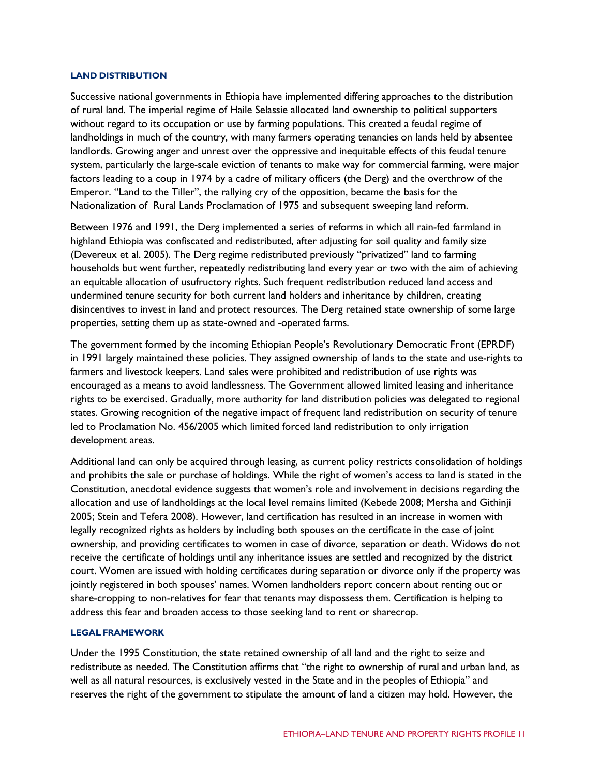#### **LAND DISTRIBUTION**

Successive national governments in Ethiopia have implemented differing approaches to the distribution of rural land. The imperial regime of Haile Selassie allocated land ownership to political supporters without regard to its occupation or use by farming populations. This created a feudal regime of landholdings in much of the country, with many farmers operating tenancies on lands held by absentee landlords. Growing anger and unrest over the oppressive and inequitable effects of this feudal tenure system, particularly the large-scale eviction of tenants to make way for commercial farming, were major factors leading to a coup in 1974 by a cadre of military officers (the Derg) and the overthrow of the Emperor. "Land to the Tiller", the rallying cry of the opposition, became the basis for the Nationalization of Rural Lands Proclamation of 1975 and subsequent sweeping land reform.

Between 1976 and 1991, the Derg implemented a series of reforms in which all rain-fed farmland in highland Ethiopia was confiscated and redistributed, after adjusting for soil quality and family size (Devereux et al. 2005). The Derg regime redistributed previously "privatized" land to farming households but went further, repeatedly redistributing land every year or two with the aim of achieving an equitable allocation of usufructory rights. Such frequent redistribution reduced land access and undermined tenure security for both current land holders and inheritance by children, creating disincentives to invest in land and protect resources. The Derg retained state ownership of some large properties, setting them up as state-owned and -operated farms.

The government formed by the incoming Ethiopian People's Revolutionary Democratic Front (EPRDF) in 1991 largely maintained these policies. They assigned ownership of lands to the state and use-rights to farmers and livestock keepers. Land sales were prohibited and redistribution of use rights was encouraged as a means to avoid landlessness. The Government allowed limited leasing and inheritance rights to be exercised. Gradually, more authority for land distribution policies was delegated to regional states. Growing recognition of the negative impact of frequent land redistribution on security of tenure led to Proclamation No. 456/2005 which limited forced land redistribution to only irrigation development areas.

Additional land can only be acquired through leasing, as current policy restricts consolidation of holdings and prohibits the sale or purchase of holdings. While the right of women's access to land is stated in the Constitution, anecdotal evidence suggests that women's role and involvement in decisions regarding the allocation and use of landholdings at the local level remains limited (Kebede 2008; Mersha and Githinji 2005; Stein and Tefera 2008). However, land certification has resulted in an increase in women with legally recognized rights as holders by including both spouses on the certificate in the case of joint ownership, and providing certificates to women in case of divorce, separation or death. Widows do not receive the certificate of holdings until any inheritance issues are settled and recognized by the district court. Women are issued with holding certificates during separation or divorce only if the property was jointly registered in both spouses' names. Women landholders report concern about renting out or share-cropping to non-relatives for fear that tenants may dispossess them. Certification is helping to address this fear and broaden access to those seeking land to rent or sharecrop.

## **LEGAL FRAMEWORK**

Under the 1995 Constitution, the state retained ownership of all land and the right to seize and redistribute as needed. The Constitution affirms that "the right to ownership of rural and urban land, as well as all natural resources, is exclusively vested in the State and in the peoples of Ethiopia" and reserves the right of the government to stipulate the amount of land a citizen may hold. However, the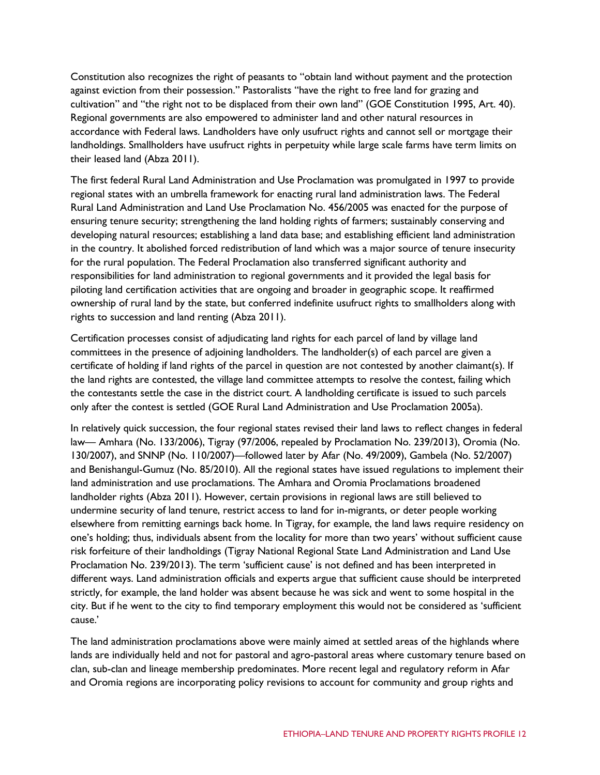Constitution also recognizes the right of peasants to "obtain land without payment and the protection against eviction from their possession." Pastoralists "have the right to free land for grazing and cultivation" and "the right not to be displaced from their own land" (GOE Constitution 1995, Art. 40). Regional governments are also empowered to administer land and other natural resources in accordance with Federal laws. Landholders have only usufruct rights and cannot sell or mortgage their landholdings. Smallholders have usufruct rights in perpetuity while large scale farms have term limits on their leased land (Abza 2011).

The first federal Rural Land Administration and Use Proclamation was promulgated in 1997 to provide regional states with an umbrella framework for enacting rural land administration laws. The Federal Rural Land Administration and Land Use Proclamation No. 456/2005 was enacted for the purpose of ensuring tenure security; strengthening the land holding rights of farmers; sustainably conserving and developing natural resources; establishing a land data base; and establishing efficient land administration in the country. It abolished forced redistribution of land which was a major source of tenure insecurity for the rural population. The Federal Proclamation also transferred significant authority and responsibilities for land administration to regional governments and it provided the legal basis for piloting land certification activities that are ongoing and broader in geographic scope. It reaffirmed ownership of rural land by the state, but conferred indefinite usufruct rights to smallholders along with rights to succession and land renting (Abza 2011).

Certification processes consist of adjudicating land rights for each parcel of land by village land committees in the presence of adjoining landholders. The landholder(s) of each parcel are given a certificate of holding if land rights of the parcel in question are not contested by another claimant(s). If the land rights are contested, the village land committee attempts to resolve the contest, failing which the contestants settle the case in the district court. A landholding certificate is issued to such parcels only after the contest is settled (GOE Rural Land Administration and Use Proclamation 2005a).

In relatively quick succession, the four regional states revised their land laws to reflect changes in federal law— Amhara (No. 133/2006), Tigray (97/2006, repealed by Proclamation No. 239/2013), Oromia (No. 130/2007), and SNNP (No. 110/2007)—followed later by Afar (No. 49/2009), Gambela (No. 52/2007) and Benishangul-Gumuz (No. 85/2010). All the regional states have issued regulations to implement their land administration and use proclamations. The Amhara and Oromia Proclamations broadened landholder rights (Abza 2011). However, certain provisions in regional laws are still believed to undermine security of land tenure, restrict access to land for in-migrants, or deter people working elsewhere from remitting earnings back home. In Tigray, for example, the land laws require residency on one's holding; thus, individuals absent from the locality for more than two years' without sufficient cause risk forfeiture of their landholdings (Tigray National Regional State Land Administration and Land Use Proclamation No. 239/2013). The term 'sufficient cause' is not defined and has been interpreted in different ways. Land administration officials and experts argue that sufficient cause should be interpreted strictly, for example, the land holder was absent because he was sick and went to some hospital in the city. But if he went to the city to find temporary employment this would not be considered as 'sufficient cause.'

The land administration proclamations above were mainly aimed at settled areas of the highlands where lands are individually held and not for pastoral and agro-pastoral areas where customary tenure based on clan, sub-clan and lineage membership predominates. More recent legal and regulatory reform in Afar and Oromia regions are incorporating policy revisions to account for community and group rights and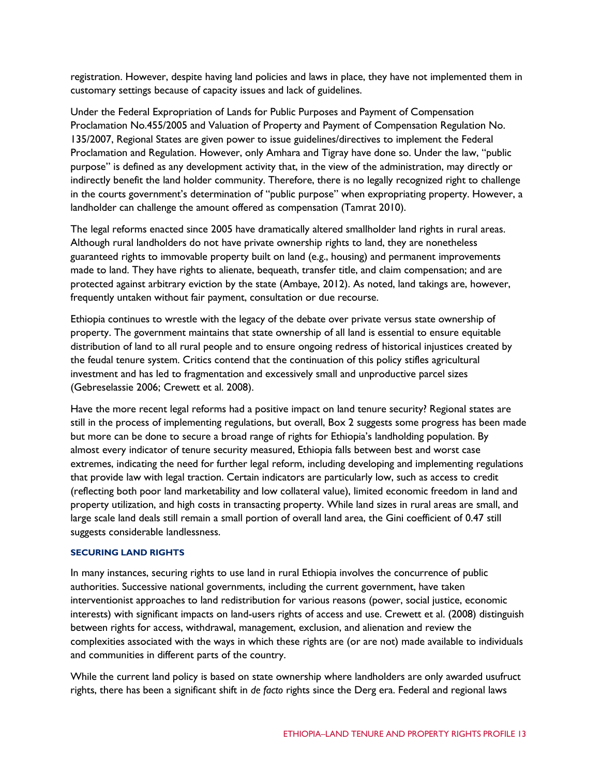registration. However, despite having land policies and laws in place, they have not implemented them in customary settings because of capacity issues and lack of guidelines.

Under the Federal Expropriation of Lands for Public Purposes and Payment of Compensation Proclamation No.455/2005 and Valuation of Property and Payment of Compensation Regulation No. 135/2007, Regional States are given power to issue guidelines/directives to implement the Federal Proclamation and Regulation. However, only Amhara and Tigray have done so. Under the law, "public purpose" is defined as any development activity that, in the view of the administration, may directly or indirectly benefit the land holder community. Therefore, there is no legally recognized right to challenge in the courts government's determination of "public purpose" when expropriating property. However, a landholder can challenge the amount offered as compensation (Tamrat 2010).

The legal reforms enacted since 2005 have dramatically altered smallholder land rights in rural areas. Although rural landholders do not have private ownership rights to land, they are nonetheless guaranteed rights to immovable property built on land (e.g., housing) and permanent improvements made to land. They have rights to alienate, bequeath, transfer title, and claim compensation; and are protected against arbitrary eviction by the state (Ambaye, 2012). As noted, land takings are, however, frequently untaken without fair payment, consultation or due recourse.

Ethiopia continues to wrestle with the legacy of the debate over private versus state ownership of property. The government maintains that state ownership of all land is essential to ensure equitable distribution of land to all rural people and to ensure ongoing redress of historical injustices created by the feudal tenure system. Critics contend that the continuation of this policy stifles agricultural investment and has led to fragmentation and excessively small and unproductive parcel sizes (Gebreselassie 2006; Crewett et al. 2008).

Have the more recent legal reforms had a positive impact on land tenure security? Regional states are still in the process of implementing regulations, but overall, Box 2 suggests some progress has been made but more can be done to secure a broad range of rights for Ethiopia's landholding population. By almost every indicator of tenure security measured, Ethiopia falls between best and worst case extremes, indicating the need for further legal reform, including developing and implementing regulations that provide law with legal traction. Certain indicators are particularly low, such as access to credit (reflecting both poor land marketability and low collateral value), limited economic freedom in land and property utilization, and high costs in transacting property. While land sizes in rural areas are small, and large scale land deals still remain a small portion of overall land area, the Gini coefficient of 0.47 still suggests considerable landlessness.

## **SECURING LAND RIGHTS**

In many instances, securing rights to use land in rural Ethiopia involves the concurrence of public authorities. Successive national governments, including the current government, have taken interventionist approaches to land redistribution for various reasons (power, social justice, economic interests) with significant impacts on land-users rights of access and use. Crewett et al. (2008) distinguish between rights for access, withdrawal, management, exclusion, and alienation and review the complexities associated with the ways in which these rights are (or are not) made available to individuals and communities in different parts of the country.

While the current land policy is based on state ownership where landholders are only awarded usufruct rights, there has been a significant shift in *de facto* rights since the Derg era. Federal and regional laws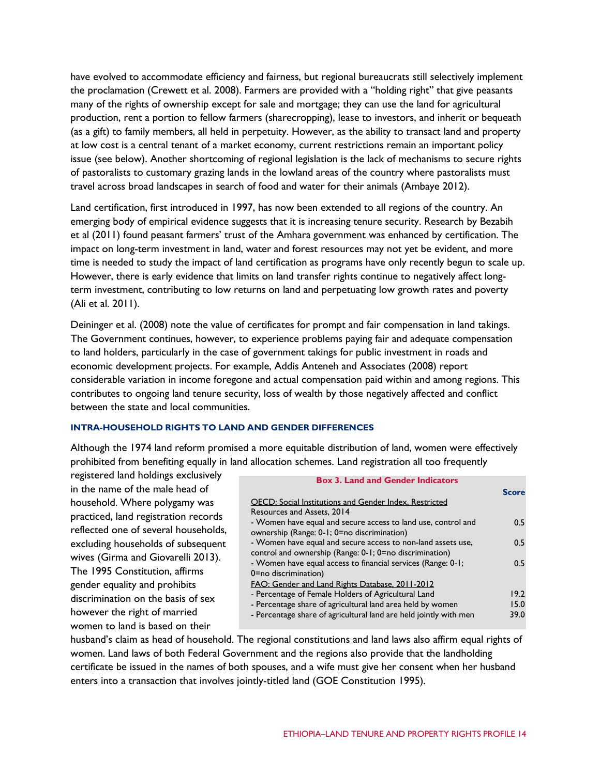have evolved to accommodate efficiency and fairness, but regional bureaucrats still selectively implement the proclamation (Crewett et al. 2008). Farmers are provided with a "holding right" that give peasants many of the rights of ownership except for sale and mortgage; they can use the land for agricultural production, rent a portion to fellow farmers (sharecropping), lease to investors, and inherit or bequeath (as a gift) to family members, all held in perpetuity. However, as the ability to transact land and property at low cost is a central tenant of a market economy, current restrictions remain an important policy issue (see below). Another shortcoming of regional legislation is the lack of mechanisms to secure rights of pastoralists to customary grazing lands in the lowland areas of the country where pastoralists must travel across broad landscapes in search of food and water for their animals (Ambaye 2012).

Land certification, first introduced in 1997, has now been extended to all regions of the country. An emerging body of empirical evidence suggests that it is increasing tenure security. Research by Bezabih et al (2011) found peasant farmers' trust of the Amhara government was enhanced by certification. The impact on long-term investment in land, water and forest resources may not yet be evident, and more time is needed to study the impact of land certification as programs have only recently begun to scale up. However, there is early evidence that limits on land transfer rights continue to negatively affect longterm investment, contributing to low returns on land and perpetuating low growth rates and poverty (Ali et al. 2011).

Deininger et al. (2008) note the value of certificates for prompt and fair compensation in land takings. The Government continues, however, to experience problems paying fair and adequate compensation to land holders, particularly in the case of government takings for public investment in roads and economic development projects. For example, Addis Anteneh and Associates (2008) report considerable variation in income foregone and actual compensation paid within and among regions. This contributes to ongoing land tenure security, loss of wealth by those negatively affected and conflict between the state and local communities.

## **INTRA-HOUSEHOLD RIGHTS TO LAND AND GENDER DIFFERENCES**

Although the 1974 land reform promised a more equitable distribution of land, women were effectively prohibited from benefiting equally in land allocation schemes. Land registration all too frequently

registered land holdings exclusively in the name of the male head of household. Where polygamy was practiced, land registration records reflected one of several households, excluding households of subsequent wives (Girma and Giovarelli 2013). The 1995 Constitution, affirms gender equality and prohibits discrimination on the basis of sex however the right of married women to land is based on their

| <b>Box 3. Land and Gender Indicators</b>                          |              |
|-------------------------------------------------------------------|--------------|
|                                                                   | <b>Score</b> |
| OECD: Social Institutions and Gender Index, Restricted            |              |
| Resources and Assets, 2014                                        |              |
| - Women have equal and secure access to land use, control and     | 0.5          |
| ownership (Range: 0-1; 0=no discrimination)                       |              |
| - Women have equal and secure access to non-land assets use,      | 0.5          |
| control and ownership (Range: 0-1; 0=no discrimination)           |              |
| - Women have equal access to financial services (Range: 0-1;      | 0.5          |
| 0=no discrimination)                                              |              |
| FAO: Gender and Land Rights Database, 2011-2012                   |              |
| - Percentage of Female Holders of Agricultural Land               | 19.2         |
| - Percentage share of agricultural land area held by women        | 15.0         |
| - Percentage share of agricultural land are held jointly with men | 39.0         |
|                                                                   |              |

husband's claim as head of household. The regional constitutions and land laws also affirm equal rights of women. Land laws of both Federal Government and the regions also provide that the landholding certificate be issued in the names of both spouses, and a wife must give her consent when her husband enters into a transaction that involves jointly-titled land (GOE Constitution 1995).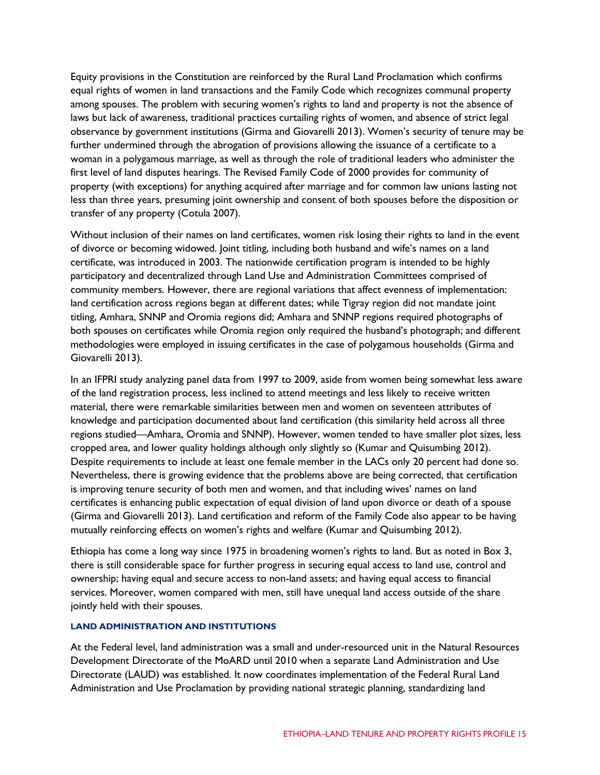Equity provisions in the Constitution are reinforced by the Rural Land Proclamation which confirms equal rights of women in land transactions and the Family Code which recognizes communal property among spouses. The problem with securing women's rights to land and property is not the absence of laws but lack of awareness, traditional practices curtailing rights of women, and absence of strict legal observance by government institutions (Girma and Giovarelli 2013). Women's security of tenure may be further undermined through the abrogation of provisions allowing the issuance of a certificate to a woman in a polygamous marriage, as well as through the role of traditional leaders who administer the first level of land disputes hearings. The Revised Family Code of 2000 provides for community of property (with exceptions) for anything acquired after marriage and for common law unions lasting not less than three years, presuming joint ownership and consent of both spouses before the disposition or transfer of any property (Cotula 2007).

Without inclusion of their names on land certificates, women risk losing their rights to land in the event of divorce or becoming widowed. Joint titling, including both husband and wife's names on a land certificate, was introduced in 2003. The nationwide certification program is intended to be highly participatory and decentralized through Land Use and Administration Committees comprised of community members. However, there are regional variations that affect evenness of implementation: land certification across regions began at different dates; while Tigray region did not mandate joint titling, Amhara, SNNP and Oromia regions did; Amhara and SNNP regions required photographs of both spouses on certificates while Oromia region only required the husband's photograph; and different methodologies were employed in issuing certificates in the case of polygamous households (Girma and Giovarelli 2013).

In an IFPRI study analyzing panel data from 1997 to 2009, aside from women being somewhat less aware of the land registration process, less inclined to attend meetings and less likely to receive written material, there were remarkable similarities between men and women on seventeen attributes of knowledge and participation documented about land certification (this similarity held across all three regions studied—Amhara, Oromia and SNNP). However, women tended to have smaller plot sizes, less cropped area, and lower quality holdings although only slightly so (Kumar and Quisumbing 2012). Despite requirements to include at least one female member in the LACs only 20 percent had done so. Nevertheless, there is growing evidence that the problems above are being corrected, that certification is improving tenure security of both men and women, and that including wives' names on land certificates is enhancing public expectation of equal division of land upon divorce or death of a spouse (Girma and Giovarelli 2013). Land certification and reform of the Family Code also appear to be having mutually reinforcing effects on women's rights and welfare (Kumar and Quisumbing 2012).

Ethiopia has come a long way since 1975 in broadening women's rights to land. But as noted in Box 3, there is still considerable space for further progress in securing equal access to land use, control and ownership; having equal and secure access to non-land assets; and having equal access to financial services. Moreover, women compared with men, still have unequal land access outside of the share jointly held with their spouses.

## **LAND ADMINISTRATION AND INSTITUTIONS**

At the Federal level, land administration was a small and under-resourced unit in the Natural Resources Development Directorate of the MoARD until 2010 when a separate Land Administration and Use Directorate (LAUD) was established. It now coordinates implementation of the Federal Rural Land Administration and Use Proclamation by providing national strategic planning, standardizing land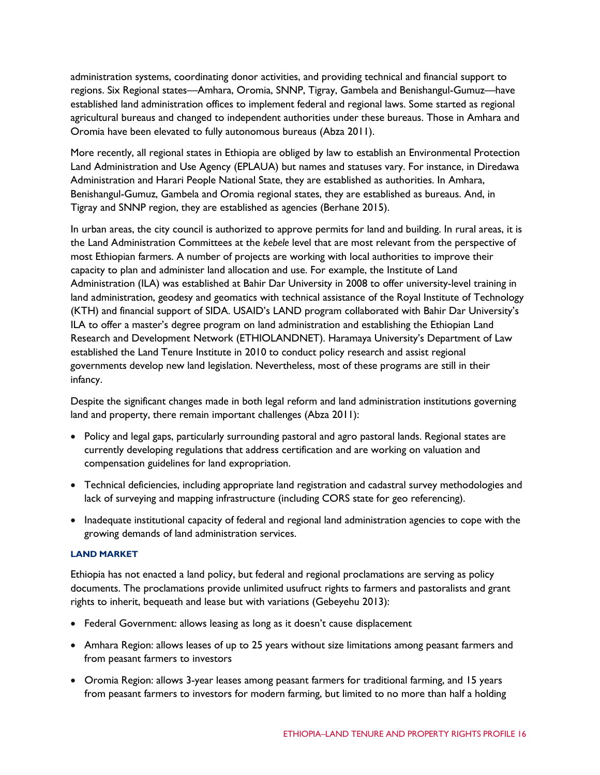administration systems, coordinating donor activities, and providing technical and financial support to regions. Six Regional states—Amhara, Oromia, SNNP, Tigray, Gambela and Benishangul-Gumuz—have established land administration offices to implement federal and regional laws. Some started as regional agricultural bureaus and changed to independent authorities under these bureaus. Those in Amhara and Oromia have been elevated to fully autonomous bureaus (Abza 2011).

More recently, all regional states in Ethiopia are obliged by law to establish an Environmental Protection Land Administration and Use Agency (EPLAUA) but names and statuses vary. For instance, in Diredawa Administration and Harari People National State, they are established as authorities. In Amhara, Benishangul-Gumuz, Gambela and Oromia regional states, they are established as bureaus. And, in Tigray and SNNP region, they are established as agencies (Berhane 2015).

In urban areas, the city council is authorized to approve permits for land and building. In rural areas, it is the Land Administration Committees at the *kebele* level that are most relevant from the perspective of most Ethiopian farmers. A number of projects are working with local authorities to improve their capacity to plan and administer land allocation and use. For example, the Institute of Land Administration (ILA) was established at Bahir Dar University in 2008 to offer university-level training in land administration, geodesy and geomatics with technical assistance of the Royal Institute of Technology (KTH) and financial support of SIDA. USAID's LAND program collaborated with Bahir Dar University's ILA to offer a master's degree program on land administration and establishing the Ethiopian Land Research and Development Network (ETHIOLANDNET). Haramaya University's Department of Law established the Land Tenure Institute in 2010 to conduct policy research and assist regional governments develop new land legislation. Nevertheless, most of these programs are still in their infancy.

Despite the significant changes made in both legal reform and land administration institutions governing land and property, there remain important challenges (Abza 2011):

- Policy and legal gaps, particularly surrounding pastoral and agro pastoral lands. Regional states are currently developing regulations that address certification and are working on valuation and compensation guidelines for land expropriation.
- Technical deficiencies, including appropriate land registration and cadastral survey methodologies and lack of surveying and mapping infrastructure (including CORS state for geo referencing).
- Inadequate institutional capacity of federal and regional land administration agencies to cope with the growing demands of land administration services.

## **LAND MARKET**

Ethiopia has not enacted a land policy, but federal and regional proclamations are serving as policy documents. The proclamations provide unlimited usufruct rights to farmers and pastoralists and grant rights to inherit, bequeath and lease but with variations (Gebeyehu 2013):

- Federal Government: allows leasing as long as it doesn't cause displacement
- Amhara Region: allows leases of up to 25 years without size limitations among peasant farmers and from peasant farmers to investors
- Oromia Region: allows 3-year leases among peasant farmers for traditional farming, and 15 years from peasant farmers to investors for modern farming, but limited to no more than half a holding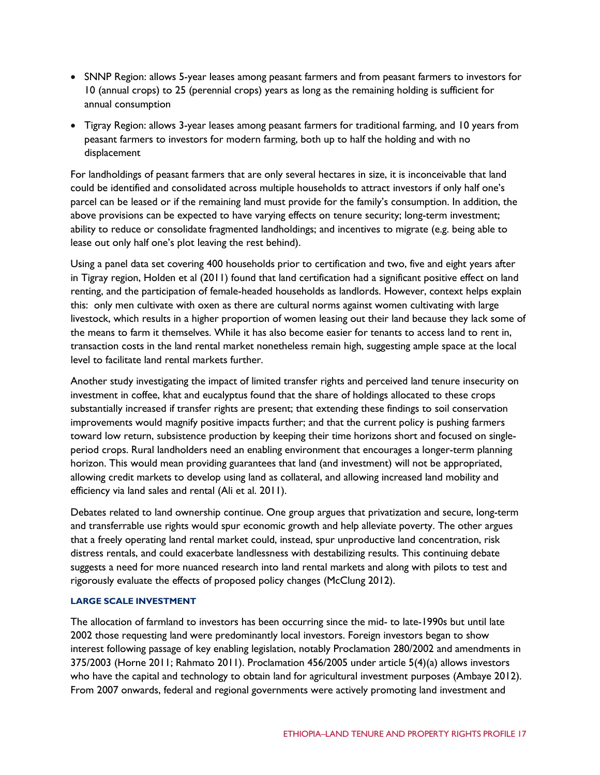- SNNP Region: allows 5-year leases among peasant farmers and from peasant farmers to investors for 10 (annual crops) to 25 (perennial crops) years as long as the remaining holding is sufficient for annual consumption
- Tigray Region: allows 3-year leases among peasant farmers for traditional farming, and 10 years from peasant farmers to investors for modern farming, both up to half the holding and with no displacement

For landholdings of peasant farmers that are only several hectares in size, it is inconceivable that land could be identified and consolidated across multiple households to attract investors if only half one's parcel can be leased or if the remaining land must provide for the family's consumption. In addition, the above provisions can be expected to have varying effects on tenure security; long-term investment; ability to reduce or consolidate fragmented landholdings; and incentives to migrate (e.g. being able to lease out only half one's plot leaving the rest behind).

Using a panel data set covering 400 households prior to certification and two, five and eight years after in Tigray region, Holden et al (2011) found that land certification had a significant positive effect on land renting, and the participation of female-headed households as landlords. However, context helps explain this: only men cultivate with oxen as there are cultural norms against women cultivating with large livestock, which results in a higher proportion of women leasing out their land because they lack some of the means to farm it themselves. While it has also become easier for tenants to access land to rent in, transaction costs in the land rental market nonetheless remain high, suggesting ample space at the local level to facilitate land rental markets further.

Another study investigating the impact of limited transfer rights and perceived land tenure insecurity on investment in coffee, khat and eucalyptus found that the share of holdings allocated to these crops substantially increased if transfer rights are present; that extending these findings to soil conservation improvements would magnify positive impacts further; and that the current policy is pushing farmers toward low return, subsistence production by keeping their time horizons short and focused on singleperiod crops. Rural landholders need an enabling environment that encourages a longer-term planning horizon. This would mean providing guarantees that land (and investment) will not be appropriated, allowing credit markets to develop using land as collateral, and allowing increased land mobility and efficiency via land sales and rental (Ali et al. 2011).

Debates related to land ownership continue. One group argues that privatization and secure, long-term and transferrable use rights would spur economic growth and help alleviate poverty. The other argues that a freely operating land rental market could, instead, spur unproductive land concentration, risk distress rentals, and could exacerbate landlessness with destabilizing results. This continuing debate suggests a need for more nuanced research into land rental markets and along with pilots to test and rigorously evaluate the effects of proposed policy changes (McClung 2012).

## **LARGE SCALE INVESTMENT**

The allocation of farmland to investors has been occurring since the mid- to late-1990s but until late 2002 those requesting land were predominantly local investors. Foreign investors began to show interest following passage of key enabling legislation, notably Proclamation 280/2002 and amendments in 375/2003 (Horne 2011; Rahmato 2011). Proclamation 456/2005 under article 5(4)(a) allows investors who have the capital and technology to obtain land for agricultural investment purposes (Ambaye 2012). From 2007 onwards, federal and regional governments were actively promoting land investment and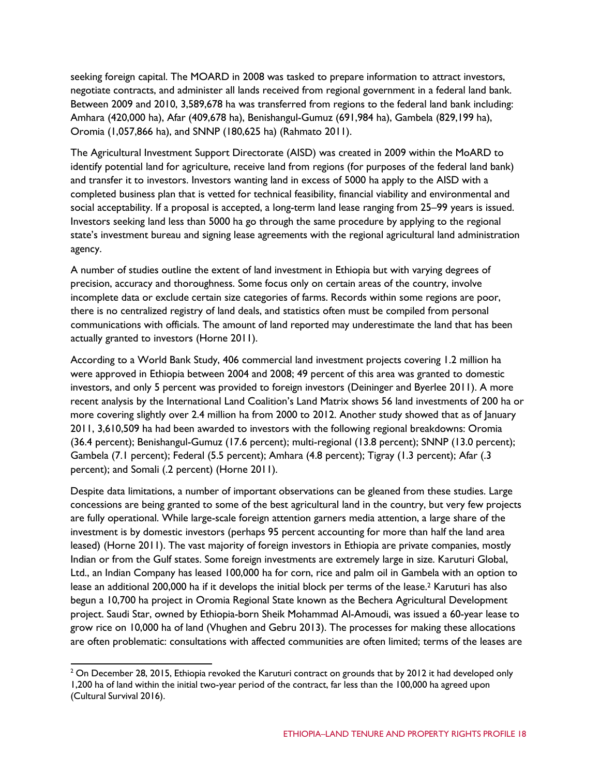seeking foreign capital. The MOARD in 2008 was tasked to prepare information to attract investors, negotiate contracts, and administer all lands received from regional government in a federal land bank. Between 2009 and 2010, 3,589,678 ha was transferred from regions to the federal land bank including: Amhara (420,000 ha), Afar (409,678 ha), Benishangul-Gumuz (691,984 ha), Gambela (829,199 ha), Oromia (1,057,866 ha), and SNNP (180,625 ha) (Rahmato 2011).

The Agricultural Investment Support Directorate (AISD) was created in 2009 within the MoARD to identify potential land for agriculture, receive land from regions (for purposes of the federal land bank) and transfer it to investors. Investors wanting land in excess of 5000 ha apply to the AISD with a completed business plan that is vetted for technical feasibility, financial viability and environmental and social acceptability. If a proposal is accepted, a long-term land lease ranging from 25–99 years is issued. Investors seeking land less than 5000 ha go through the same procedure by applying to the regional state's investment bureau and signing lease agreements with the regional agricultural land administration agency.

A number of studies outline the extent of land investment in Ethiopia but with varying degrees of precision, accuracy and thoroughness. Some focus only on certain areas of the country, involve incomplete data or exclude certain size categories of farms. Records within some regions are poor, there is no centralized registry of land deals, and statistics often must be compiled from personal communications with officials. The amount of land reported may underestimate the land that has been actually granted to investors (Horne 2011).

According to a World Bank Study, 406 commercial land investment projects covering 1.2 million ha were approved in Ethiopia between 2004 and 2008; 49 percent of this area was granted to domestic investors, and only 5 percent was provided to foreign investors (Deininger and Byerlee 2011). A more recent analysis by the International Land Coalition's Land Matrix shows 56 land investments of 200 ha or more covering slightly over 2.4 million ha from 2000 to 2012. Another study showed that as of January 2011, 3,610,509 ha had been awarded to investors with the following regional breakdowns: Oromia (36.4 percent); Benishangul-Gumuz (17.6 percent); multi-regional (13.8 percent); SNNP (13.0 percent); Gambela (7.1 percent); Federal (5.5 percent); Amhara (4.8 percent); Tigray (1.3 percent); Afar (.3 percent); and Somali (.2 percent) (Horne 2011).

Despite data limitations, a number of important observations can be gleaned from these studies. Large concessions are being granted to some of the best agricultural land in the country, but very few projects are fully operational. While large-scale foreign attention garners media attention, a large share of the investment is by domestic investors (perhaps 95 percent accounting for more than half the land area leased) (Horne 2011). The vast majority of foreign investors in Ethiopia are private companies, mostly Indian or from the Gulf states. Some foreign investments are extremely large in size. Karuturi Global, Ltd., an Indian Company has leased 100,000 ha for corn, rice and palm oil in Gambela with an option to lease an additional 200,000 ha if it develops the initial block per terms of the lease.<sup>2</sup> Karuturi has also begun a 10,700 ha project in Oromia Regional State known as the Bechera Agricultural Development project. Saudi Star, owned by Ethiopia-born Sheik Mohammad Al-Amoudi, was issued a 60-year lease to grow rice on 10,000 ha of land (Vhughen and Gebru 2013). The processes for making these allocations are often problematic: consultations with affected communities are often limited; terms of the leases are

<span id="page-17-0"></span> $2$  On December 28, 2015, Ethiopia revoked the Karuturi contract on grounds that by 2012 it had developed only 1,200 ha of land within the initial two-year period of the contract, far less than the 100,000 ha agreed upon (Cultural Survival 2016).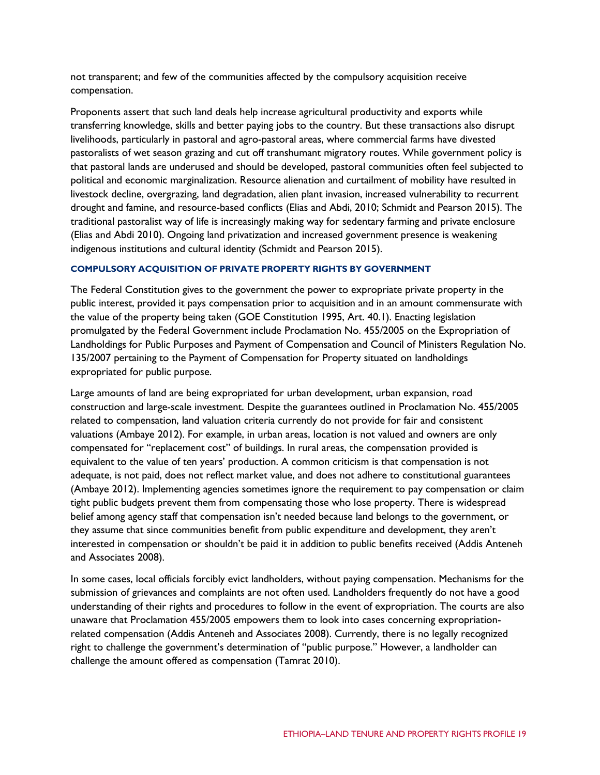not transparent; and few of the communities affected by the compulsory acquisition receive compensation.

Proponents assert that such land deals help increase agricultural productivity and exports while transferring knowledge, skills and better paying jobs to the country. But these transactions also disrupt livelihoods, particularly in pastoral and agro-pastoral areas, where commercial farms have divested pastoralists of wet season grazing and cut off transhumant migratory routes. While government policy is that pastoral lands are underused and should be developed, pastoral communities often feel subjected to political and economic marginalization. Resource alienation and curtailment of mobility have resulted in livestock decline, overgrazing, land degradation, alien plant invasion, increased vulnerability to recurrent drought and famine, and resource-based conflicts (Elias and Abdi, 2010; Schmidt and Pearson 2015). The traditional pastoralist way of life is increasingly making way for sedentary farming and private enclosure (Elias and Abdi 2010). Ongoing land privatization and increased government presence is weakening indigenous institutions and cultural identity (Schmidt and Pearson 2015).

## **COMPULSORY ACQUISITION OF PRIVATE PROPERTY RIGHTS BY GOVERNMENT**

The Federal Constitution gives to the government the power to expropriate private property in the public interest, provided it pays compensation prior to acquisition and in an amount commensurate with the value of the property being taken (GOE Constitution 1995, Art. 40.1). Enacting legislation promulgated by the Federal Government include Proclamation No. 455/2005 on the Expropriation of Landholdings for Public Purposes and Payment of Compensation and Council of Ministers Regulation No. 135/2007 pertaining to the Payment of Compensation for Property situated on landholdings expropriated for public purpose.

Large amounts of land are being expropriated for urban development, urban expansion, road construction and large-scale investment. Despite the guarantees outlined in Proclamation No. 455/2005 related to compensation, land valuation criteria currently do not provide for fair and consistent valuations (Ambaye 2012). For example, in urban areas, location is not valued and owners are only compensated for "replacement cost" of buildings. In rural areas, the compensation provided is equivalent to the value of ten years' production. A common criticism is that compensation is not adequate, is not paid, does not reflect market value, and does not adhere to constitutional guarantees (Ambaye 2012). Implementing agencies sometimes ignore the requirement to pay compensation or claim tight public budgets prevent them from compensating those who lose property. There is widespread belief among agency staff that compensation isn't needed because land belongs to the government, or they assume that since communities benefit from public expenditure and development, they aren't interested in compensation or shouldn't be paid it in addition to public benefits received (Addis Anteneh and Associates 2008).

In some cases, local officials forcibly evict landholders, without paying compensation. Mechanisms for the submission of grievances and complaints are not often used. Landholders frequently do not have a good understanding of their rights and procedures to follow in the event of expropriation. The courts are also unaware that Proclamation 455/2005 empowers them to look into cases concerning expropriationrelated compensation (Addis Anteneh and Associates 2008). Currently, there is no legally recognized right to challenge the government's determination of "public purpose." However, a landholder can challenge the amount offered as compensation (Tamrat 2010).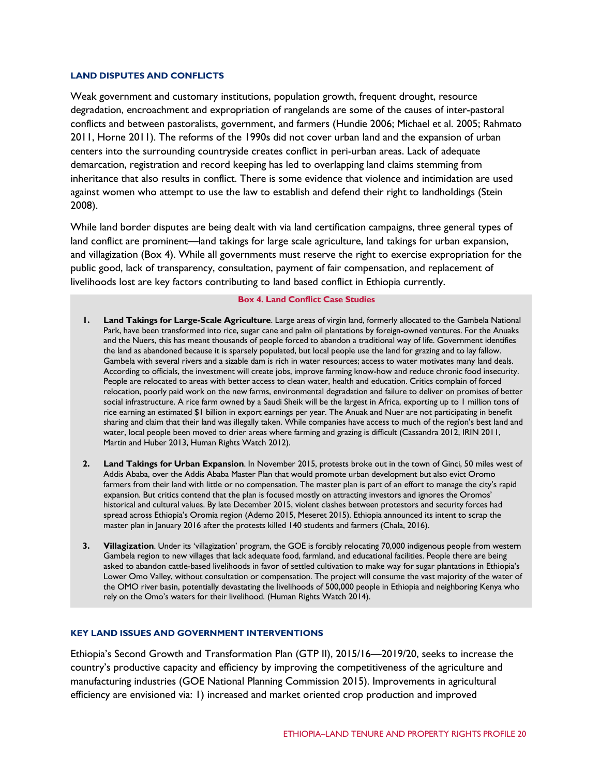#### **LAND DISPUTES AND CONFLICTS**

Weak government and customary institutions, population growth, frequent drought, resource degradation, encroachment and expropriation of rangelands are some of the causes of inter-pastoral conflicts and between pastoralists, government, and farmers (Hundie 2006; Michael et al. 2005; Rahmato 2011, Horne 2011). The reforms of the 1990s did not cover urban land and the expansion of urban centers into the surrounding countryside creates conflict in peri-urban areas. Lack of adequate demarcation, registration and record keeping has led to overlapping land claims stemming from inheritance that also results in conflict. There is some evidence that violence and intimidation are used against women who attempt to use the law to establish and defend their right to landholdings (Stein 2008).

While land border disputes are being dealt with via land certification campaigns, three general types of land conflict are prominent—land takings for large scale agriculture, land takings for urban expansion, and villagization (Box 4). While all governments must reserve the right to exercise expropriation for the public good, lack of transparency, consultation, payment of fair compensation, and replacement of livelihoods lost are key factors contributing to land based conflict in Ethiopia currently.

#### **Box 4. Land Conflict Case Studies**

- **1. Land Takings for Large-Scale Agriculture**. Large areas of virgin land, formerly allocated to the Gambela National Park, have been transformed into rice, sugar cane and palm oil plantations by foreign-owned ventures. For the Anuaks and the Nuers, this has meant thousands of people forced to abandon a traditional way of life. Government identifies the land as abandoned because it is sparsely populated, but local people use the land for grazing and to lay fallow. Gambela with several rivers and a sizable dam is rich in water resources; access to water motivates many land deals. According to officials, the investment will create jobs, improve farming know-how and reduce chronic food insecurity. People are relocated to areas with better access to clean water, health and education. Critics complain of forced relocation, poorly paid work on the new farms, environmental degradation and failure to deliver on promises of better social infrastructure. A rice farm owned by a Saudi Sheik will be the largest in Africa, exporting up to 1 million tons of rice earning an estimated \$1 billion in export earnings per year. The Anuak and Nuer are not participating in benefit sharing and claim that their land was illegally taken. While companies have access to much of the region's best land and water, local people been moved to drier areas where farming and grazing is difficult (Cassandra 2012, IRIN 2011, Martin and Huber 2013, Human Rights Watch 2012).
- **2. Land Takings for Urban Expansion**. In November 2015, protests broke out in the town of Ginci, 50 miles west of Addis Ababa, over the Addis Ababa Master Plan that would promote urban development but also evict Oromo farmers from their land with little or no compensation. The master plan is part of an effort to manage the city's rapid expansion. But critics contend that the plan is focused mostly on attracting investors and ignores the Oromos' historical and cultural values. By late December 2015, violent clashes between protestors and security forces had spread across Ethiopia's Oromia region (Ademo 2015, Meseret 2015). Ethiopia announced its intent to scrap the master plan in January 2016 after the protests killed 140 students and farmers (Chala, 2016).
- **3. Villagization**. Under its 'villagization' program, the GOE is forcibly relocating 70,000 indigenous people from western Gambela region to new villages that lack adequate food, farmland, and educational facilities. People there are being asked to abandon cattle-based livelihoods in favor of settled cultivation to make way for sugar plantations in Ethiopia's Lower Omo Valley, without consultation or compensation. The project will consume the vast majority of the water of the OMO river basin, potentially devastating the livelihoods of 500,000 people in Ethiopia and neighboring Kenya who rely on the Omo's waters for their livelihood. (Human Rights Watch 2014).

## **KEY LAND ISSUES AND GOVERNMENT INTERVENTIONS**

Ethiopia's Second Growth and Transformation Plan (GTP II), 2015/16—2019/20, seeks to increase the country's productive capacity and efficiency by improving the competitiveness of the agriculture and manufacturing industries (GOE National Planning Commission 2015). Improvements in agricultural efficiency are envisioned via: 1) increased and market oriented crop production and improved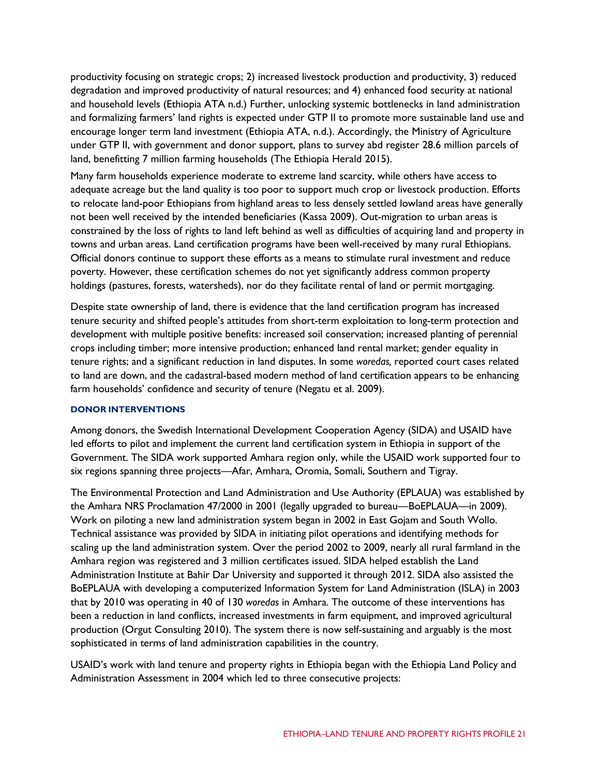productivity focusing on strategic crops; 2) increased livestock production and productivity, 3) reduced degradation and improved productivity of natural resources; and 4) enhanced food security at national and household levels (Ethiopia ATA n.d.) Further, unlocking systemic bottlenecks in land administration and formalizing farmers' land rights is expected under GTP II to promote more sustainable land use and encourage longer term land investment (Ethiopia ATA, n.d.). Accordingly, the Ministry of Agriculture under GTP II, with government and donor support, plans to survey abd register 28.6 million parcels of land, benefitting 7 million farming households (The Ethiopia Herald 2015).

Many farm households experience moderate to extreme land scarcity, while others have access to adequate acreage but the land quality is too poor to support much crop or livestock production. Efforts to relocate land-poor Ethiopians from highland areas to less densely settled lowland areas have generally not been well received by the intended beneficiaries (Kassa 2009). Out-migration to urban areas is constrained by the loss of rights to land left behind as well as difficulties of acquiring land and property in towns and urban areas. Land certification programs have been well-received by many rural Ethiopians. Official donors continue to support these efforts as a means to stimulate rural investment and reduce poverty. However, these certification schemes do not yet significantly address common property holdings (pastures, forests, watersheds), nor do they facilitate rental of land or permit mortgaging.

Despite state ownership of land, there is evidence that the land certification program has increased tenure security and shifted people's attitudes from short-term exploitation to long-term protection and development with multiple positive benefits: increased soil conservation; increased planting of perennial crops including timber; more intensive production; enhanced land rental market; gender equality in tenure rights; and a significant reduction in land disputes. In some *woredas,* reported court cases related to land are down, and the cadastral-based modern method of land certification appears to be enhancing farm households' confidence and security of tenure (Negatu et al. 2009).

## **DONOR INTERVENTIONS**

Among donors, the Swedish International Development Cooperation Agency (SIDA) and USAID have led efforts to pilot and implement the current land certification system in Ethiopia in support of the Government. The SIDA work supported Amhara region only, while the USAID work supported four to six regions spanning three projects—Afar, Amhara, Oromia, Somali, Southern and Tigray.

The Environmental Protection and Land Administration and Use Authority (EPLAUA) was established by the Amhara NRS Proclamation 47/2000 in 2001 (legally upgraded to bureau—BoEPLAUA—in 2009). Work on piloting a new land administration system began in 2002 in East Gojam and South Wollo. Technical assistance was provided by SIDA in initiating pilot operations and identifying methods for scaling up the land administration system. Over the period 2002 to 2009, nearly all rural farmland in the Amhara region was registered and 3 million certificates issued. SIDA helped establish the Land Administration Institute at Bahir Dar University and supported it through 2012. SIDA also assisted the BoEPLAUA with developing a computerized Information System for Land Administration (ISLA) in 2003 that by 2010 was operating in 40 of 130 *woredas* in Amhara. The outcome of these interventions has been a reduction in land conflicts, increased investments in farm equipment, and improved agricultural production (Orgut Consulting 2010). The system there is now self-sustaining and arguably is the most sophisticated in terms of land administration capabilities in the country.

USAID's work with land tenure and property rights in Ethiopia began with the Ethiopia Land Policy and Administration Assessment in 2004 which led to three consecutive projects: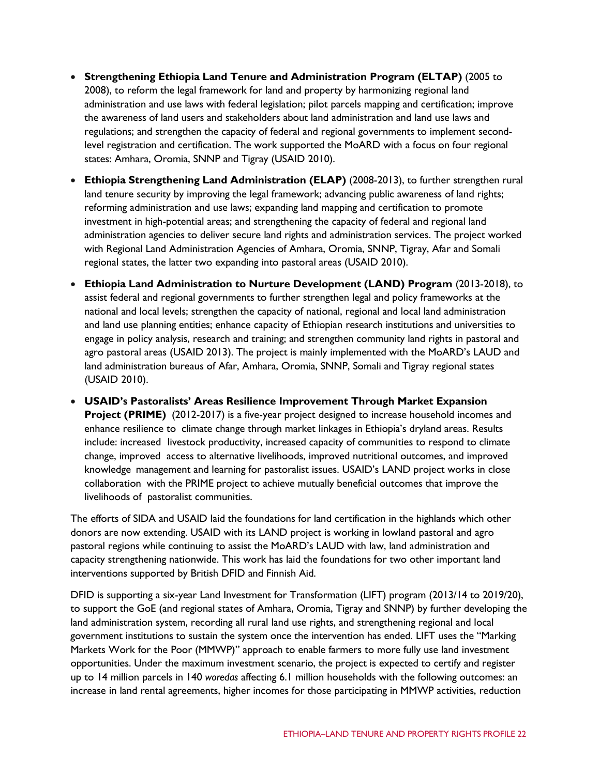- **Strengthening Ethiopia Land Tenure and Administration Program (ELTAP)** (2005 to 2008), to reform the legal framework for land and property by harmonizing regional land administration and use laws with federal legislation; pilot parcels mapping and certification; improve the awareness of land users and stakeholders about land administration and land use laws and regulations; and strengthen the capacity of federal and regional governments to implement secondlevel registration and certification. The work supported the MoARD with a focus on four regional states: Amhara, Oromia, SNNP and Tigray (USAID 2010).
- **Ethiopia Strengthening Land Administration (ELAP)** (2008-2013), to further strengthen rural land tenure security by improving the legal framework; advancing public awareness of land rights; reforming administration and use laws; expanding land mapping and certification to promote investment in high-potential areas; and strengthening the capacity of federal and regional land administration agencies to deliver secure land rights and administration services. The project worked with Regional Land Administration Agencies of Amhara, Oromia, SNNP, Tigray, Afar and Somali regional states, the latter two expanding into pastoral areas (USAID 2010).
- **Ethiopia Land Administration to Nurture Development (LAND) Program** (2013-2018), to assist federal and regional governments to further strengthen legal and policy frameworks at the national and local levels; strengthen the capacity of national, regional and local land administration and land use planning entities; enhance capacity of Ethiopian research institutions and universities to engage in policy analysis, research and training; and strengthen community land rights in pastoral and agro pastoral areas (USAID 2013). The project is mainly implemented with the MoARD's LAUD and land administration bureaus of Afar, Amhara, Oromia, SNNP, Somali and Tigray regional states (USAID 2010).
- **USAID's Pastoralists' Areas Resilience Improvement Through Market Expansion Project (PRIME)** (2012-2017) is a five-year project designed to increase household incomes and enhance resilience to climate change through market linkages in Ethiopia's dryland areas. Results include: increased livestock productivity, increased capacity of communities to respond to climate change, improved access to alternative livelihoods, improved nutritional outcomes, and improved knowledge management and learning for pastoralist issues. USAID's LAND project works in close collaboration with the PRIME project to achieve mutually beneficial outcomes that improve the livelihoods of pastoralist communities.

The efforts of SIDA and USAID laid the foundations for land certification in the highlands which other donors are now extending. USAID with its LAND project is working in lowland pastoral and agro pastoral regions while continuing to assist the MoARD's LAUD with law, land administration and capacity strengthening nationwide. This work has laid the foundations for two other important land interventions supported by British DFID and Finnish Aid.

DFID is supporting a six-year Land Investment for Transformation (LIFT) program (2013/14 to 2019/20), to support the GoE (and regional states of Amhara, Oromia, Tigray and SNNP) by further developing the land administration system, recording all rural land use rights, and strengthening regional and local government institutions to sustain the system once the intervention has ended. LIFT uses the "Marking Markets Work for the Poor (MMWP)" approach to enable farmers to more fully use land investment opportunities. Under the maximum investment scenario, the project is expected to certify and register up to 14 million parcels in 140 *woredas* affecting 6.1 million households with the following outcomes: an increase in land rental agreements, higher incomes for those participating in MMWP activities, reduction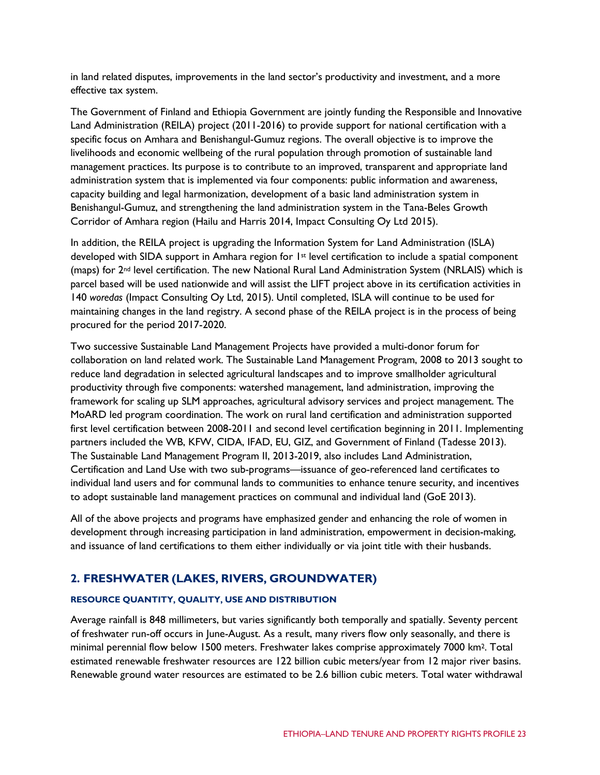in land related disputes, improvements in the land sector's productivity and investment, and a more effective tax system.

The Government of Finland and Ethiopia Government are jointly funding the Responsible and Innovative Land Administration (REILA) project (2011-2016) to provide support for national certification with a specific focus on Amhara and Benishangul-Gumuz regions. The overall objective is to improve the livelihoods and economic wellbeing of the rural population through promotion of sustainable land management practices. Its purpose is to contribute to an improved, transparent and appropriate land administration system that is implemented via four components: public information and awareness, capacity building and legal harmonization, development of a basic land administration system in Benishangul-Gumuz, and strengthening the land administration system in the Tana-Beles Growth Corridor of Amhara region (Hailu and Harris 2014, Impact Consulting Oy Ltd 2015).

In addition, the REILA project is upgrading the Information System for Land Administration (ISLA) developed with SIDA support in Amhara region for 1<sup>st</sup> level certification to include a spatial component (maps) for 2nd level certification. The new National Rural Land Administration System (NRLAIS) which is parcel based will be used nationwide and will assist the LIFT project above in its certification activities in 140 *woredas* (Impact Consulting Oy Ltd, 2015). Until completed, ISLA will continue to be used for maintaining changes in the land registry. A second phase of the REILA project is in the process of being procured for the period 2017-2020.

Two successive Sustainable Land Management Projects have provided a multi-donor forum for collaboration on land related work. The Sustainable Land Management Program, 2008 to 2013 sought to reduce land degradation in selected agricultural landscapes and to improve smallholder agricultural productivity through five components: watershed management, land administration, improving the framework for scaling up SLM approaches, agricultural advisory services and project management. The MoARD led program coordination. The work on rural land certification and administration supported first level certification between 2008-2011 and second level certification beginning in 2011. Implementing partners included the WB, KFW, CIDA, IFAD, EU, GIZ, and Government of Finland (Tadesse 2013). The Sustainable Land Management Program II, 2013-2019, also includes Land Administration, Certification and Land Use with two sub-programs—issuance of geo-referenced land certificates to individual land users and for communal lands to communities to enhance tenure security, and incentives to adopt sustainable land management practices on communal and individual land (GoE 2013).

All of the above projects and programs have emphasized gender and enhancing the role of women in development through increasing participation in land administration, empowerment in decision-making, and issuance of land certifications to them either individually or via joint title with their husbands.

## **2. FRESHWATER (LAKES, RIVERS, GROUNDWATER)**

## **RESOURCE QUANTITY, QUALITY, USE AND DISTRIBUTION**

Average rainfall is 848 millimeters, but varies significantly both temporally and spatially. Seventy percent of freshwater run-off occurs in June-August. As a result, many rivers flow only seasonally, and there is minimal perennial flow below 1500 meters. Freshwater lakes comprise approximately 7000 km2. Total estimated renewable freshwater resources are 122 billion cubic meters/year from 12 major river basins. Renewable ground water resources are estimated to be 2.6 billion cubic meters. Total water withdrawal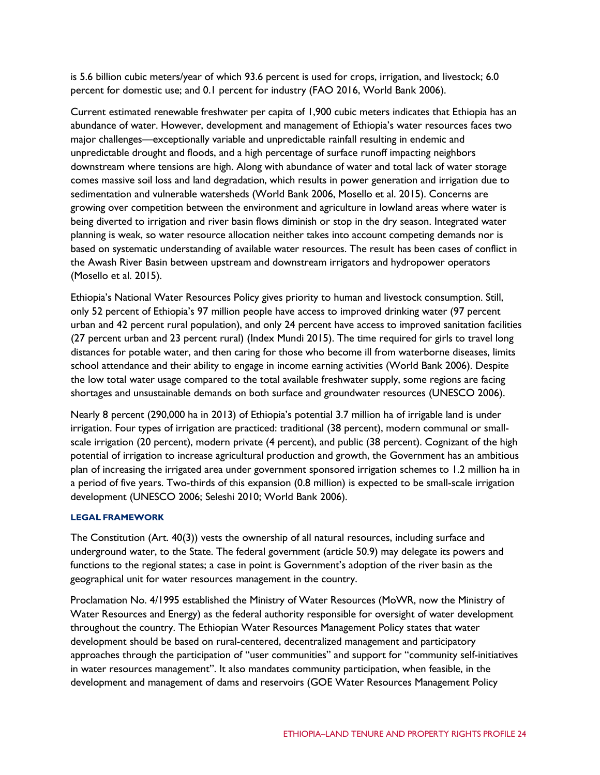is 5.6 billion cubic meters/year of which 93.6 percent is used for crops, irrigation, and livestock; 6.0 percent for domestic use; and 0.1 percent for industry (FAO 2016, World Bank 2006).

Current estimated renewable freshwater per capita of 1,900 cubic meters indicates that Ethiopia has an abundance of water. However, development and management of Ethiopia's water resources faces two major challenges—exceptionally variable and unpredictable rainfall resulting in endemic and unpredictable drought and floods, and a high percentage of surface runoff impacting neighbors downstream where tensions are high. Along with abundance of water and total lack of water storage comes massive soil loss and land degradation, which results in power generation and irrigation due to sedimentation and vulnerable watersheds (World Bank 2006, Mosello et al. 2015). Concerns are growing over competition between the environment and agriculture in lowland areas where water is being diverted to irrigation and river basin flows diminish or stop in the dry season. Integrated water planning is weak, so water resource allocation neither takes into account competing demands nor is based on systematic understanding of available water resources. The result has been cases of conflict in the Awash River Basin between upstream and downstream irrigators and hydropower operators (Mosello et al. 2015).

Ethiopia's National Water Resources Policy gives priority to human and livestock consumption. Still, only 52 percent of Ethiopia's 97 million people have access to improved drinking water (97 percent urban and 42 percent rural population), and only 24 percent have access to improved sanitation facilities (27 percent urban and 23 percent rural) (Index Mundi 2015). The time required for girls to travel long distances for potable water, and then caring for those who become ill from waterborne diseases, limits school attendance and their ability to engage in income earning activities (World Bank 2006). Despite the low total water usage compared to the total available freshwater supply, some regions are facing shortages and unsustainable demands on both surface and groundwater resources (UNESCO 2006).

Nearly 8 percent (290,000 ha in 2013) of Ethiopia's potential 3.7 million ha of irrigable land is under irrigation. Four types of irrigation are practiced: traditional (38 percent), modern communal or smallscale irrigation (20 percent), modern private (4 percent), and public (38 percent). Cognizant of the high potential of irrigation to increase agricultural production and growth, the Government has an ambitious plan of increasing the irrigated area under government sponsored irrigation schemes to 1.2 million ha in a period of five years. Two-thirds of this expansion (0.8 million) is expected to be small-scale irrigation development (UNESCO 2006; Seleshi 2010; World Bank 2006).

## **LEGAL FRAMEWORK**

The Constitution (Art. 40(3)) vests the ownership of all natural resources, including surface and underground water, to the State. The federal government (article 50.9) may delegate its powers and functions to the regional states; a case in point is Government's adoption of the river basin as the geographical unit for water resources management in the country.

Proclamation No. 4/1995 established the Ministry of Water Resources (MoWR, now the Ministry of Water Resources and Energy) as the federal authority responsible for oversight of water development throughout the country. The Ethiopian Water Resources Management Policy states that water development should be based on rural-centered, decentralized management and participatory approaches through the participation of "user communities" and support for "community self-initiatives in water resources management". It also mandates community participation, when feasible, in the development and management of dams and reservoirs (GOE Water Resources Management Policy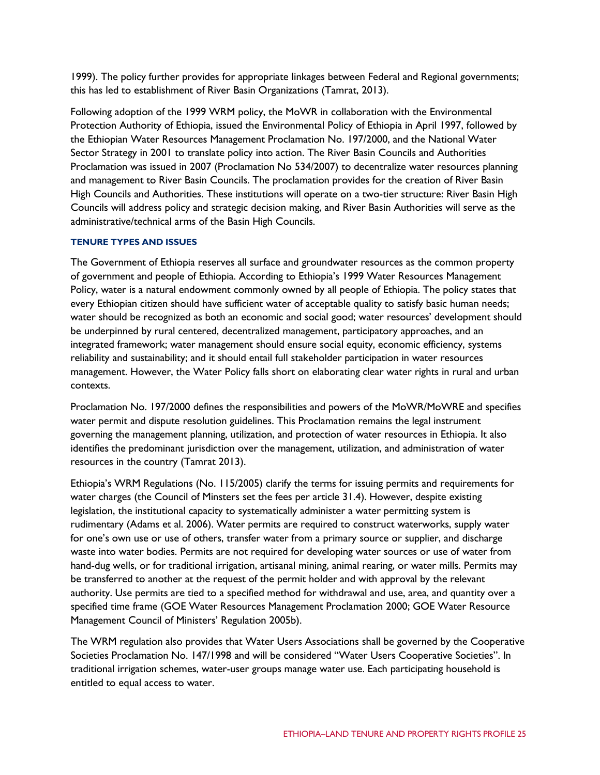1999). The policy further provides for appropriate linkages between Federal and Regional governments; this has led to establishment of River Basin Organizations (Tamrat, 2013).

Following adoption of the 1999 WRM policy, the MoWR in collaboration with the Environmental Protection Authority of Ethiopia, issued the Environmental Policy of Ethiopia in April 1997, followed by the Ethiopian Water Resources Management Proclamation No. 197/2000, and the National Water Sector Strategy in 2001 to translate policy into action. The River Basin Councils and Authorities Proclamation was issued in 2007 (Proclamation No 534/2007) to decentralize water resources planning and management to River Basin Councils. The proclamation provides for the creation of River Basin High Councils and Authorities. These institutions will operate on a two-tier structure: River Basin High Councils will address policy and strategic decision making, and River Basin Authorities will serve as the administrative/technical arms of the Basin High Councils.

## **TENURE TYPES AND ISSUES**

The Government of Ethiopia reserves all surface and groundwater resources as the common property of government and people of Ethiopia. According to Ethiopia's 1999 Water Resources Management Policy, water is a natural endowment commonly owned by all people of Ethiopia. The policy states that every Ethiopian citizen should have sufficient water of acceptable quality to satisfy basic human needs; water should be recognized as both an economic and social good; water resources' development should be underpinned by rural centered, decentralized management, participatory approaches, and an integrated framework; water management should ensure social equity, economic efficiency, systems reliability and sustainability; and it should entail full stakeholder participation in water resources management. However, the Water Policy falls short on elaborating clear water rights in rural and urban contexts.

Proclamation No. 197/2000 defines the responsibilities and powers of the MoWR/MoWRE and specifies water permit and dispute resolution guidelines. This Proclamation remains the legal instrument governing the management planning, utilization, and protection of water resources in Ethiopia. It also identifies the predominant jurisdiction over the management, utilization, and administration of water resources in the country (Tamrat 2013).

Ethiopia's WRM Regulations (No. 115/2005) clarify the terms for issuing permits and requirements for water charges (the Council of Minsters set the fees per article 31.4). However, despite existing legislation, the institutional capacity to systematically administer a water permitting system is rudimentary (Adams et al. 2006). Water permits are required to construct waterworks, supply water for one's own use or use of others, transfer water from a primary source or supplier, and discharge waste into water bodies. Permits are not required for developing water sources or use of water from hand-dug wells, or for traditional irrigation, artisanal mining, animal rearing, or water mills. Permits may be transferred to another at the request of the permit holder and with approval by the relevant authority. Use permits are tied to a specified method for withdrawal and use, area, and quantity over a specified time frame (GOE Water Resources Management Proclamation 2000; GOE Water Resource Management Council of Ministers' Regulation 2005b).

The WRM regulation also provides that Water Users Associations shall be governed by the Cooperative Societies Proclamation No. 147/1998 and will be considered "Water Users Cooperative Societies". In traditional irrigation schemes, water-user groups manage water use. Each participating household is entitled to equal access to water.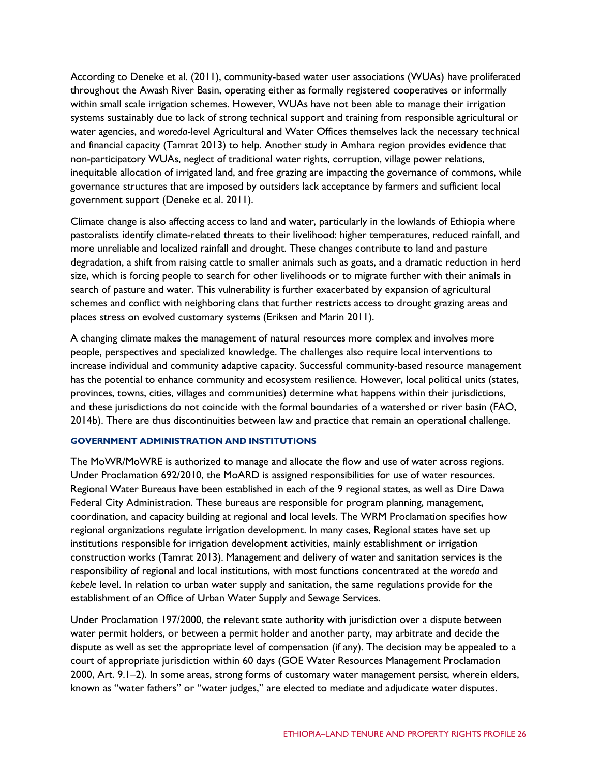According to Deneke et al. (2011), community-based water user associations (WUAs) have proliferated throughout the Awash River Basin, operating either as formally registered cooperatives or informally within small scale irrigation schemes. However, WUAs have not been able to manage their irrigation systems sustainably due to lack of strong technical support and training from responsible agricultural or water agencies, and *woreda*-level Agricultural and Water Offices themselves lack the necessary technical and financial capacity (Tamrat 2013) to help. Another study in Amhara region provides evidence that non-participatory WUAs, neglect of traditional water rights, corruption, village power relations, inequitable allocation of irrigated land, and free grazing are impacting the governance of commons, while governance structures that are imposed by outsiders lack acceptance by farmers and sufficient local government support (Deneke et al. 2011).

Climate change is also affecting access to land and water, particularly in the lowlands of Ethiopia where pastoralists identify climate-related threats to their livelihood: higher temperatures, reduced rainfall, and more unreliable and localized rainfall and drought. These changes contribute to land and pasture degradation, a shift from raising cattle to smaller animals such as goats, and a dramatic reduction in herd size, which is forcing people to search for other livelihoods or to migrate further with their animals in search of pasture and water. This vulnerability is further exacerbated by expansion of agricultural schemes and conflict with neighboring clans that further restricts access to drought grazing areas and places stress on evolved customary systems (Eriksen and Marin 2011).

A changing climate makes the management of natural resources more complex and involves more people, perspectives and specialized knowledge. The challenges also require local interventions to increase individual and community adaptive capacity. Successful community-based resource management has the potential to enhance community and ecosystem resilience. However, local political units (states, provinces, towns, cities, villages and communities) determine what happens within their jurisdictions, and these jurisdictions do not coincide with the formal boundaries of a watershed or river basin (FAO, 2014b). There are thus discontinuities between law and practice that remain an operational challenge.

#### **GOVERNMENT ADMINISTRATION AND INSTITUTIONS**

The MoWR/MoWRE is authorized to manage and allocate the flow and use of water across regions. Under Proclamation 692/2010, the MoARD is assigned responsibilities for use of water resources. Regional Water Bureaus have been established in each of the 9 regional states, as well as Dire Dawa Federal City Administration. These bureaus are responsible for program planning, management, coordination, and capacity building at regional and local levels. The WRM Proclamation specifies how regional organizations regulate irrigation development. In many cases, Regional states have set up institutions responsible for irrigation development activities, mainly establishment or irrigation construction works (Tamrat 2013). Management and delivery of water and sanitation services is the responsibility of regional and local institutions, with most functions concentrated at the *woreda* and *kebele* level. In relation to urban water supply and sanitation, the same regulations provide for the establishment of an Office of Urban Water Supply and Sewage Services.

Under Proclamation 197/2000, the relevant state authority with jurisdiction over a dispute between water permit holders, or between a permit holder and another party, may arbitrate and decide the dispute as well as set the appropriate level of compensation (if any). The decision may be appealed to a court of appropriate jurisdiction within 60 days (GOE Water Resources Management Proclamation 2000, Art. 9.1–2). In some areas, strong forms of customary water management persist, wherein elders, known as "water fathers" or "water judges," are elected to mediate and adjudicate water disputes.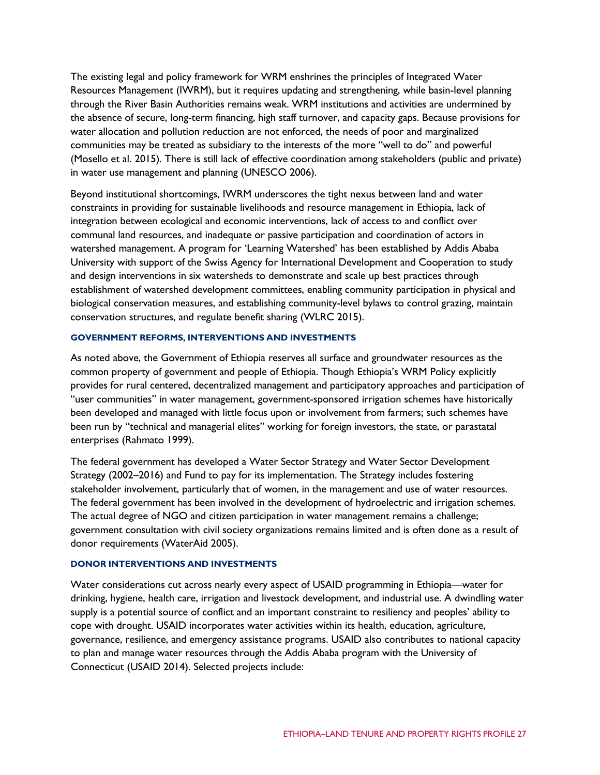The existing legal and policy framework for WRM enshrines the principles of Integrated Water Resources Management (IWRM), but it requires updating and strengthening, while basin-level planning through the River Basin Authorities remains weak. WRM institutions and activities are undermined by the absence of secure, long-term financing, high staff turnover, and capacity gaps. Because provisions for water allocation and pollution reduction are not enforced, the needs of poor and marginalized communities may be treated as subsidiary to the interests of the more "well to do" and powerful (Mosello et al. 2015). There is still lack of effective coordination among stakeholders (public and private) in water use management and planning (UNESCO 2006).

Beyond institutional shortcomings, IWRM underscores the tight nexus between land and water constraints in providing for sustainable livelihoods and resource management in Ethiopia, lack of integration between ecological and economic interventions, lack of access to and conflict over communal land resources, and inadequate or passive participation and coordination of actors in watershed management. A program for 'Learning Watershed' has been established by Addis Ababa University with support of the Swiss Agency for International Development and Cooperation to study and design interventions in six watersheds to demonstrate and scale up best practices through establishment of watershed development committees, enabling community participation in physical and biological conservation measures, and establishing community-level bylaws to control grazing, maintain conservation structures, and regulate benefit sharing (WLRC 2015).

## **GOVERNMENT REFORMS, INTERVENTIONS AND INVESTMENTS**

As noted above, the Government of Ethiopia reserves all surface and groundwater resources as the common property of government and people of Ethiopia. Though Ethiopia's WRM Policy explicitly provides for rural centered, decentralized management and participatory approaches and participation of "user communities" in water management, government-sponsored irrigation schemes have historically been developed and managed with little focus upon or involvement from farmers; such schemes have been run by "technical and managerial elites" working for foreign investors, the state, or parastatal enterprises (Rahmato 1999).

The federal government has developed a Water Sector Strategy and Water Sector Development Strategy (2002–2016) and Fund to pay for its implementation. The Strategy includes fostering stakeholder involvement, particularly that of women, in the management and use of water resources. The federal government has been involved in the development of hydroelectric and irrigation schemes. The actual degree of NGO and citizen participation in water management remains a challenge; government consultation with civil society organizations remains limited and is often done as a result of donor requirements (WaterAid 2005).

#### **DONOR INTERVENTIONS AND INVESTMENTS**

Water considerations cut across nearly every aspect of USAID programming in Ethiopia—water for drinking, hygiene, health care, irrigation and livestock development, and industrial use. A dwindling water supply is a potential source of conflict and an important constraint to resiliency and peoples' ability to cope with drought. USAID incorporates water activities within its health, education, agriculture, governance, resilience, and emergency assistance programs. USAID also contributes to national capacity to plan and manage water resources through the Addis Ababa program with the University of Connecticut (USAID 2014). Selected projects include: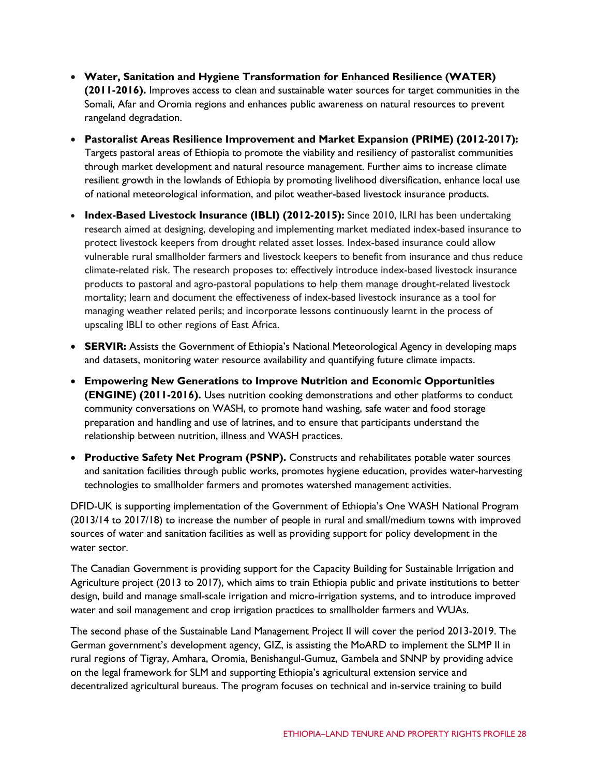- **Water, Sanitation and Hygiene Transformation for Enhanced Resilience (WATER) (2011-2016).** Improves access to clean and sustainable water sources for target communities in the Somali, Afar and Oromia regions and enhances public awareness on natural resources to prevent rangeland degradation.
- **Pastoralist Areas Resilience Improvement and Market Expansion (PRIME) (2012-2017):** Targets pastoral areas of Ethiopia to promote the viability and resiliency of pastoralist communities through market development and natural resource management. Further aims to increase climate resilient growth in the lowlands of Ethiopia by promoting livelihood diversification, enhance local use of national meteorological information, and pilot weather-based livestock insurance products.
- **Index-Based Livestock Insurance (IBLI) (2012-2015):** Since 2010, ILRI has been undertaking research aimed at designing, developing and implementing market mediated index-based insurance to protect livestock keepers from drought related asset losses. Index-based insurance could allow vulnerable rural smallholder farmers and livestock keepers to benefit from insurance and thus reduce climate-related risk. The research proposes to: effectively introduce index-based livestock insurance products to pastoral and agro-pastoral populations to help them manage drought-related livestock mortality; learn and document the effectiveness of index-based livestock insurance as a tool for managing weather related perils; and incorporate lessons continuously learnt in the process of upscaling IBLI to other regions of East Africa.
- **SERVIR:** Assists the Government of Ethiopia's National Meteorological Agency in developing maps and datasets, monitoring water resource availability and quantifying future climate impacts.
- **Empowering New Generations to Improve Nutrition and Economic Opportunities (ENGINE) (2011-2016).** Uses nutrition cooking demonstrations and other platforms to conduct community conversations on WASH, to promote hand washing, safe water and food storage preparation and handling and use of latrines, and to ensure that participants understand the relationship between nutrition, illness and WASH practices.
- **Productive Safety Net Program (PSNP).** Constructs and rehabilitates potable water sources and sanitation facilities through public works, promotes hygiene education, provides water-harvesting technologies to smallholder farmers and promotes watershed management activities.

DFID-UK is supporting implementation of the Government of Ethiopia's One WASH National Program (2013/14 to 2017/18) to increase the number of people in rural and small/medium towns with improved sources of water and sanitation facilities as well as providing support for policy development in the water sector.

The Canadian Government is providing support for the Capacity Building for Sustainable Irrigation and Agriculture project (2013 to 2017), which aims to train Ethiopia public and private institutions to better design, build and manage small-scale irrigation and micro-irrigation systems, and to introduce improved water and soil management and crop irrigation practices to smallholder farmers and WUAs.

The second phase of the Sustainable Land Management Project II will cover the period 2013-2019. The German government's development agency, GIZ, is assisting the MoARD to implement the SLMP II in rural regions of Tigray, Amhara, Oromia, Benishangul-Gumuz, Gambela and SNNP by providing advice on the legal framework for SLM and supporting Ethiopia's agricultural extension service and decentralized agricultural bureaus. The program focuses on technical and in-service training to build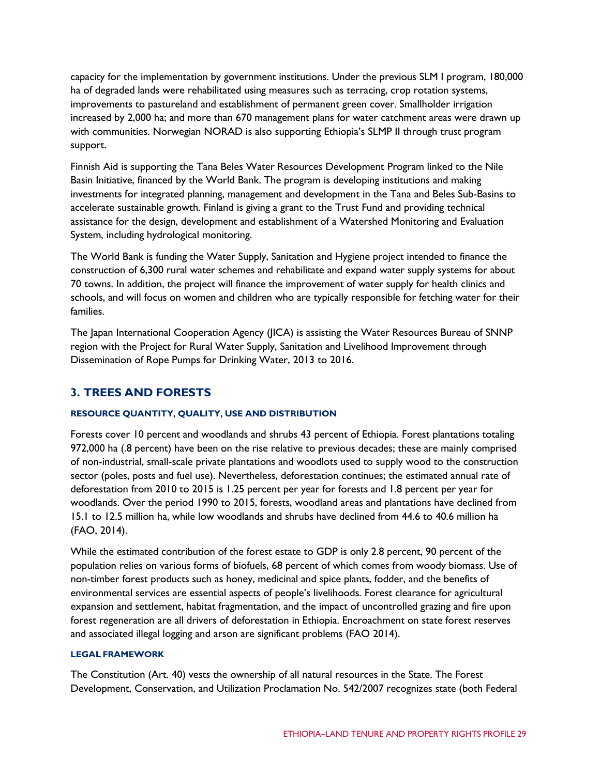capacity for the implementation by government institutions. Under the previous SLM I program, 180,000 ha of degraded lands were rehabilitated using measures such as terracing, crop rotation systems, improvements to pastureland and establishment of permanent green cover. Smallholder irrigation increased by 2,000 ha; and more than 670 management plans for water catchment areas were drawn up with communities. Norwegian NORAD is also supporting Ethiopia's SLMP II through trust program support.

Finnish Aid is supporting the Tana Beles Water Resources Development Program linked to the Nile Basin Initiative, financed by the World Bank. The program is developing institutions and making investments for integrated planning, management and development in the Tana and Beles Sub-Basins to accelerate sustainable growth. Finland is giving a grant to the Trust Fund and providing technical assistance for the design, development and establishment of a Watershed Monitoring and Evaluation System, including hydrological monitoring.

The World Bank is funding the Water Supply, Sanitation and Hygiene project intended to finance the construction of 6,300 rural water schemes and rehabilitate and expand water supply systems for about 70 towns. In addition, the project will finance the improvement of water supply for health clinics and schools, and will focus on women and children who are typically responsible for fetching water for their families.

The Japan International Cooperation Agency (JICA) is assisting the Water Resources Bureau of SNNP region with the Project for Rural Water Supply, Sanitation and Livelihood Improvement through Dissemination of Rope Pumps for Drinking Water, 2013 to 2016.

# **3. TREES AND FORESTS**

## **RESOURCE QUANTITY, QUALITY, USE AND DISTRIBUTION**

Forests cover 10 percent and woodlands and shrubs 43 percent of Ethiopia. Forest plantations totaling 972,000 ha (.8 percent) have been on the rise relative to previous decades; these are mainly comprised of non-industrial, small-scale private plantations and woodlots used to supply wood to the construction sector (poles, posts and fuel use). Nevertheless, deforestation continues; the estimated annual rate of deforestation from 2010 to 2015 is 1.25 percent per year for forests and 1.8 percent per year for woodlands. Over the period 1990 to 2015, forests, woodland areas and plantations have declined from 15.1 to 12.5 million ha, while low woodlands and shrubs have declined from 44.6 to 40.6 million ha (FAO, 2014).

While the estimated contribution of the forest estate to GDP is only 2.8 percent, 90 percent of the population relies on various forms of biofuels, 68 percent of which comes from woody biomass. Use of non-timber forest products such as honey, medicinal and spice plants, fodder, and the benefits of environmental services are essential aspects of people's livelihoods. Forest clearance for agricultural expansion and settlement, habitat fragmentation, and the impact of uncontrolled grazing and fire upon forest regeneration are all drivers of deforestation in Ethiopia. Encroachment on state forest reserves and associated illegal logging and arson are significant problems (FAO 2014).

## **LEGAL FRAMEWORK**

The Constitution (Art. 40) vests the ownership of all natural resources in the State. The Forest Development, Conservation, and Utilization Proclamation No. 542/2007 recognizes state (both Federal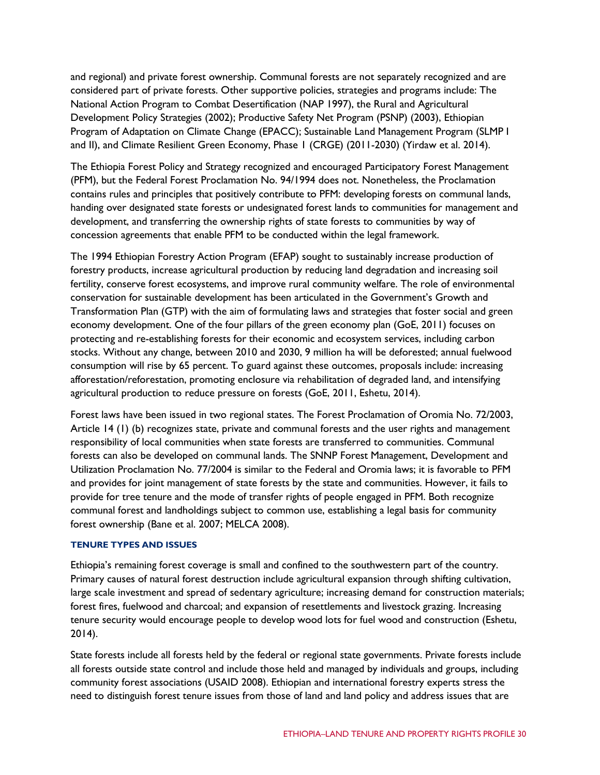and regional) and private forest ownership. Communal forests are not separately recognized and are considered part of private forests. Other supportive policies, strategies and programs include: The National Action Program to Combat Desertification (NAP 1997), the Rural and Agricultural Development Policy Strategies (2002); Productive Safety Net Program (PSNP) (2003), Ethiopian Program of Adaptation on Climate Change (EPACC); Sustainable Land Management Program (SLMP I and II), and Climate Resilient Green Economy, Phase 1 (CRGE) (2011-2030) (Yirdaw et al. 2014).

The Ethiopia Forest Policy and Strategy recognized and encouraged Participatory Forest Management (PFM), but the Federal Forest Proclamation No. 94/1994 does not. Nonetheless, the Proclamation contains rules and principles that positively contribute to PFM: developing forests on communal lands, handing over designated state forests or undesignated forest lands to communities for management and development, and transferring the ownership rights of state forests to communities by way of concession agreements that enable PFM to be conducted within the legal framework.

The 1994 Ethiopian Forestry Action Program (EFAP) sought to sustainably increase production of forestry products, increase agricultural production by reducing land degradation and increasing soil fertility, conserve forest ecosystems, and improve rural community welfare. The role of environmental conservation for sustainable development has been articulated in the Government's Growth and Transformation Plan (GTP) with the aim of formulating laws and strategies that foster social and green economy development. One of the four pillars of the green economy plan (GoE, 2011) focuses on protecting and re-establishing forests for their economic and ecosystem services, including carbon stocks. Without any change, between 2010 and 2030, 9 million ha will be deforested; annual fuelwood consumption will rise by 65 percent. To guard against these outcomes, proposals include: increasing afforestation/reforestation, promoting enclosure via rehabilitation of degraded land, and intensifying agricultural production to reduce pressure on forests (GoE, 2011, Eshetu, 2014).

Forest laws have been issued in two regional states. The Forest Proclamation of Oromia No. 72/2003, Article 14 (1) (b) recognizes state, private and communal forests and the user rights and management responsibility of local communities when state forests are transferred to communities. Communal forests can also be developed on communal lands. The SNNP Forest Management, Development and Utilization Proclamation No. 77/2004 is similar to the Federal and Oromia laws; it is favorable to PFM and provides for joint management of state forests by the state and communities. However, it fails to provide for tree tenure and the mode of transfer rights of people engaged in PFM. Both recognize communal forest and landholdings subject to common use, establishing a legal basis for community forest ownership (Bane et al. 2007; MELCA 2008).

## **TENURE TYPES AND ISSUES**

Ethiopia's remaining forest coverage is small and confined to the southwestern part of the country. Primary causes of natural forest destruction include agricultural expansion through shifting cultivation, large scale investment and spread of sedentary agriculture; increasing demand for construction materials; forest fires, fuelwood and charcoal; and expansion of resettlements and livestock grazing. Increasing tenure security would encourage people to develop wood lots for fuel wood and construction (Eshetu, 2014).

State forests include all forests held by the federal or regional state governments. Private forests include all forests outside state control and include those held and managed by individuals and groups, including community forest associations (USAID 2008). Ethiopian and international forestry experts stress the need to distinguish forest tenure issues from those of land and land policy and address issues that are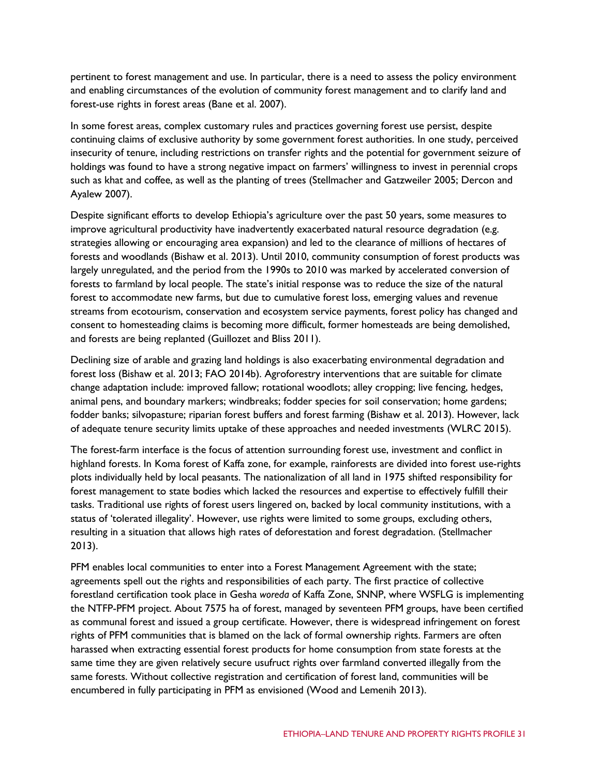pertinent to forest management and use. In particular, there is a need to assess the policy environment and enabling circumstances of the evolution of community forest management and to clarify land and forest-use rights in forest areas (Bane et al. 2007).

In some forest areas, complex customary rules and practices governing forest use persist, despite continuing claims of exclusive authority by some government forest authorities. In one study, perceived insecurity of tenure, including restrictions on transfer rights and the potential for government seizure of holdings was found to have a strong negative impact on farmers' willingness to invest in perennial crops such as khat and coffee, as well as the planting of trees (Stellmacher and Gatzweiler 2005; Dercon and Ayalew 2007).

Despite significant efforts to develop Ethiopia's agriculture over the past 50 years, some measures to improve agricultural productivity have inadvertently exacerbated natural resource degradation (e.g. strategies allowing or encouraging area expansion) and led to the clearance of millions of hectares of forests and woodlands (Bishaw et al. 2013). Until 2010, community consumption of forest products was largely unregulated, and the period from the 1990s to 2010 was marked by accelerated conversion of forests to farmland by local people. The state's initial response was to reduce the size of the natural forest to accommodate new farms, but due to cumulative forest loss, emerging values and revenue streams from ecotourism, conservation and ecosystem service payments, forest policy has changed and consent to homesteading claims is becoming more difficult, former homesteads are being demolished, and forests are being replanted (Guillozet and Bliss 2011).

Declining size of arable and grazing land holdings is also exacerbating environmental degradation and forest loss (Bishaw et al. 2013; FAO 2014b). Agroforestry interventions that are suitable for climate change adaptation include: improved fallow; rotational woodlots; alley cropping; live fencing, hedges, animal pens, and boundary markers; windbreaks; fodder species for soil conservation; home gardens; fodder banks; silvopasture; riparian forest buffers and forest farming (Bishaw et al. 2013). However, lack of adequate tenure security limits uptake of these approaches and needed investments (WLRC 2015).

The forest-farm interface is the focus of attention surrounding forest use, investment and conflict in highland forests. In Koma forest of Kaffa zone, for example, rainforests are divided into forest use-rights plots individually held by local peasants. The nationalization of all land in 1975 shifted responsibility for forest management to state bodies which lacked the resources and expertise to effectively fulfill their tasks. Traditional use rights of forest users lingered on, backed by local community institutions, with a status of 'tolerated illegality'. However, use rights were limited to some groups, excluding others, resulting in a situation that allows high rates of deforestation and forest degradation. (Stellmacher 2013).

PFM enables local communities to enter into a Forest Management Agreement with the state; agreements spell out the rights and responsibilities of each party. The first practice of collective forestland certification took place in Gesha *woreda* of Kaffa Zone, SNNP, where WSFLG is implementing the NTFP-PFM project. About 7575 ha of forest, managed by seventeen PFM groups, have been certified as communal forest and issued a group certificate. However, there is widespread infringement on forest rights of PFM communities that is blamed on the lack of formal ownership rights. Farmers are often harassed when extracting essential forest products for home consumption from state forests at the same time they are given relatively secure usufruct rights over farmland converted illegally from the same forests. Without collective registration and certification of forest land, communities will be encumbered in fully participating in PFM as envisioned (Wood and Lemenih 2013).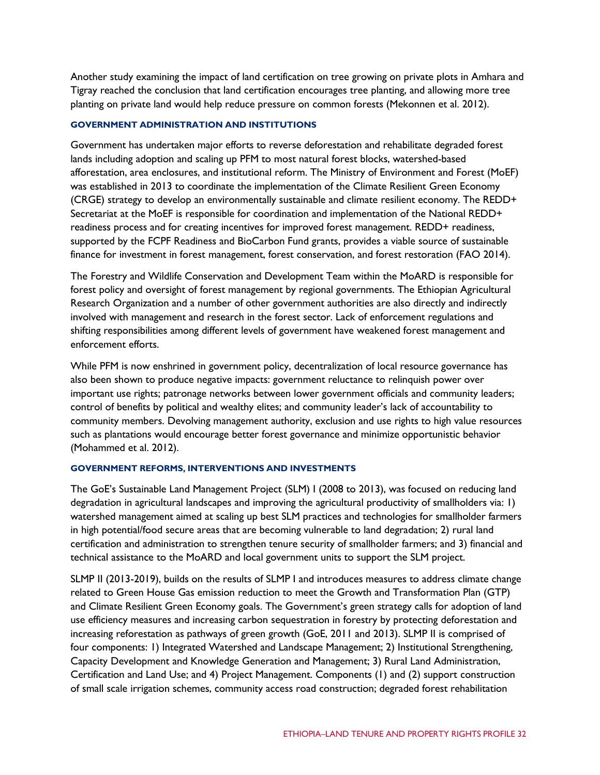Another study examining the impact of land certification on tree growing on private plots in Amhara and Tigray reached the conclusion that land certification encourages tree planting, and allowing more tree planting on private land would help reduce pressure on common forests (Mekonnen et al. 2012).

## **GOVERNMENT ADMINISTRATION AND INSTITUTIONS**

Government has undertaken major efforts to reverse deforestation and rehabilitate degraded forest lands including adoption and scaling up PFM to most natural forest blocks, watershed-based afforestation, area enclosures, and institutional reform. The Ministry of Environment and Forest (MoEF) was established in 2013 to coordinate the implementation of the Climate Resilient Green Economy (CRGE) strategy to develop an environmentally sustainable and climate resilient economy. The REDD+ Secretariat at the MoEF is responsible for coordination and implementation of the National REDD+ readiness process and for creating incentives for improved forest management. REDD+ readiness, supported by the FCPF Readiness and BioCarbon Fund grants, provides a viable source of sustainable finance for investment in forest management, forest conservation, and forest restoration (FAO 2014).

The Forestry and Wildlife Conservation and Development Team within the MoARD is responsible for forest policy and oversight of forest management by regional governments. The Ethiopian Agricultural Research Organization and a number of other government authorities are also directly and indirectly involved with management and research in the forest sector. Lack of enforcement regulations and shifting responsibilities among different levels of government have weakened forest management and enforcement efforts.

While PFM is now enshrined in government policy, decentralization of local resource governance has also been shown to produce negative impacts: government reluctance to relinquish power over important use rights; patronage networks between lower government officials and community leaders; control of benefits by political and wealthy elites; and community leader's lack of accountability to community members. Devolving management authority, exclusion and use rights to high value resources such as plantations would encourage better forest governance and minimize opportunistic behavior (Mohammed et al. 2012).

## **GOVERNMENT REFORMS, INTERVENTIONS AND INVESTMENTS**

The GoE's Sustainable Land Management Project (SLM) I (2008 to 2013), was focused on reducing land degradation in agricultural landscapes and improving the agricultural productivity of smallholders via: 1) watershed management aimed at scaling up best SLM practices and technologies for smallholder farmers in high potential/food secure areas that are becoming vulnerable to land degradation; 2) rural land certification and administration to strengthen tenure security of smallholder farmers; and 3) financial and technical assistance to the MoARD and local government units to support the SLM project.

SLMP II (2013-2019), builds on the results of SLMP I and introduces measures to address climate change related to Green House Gas emission reduction to meet the Growth and Transformation Plan (GTP) and Climate Resilient Green Economy goals. The Government's green strategy calls for adoption of land use efficiency measures and increasing carbon sequestration in forestry by protecting deforestation and increasing reforestation as pathways of green growth (GoE, 2011 and 2013). SLMP II is comprised of four components: 1) Integrated Watershed and Landscape Management; 2) Institutional Strengthening, Capacity Development and Knowledge Generation and Management; 3) Rural Land Administration, Certification and Land Use; and 4) Project Management. Components (1) and (2) support construction of small scale irrigation schemes, community access road construction; degraded forest rehabilitation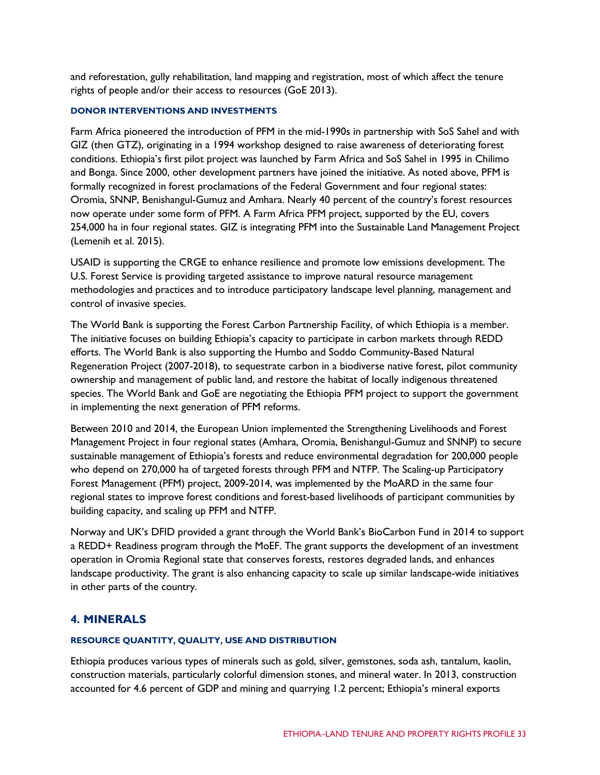and reforestation, gully rehabilitation, land mapping and registration, most of which affect the tenure rights of people and/or their access to resources (GoE 2013).

## **DONOR INTERVENTIONS AND INVESTMENTS**

Farm Africa pioneered the introduction of PFM in the mid-1990s in partnership with SoS Sahel and with GIZ (then GTZ), originating in a 1994 workshop designed to raise awareness of deteriorating forest conditions. Ethiopia's first pilot project was launched by Farm Africa and SoS Sahel in 1995 in Chilimo and Bonga. Since 2000, other development partners have joined the initiative. As noted above, PFM is formally recognized in forest proclamations of the Federal Government and four regional states: Oromia, SNNP, Benishangul-Gumuz and Amhara. Nearly 40 percent of the country's forest resources now operate under some form of PFM. A Farm Africa PFM project, supported by the EU, covers 254,000 ha in four regional states. GIZ is integrating PFM into the Sustainable Land Management Project (Lemenih et al. 2015).

USAID is supporting the CRGE to enhance resilience and promote low emissions development. The U.S. Forest Service is providing targeted assistance to improve natural resource management methodologies and practices and to introduce participatory landscape level planning, management and control of invasive species.

The World Bank is supporting the Forest Carbon Partnership Facility, of which Ethiopia is a member. The initiative focuses on building Ethiopia's capacity to participate in carbon markets through REDD efforts. The World Bank is also supporting the Humbo and Soddo Community-Based Natural Regeneration Project (2007-2018), to sequestrate carbon in a biodiverse native forest, pilot community ownership and management of public land, and restore the habitat of locally indigenous threatened species. The World Bank and GoE are negotiating the Ethiopia PFM project to support the government in implementing the next generation of PFM reforms.

Between 2010 and 2014, the European Union implemented the Strengthening Livelihoods and Forest Management Project in four regional states (Amhara, Oromia, Benishangul-Gumuz and SNNP) to secure sustainable management of Ethiopia's forests and reduce environmental degradation for 200,000 people who depend on 270,000 ha of targeted forests through PFM and NTFP. The Scaling-up Participatory Forest Management (PFM) project, 2009-2014, was implemented by the MoARD in the same four regional states to improve forest conditions and forest-based livelihoods of participant communities by building capacity, and scaling up PFM and NTFP.

Norway and UK's DFID provided a grant through the World Bank's BioCarbon Fund in 2014 to support a REDD+ Readiness program through the MoEF. The grant supports the development of an investment operation in Oromia Regional state that conserves forests, restores degraded lands, and enhances landscape productivity. The grant is also enhancing capacity to scale up similar landscape-wide initiatives in other parts of the country.

# **4. MINERALS**

## **RESOURCE QUANTITY, QUALITY, USE AND DISTRIBUTION**

Ethiopia produces various types of minerals such as gold, silver, gemstones, soda ash, tantalum, kaolin, construction materials, particularly colorful dimension stones, and mineral water. In 2013, construction accounted for 4.6 percent of GDP and mining and quarrying 1.2 percent; Ethiopia's mineral exports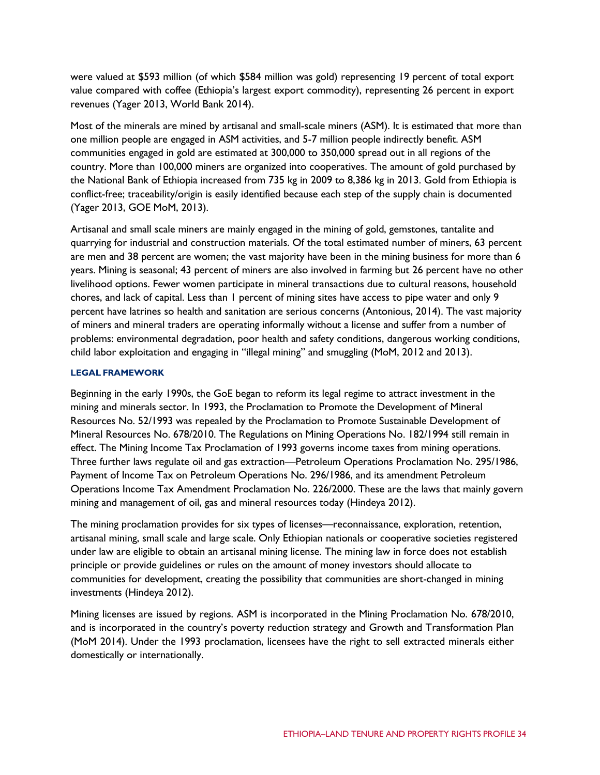were valued at \$593 million (of which \$584 million was gold) representing 19 percent of total export value compared with coffee (Ethiopia's largest export commodity), representing 26 percent in export revenues (Yager 2013, World Bank 2014).

Most of the minerals are mined by artisanal and small-scale miners (ASM). It is estimated that more than one million people are engaged in ASM activities, and 5-7 million people indirectly benefit. ASM communities engaged in gold are estimated at 300,000 to 350,000 spread out in all regions of the country. More than 100,000 miners are organized into cooperatives. The amount of gold purchased by the National Bank of Ethiopia increased from 735 kg in 2009 to 8,386 kg in 2013. Gold from Ethiopia is conflict-free; traceability/origin is easily identified because each step of the supply chain is documented (Yager 2013, GOE MoM, 2013).

Artisanal and small scale miners are mainly engaged in the mining of gold, gemstones, tantalite and quarrying for industrial and construction materials. Of the total estimated number of miners, 63 percent are men and 38 percent are women; the vast majority have been in the mining business for more than 6 years. Mining is seasonal; 43 percent of miners are also involved in farming but 26 percent have no other livelihood options. Fewer women participate in mineral transactions due to cultural reasons, household chores, and lack of capital. Less than 1 percent of mining sites have access to pipe water and only 9 percent have latrines so health and sanitation are serious concerns (Antonious, 2014). The vast majority of miners and mineral traders are operating informally without a license and suffer from a number of problems: environmental degradation, poor health and safety conditions, dangerous working conditions, child labor exploitation and engaging in "illegal mining" and smuggling (MoM, 2012 and 2013).

## **LEGAL FRAMEWORK**

Beginning in the early 1990s, the GoE began to reform its legal regime to attract investment in the mining and minerals sector. In 1993, the Proclamation to Promote the Development of Mineral Resources No. 52/1993 was repealed by the Proclamation to Promote Sustainable Development of Mineral Resources No. 678/2010. The Regulations on Mining Operations No. 182/1994 still remain in effect. The Mining Income Tax Proclamation of 1993 governs income taxes from mining operations. Three further laws regulate oil and gas extraction—Petroleum Operations Proclamation No. 295/1986, Payment of Income Tax on Petroleum Operations No. 296/1986, and its amendment Petroleum Operations Income Tax Amendment Proclamation No. 226/2000. These are the laws that mainly govern mining and management of oil, gas and mineral resources today (Hindeya 2012).

The mining proclamation provides for six types of licenses—reconnaissance, exploration, retention, artisanal mining, small scale and large scale. Only Ethiopian nationals or cooperative societies registered under law are eligible to obtain an artisanal mining license. The mining law in force does not establish principle or provide guidelines or rules on the amount of money investors should allocate to communities for development, creating the possibility that communities are short-changed in mining investments (Hindeya 2012).

Mining licenses are issued by regions. ASM is incorporated in the Mining Proclamation No. 678/2010, and is incorporated in the country's poverty reduction strategy and Growth and Transformation Plan (MoM 2014). Under the 1993 proclamation, licensees have the right to sell extracted minerals either domestically or internationally.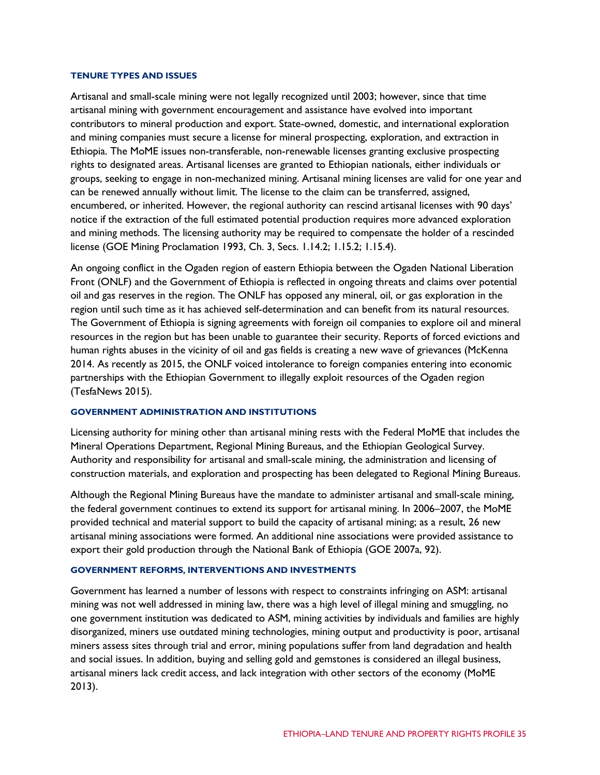#### **TENURE TYPES AND ISSUES**

Artisanal and small-scale mining were not legally recognized until 2003; however, since that time artisanal mining with government encouragement and assistance have evolved into important contributors to mineral production and export. State-owned, domestic, and international exploration and mining companies must secure a license for mineral prospecting, exploration, and extraction in Ethiopia. The MoME issues non-transferable, non-renewable licenses granting exclusive prospecting rights to designated areas. Artisanal licenses are granted to Ethiopian nationals, either individuals or groups, seeking to engage in non-mechanized mining. Artisanal mining licenses are valid for one year and can be renewed annually without limit. The license to the claim can be transferred, assigned, encumbered, or inherited. However, the regional authority can rescind artisanal licenses with 90 days' notice if the extraction of the full estimated potential production requires more advanced exploration and mining methods. The licensing authority may be required to compensate the holder of a rescinded license (GOE Mining Proclamation 1993, Ch. 3, Secs. 1.14.2; 1.15.2; 1.15.4).

An ongoing conflict in the Ogaden region of eastern Ethiopia between the Ogaden National Liberation Front (ONLF) and the Government of Ethiopia is reflected in ongoing threats and claims over potential oil and gas reserves in the region. The ONLF has opposed any mineral, oil, or gas exploration in the region until such time as it has achieved self-determination and can benefit from its natural resources. The Government of Ethiopia is signing agreements with foreign oil companies to explore oil and mineral resources in the region but has been unable to guarantee their security. Reports of forced evictions and human rights abuses in the vicinity of oil and gas fields is creating a new wave of grievances (McKenna 2014. As recently as 2015, the ONLF voiced intolerance to foreign companies entering into economic partnerships with the Ethiopian Government to illegally exploit resources of the Ogaden region (TesfaNews 2015).

#### **GOVERNMENT ADMINISTRATION AND INSTITUTIONS**

Licensing authority for mining other than artisanal mining rests with the Federal MoME that includes the Mineral Operations Department, Regional Mining Bureaus, and the Ethiopian Geological Survey. Authority and responsibility for artisanal and small-scale mining, the administration and licensing of construction materials, and exploration and prospecting has been delegated to Regional Mining Bureaus.

Although the Regional Mining Bureaus have the mandate to administer artisanal and small-scale mining, the federal government continues to extend its support for artisanal mining. In 2006–2007, the MoME provided technical and material support to build the capacity of artisanal mining; as a result, 26 new artisanal mining associations were formed. An additional nine associations were provided assistance to export their gold production through the National Bank of Ethiopia (GOE 2007a, 92).

#### **GOVERNMENT REFORMS, INTERVENTIONS AND INVESTMENTS**

Government has learned a number of lessons with respect to constraints infringing on ASM: artisanal mining was not well addressed in mining law, there was a high level of illegal mining and smuggling, no one government institution was dedicated to ASM, mining activities by individuals and families are highly disorganized, miners use outdated mining technologies, mining output and productivity is poor, artisanal miners assess sites through trial and error, mining populations suffer from land degradation and health and social issues. In addition, buying and selling gold and gemstones is considered an illegal business, artisanal miners lack credit access, and lack integration with other sectors of the economy (MoME 2013).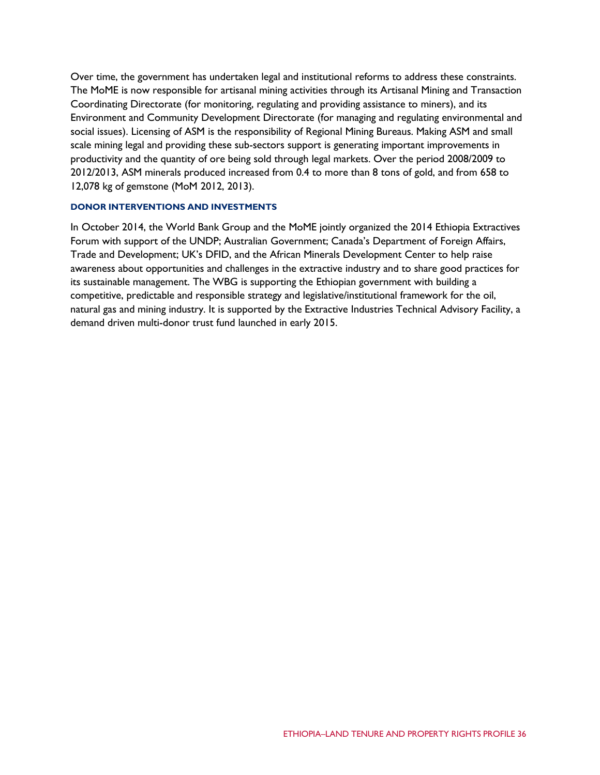Over time, the government has undertaken legal and institutional reforms to address these constraints. The MoME is now responsible for artisanal mining activities through its Artisanal Mining and Transaction Coordinating Directorate (for monitoring, regulating and providing assistance to miners), and its Environment and Community Development Directorate (for managing and regulating environmental and social issues). Licensing of ASM is the responsibility of Regional Mining Bureaus. Making ASM and small scale mining legal and providing these sub-sectors support is generating important improvements in productivity and the quantity of ore being sold through legal markets. Over the period 2008/2009 to 2012/2013, ASM minerals produced increased from 0.4 to more than 8 tons of gold, and from 658 to 12,078 kg of gemstone (MoM 2012, 2013).

## **DONOR INTERVENTIONS AND INVESTMENTS**

In October 2014, the World Bank Group and the MoME jointly organized the 2014 Ethiopia Extractives Forum with support of the UNDP; Australian Government; Canada's Department of Foreign Affairs, Trade and Development; UK's DFID, and the African Minerals Development Center to help raise awareness about opportunities and challenges in the extractive industry and to share good practices for its sustainable management. The WBG is supporting the Ethiopian government with building a competitive, predictable and responsible strategy and legislative/institutional framework for the oil, natural gas and mining industry. It is supported by the Extractive Industries Technical Advisory Facility, a demand driven multi-donor trust fund launched in early 2015.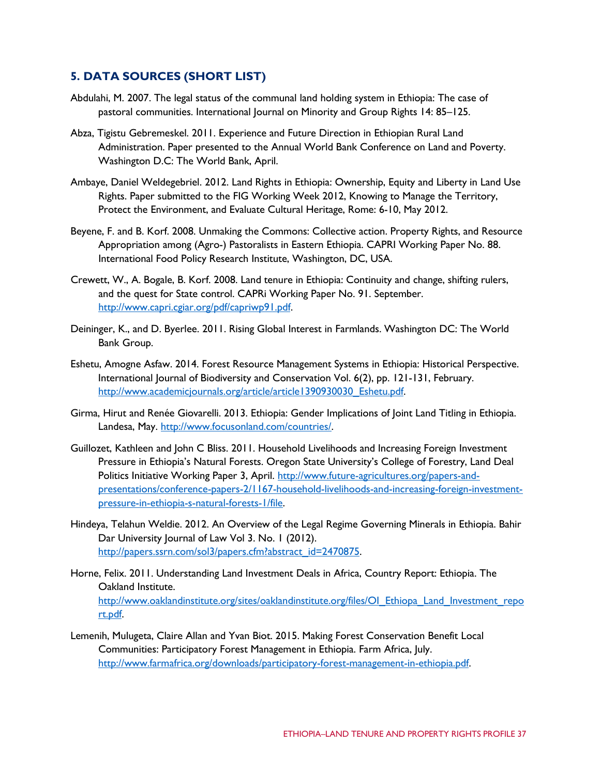## **5. DATA SOURCES (SHORT LIST)**

- Abdulahi, M. 2007. The legal status of the communal land holding system in Ethiopia: The case of pastoral communities. International Journal on Minority and Group Rights 14: 85–125.
- Abza, Tigistu Gebremeskel. 2011. Experience and Future Direction in Ethiopian Rural Land Administration. Paper presented to the Annual World Bank Conference on Land and Poverty. Washington D.C: The World Bank, April.
- Ambaye, Daniel Weldegebriel. 2012. Land Rights in Ethiopia: Ownership, Equity and Liberty in Land Use Rights. Paper submitted to the FIG Working Week 2012, Knowing to Manage the Territory, Protect the Environment, and Evaluate Cultural Heritage, Rome: 6-10, May 2012.
- Beyene, F. and B. Korf. 2008. Unmaking the Commons: Collective action. Property Rights, and Resource Appropriation among (Agro-) Pastoralists in Eastern Ethiopia. CAPRI Working Paper No. 88. International Food Policy Research Institute, Washington, DC, USA.
- Crewett, W., A. Bogale, B. Korf. 2008. Land tenure in Ethiopia: Continuity and change, shifting rulers, and the quest for State control. CAPRi Working Paper No. 91. September. [http://www.capri.cgiar.org/pdf/capriwp91.pdf.](http://www.capri.cgiar.org/pdf/capriwp91.pdf)
- Deininger, K., and D. Byerlee. 2011. Rising Global Interest in Farmlands. Washington DC: The World Bank Group.
- Eshetu, Amogne Asfaw. 2014. Forest Resource Management Systems in Ethiopia: Historical Perspective. International Journal of Biodiversity and Conservation Vol. 6(2), pp. 121-131, February. [http://www.academicjournals.org/article/article1390930030\\_Eshetu.pdf.](http://www.academicjournals.org/article/article1390930030_Eshetu.pdf)
- Girma, Hirut and Renée Giovarelli. 2013. Ethiopia: Gender Implications of Joint Land Titling in Ethiopia. Landesa, May. [http://www.focusonland.com/countries/.](http://www.focusonland.com/countries/)
- Guillozet, Kathleen and John C Bliss. 2011. Household Livelihoods and Increasing Foreign Investment Pressure in Ethiopia's Natural Forests. Oregon State University's College of Forestry, Land Deal Politics Initiative Working Paper 3, April. [http://www.future-agricultures.org/papers-and](http://www.future-agricultures.org/papers-and-presentations/conference-papers-2/1167-household-livelihoods-and-increasing-foreign-investment-pressure-in-ethiopia-s-natural-forests-1/file)[presentations/conference-papers-2/1167-household-livelihoods-and-increasing-foreign-investment](http://www.future-agricultures.org/papers-and-presentations/conference-papers-2/1167-household-livelihoods-and-increasing-foreign-investment-pressure-in-ethiopia-s-natural-forests-1/file)[pressure-in-ethiopia-s-natural-forests-1/file.](http://www.future-agricultures.org/papers-and-presentations/conference-papers-2/1167-household-livelihoods-and-increasing-foreign-investment-pressure-in-ethiopia-s-natural-forests-1/file)
- Hindeya, Telahun Weldie. 2012. An Overview of the Legal Regime Governing Minerals in Ethiopia. Bahir Dar University Journal of Law Vol 3. No. 1 (2012). [http://papers.ssrn.com/sol3/papers.cfm?abstract\\_id=2470875.](http://papers.ssrn.com/sol3/papers.cfm?abstract_id=2470875)
- Horne, Felix. 2011. Understanding Land Investment Deals in Africa, Country Report: Ethiopia. The Oakland Institute. [http://www.oaklandinstitute.org/sites/oaklandinstitute.org/files/OI\\_Ethiopa\\_Land\\_Investment\\_repo](http://www.oaklandinstitute.org/sites/oaklandinstitute.org/files/OI_Ethiopa_Land_Investment_report.pdf) [rt.pdf.](http://www.oaklandinstitute.org/sites/oaklandinstitute.org/files/OI_Ethiopa_Land_Investment_report.pdf)
- Lemenih, Mulugeta, Claire Allan and Yvan Biot. 2015. Making Forest Conservation Benefit Local Communities: Participatory Forest Management in Ethiopia. Farm Africa, July. [http://www.farmafrica.org/downloads/participatory-forest-management-in-ethiopia.pdf.](http://www.farmafrica.org/downloads/participatory-forest-management-in-ethiopia.pdf)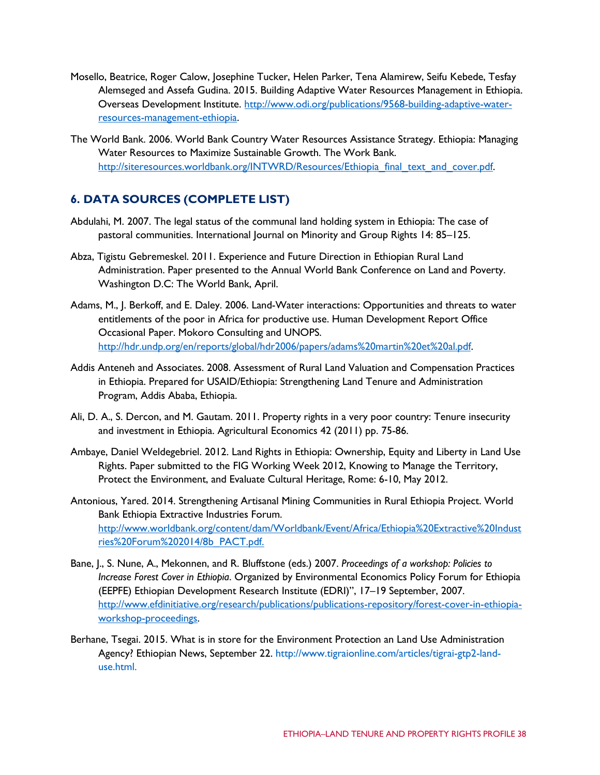- Mosello, Beatrice, Roger Calow, Josephine Tucker, Helen Parker, Tena Alamirew, Seifu Kebede, Tesfay Alemseged and Assefa Gudina. 2015. Building Adaptive Water Resources Management in Ethiopia. Overseas Development Institute. [http://www.odi.org/publications/9568-building-adaptive-water](http://www.odi.org/publications/9568-building-adaptive-water-resources-management-ethiopia)[resources-management-ethiopia.](http://www.odi.org/publications/9568-building-adaptive-water-resources-management-ethiopia)
- The World Bank. 2006. World Bank Country Water Resources Assistance Strategy. Ethiopia: Managing Water Resources to Maximize Sustainable Growth. The Work Bank. [http://siteresources.worldbank.org/INTWRD/Resources/Ethiopia\\_final\\_text\\_and\\_cover.pdf.](http://siteresources.worldbank.org/INTWRD/Resources/Ethiopia_final_text_and_cover.pdf)

# **6. DATA SOURCES (COMPLETE LIST)**

- Abdulahi, M. 2007. The legal status of the communal land holding system in Ethiopia: The case of pastoral communities. International Journal on Minority and Group Rights 14: 85–125.
- Abza, Tigistu Gebremeskel. 2011. Experience and Future Direction in Ethiopian Rural Land Administration. Paper presented to the Annual World Bank Conference on Land and Poverty. Washington D.C: The World Bank, April.
- Adams, M., J. Berkoff, and E. Daley. 2006. Land-Water interactions: Opportunities and threats to water entitlements of the poor in Africa for productive use. Human Development Report Office Occasional Paper. Mokoro Consulting and UNOPS. [http://hdr.undp.org/en/reports/global/hdr2006/papers/adams%20martin%20et%20al.pdf.](http://hdr.undp.org/en/reports/global/hdr2006/papers/adams%20martin%20et%20al.pdf)
- Addis Anteneh and Associates. 2008. Assessment of Rural Land Valuation and Compensation Practices in Ethiopia. Prepared for USAID/Ethiopia: Strengthening Land Tenure and Administration Program, Addis Ababa, Ethiopia.
- Ali, D. A., S. Dercon, and M. Gautam. 2011. Property rights in a very poor country: Tenure insecurity and investment in Ethiopia. Agricultural Economics 42 (2011) pp. 75-86.
- Ambaye, Daniel Weldegebriel. 2012. Land Rights in Ethiopia: Ownership, Equity and Liberty in Land Use Rights. Paper submitted to the FIG Working Week 2012, Knowing to Manage the Territory, Protect the Environment, and Evaluate Cultural Heritage, Rome: 6-10, May 2012.
- Antonious, Yared. 2014. Strengthening Artisanal Mining Communities in Rural Ethiopia Project. World Bank Ethiopia Extractive Industries Forum. [http://www.worldbank.org/content/dam/Worldbank/Event/Africa/Ethiopia%20Extractive%20Indust](http://www.worldbank.org/content/dam/Worldbank/Event/Africa/Ethiopia%20Extractive%20Industries%20Forum%202014/8b_PACT.pdf) [ries%20Forum%202014/8b\\_PACT.pdf.](http://www.worldbank.org/content/dam/Worldbank/Event/Africa/Ethiopia%20Extractive%20Industries%20Forum%202014/8b_PACT.pdf)
- Bane, J., S. Nune, A., Mekonnen, and R. Bluffstone (eds.) 2007. *Proceedings of a workshop: Policies to Increase Forest Cover in Ethiopia*. Organized by Environmental Economics Policy Forum for Ethiopia (EEPFE) Ethiopian Development Research Institute (EDRI)", 17–19 September, 2007. [http://www.efdinitiative.org/research/publications/publications-repository/forest-cover-in-ethiopia](http://www.efdinitiative.org/research/publications/publications-repository/forest-cover-in-ethiopia-workshop-proceedings)[workshop-proceedings.](http://www.efdinitiative.org/research/publications/publications-repository/forest-cover-in-ethiopia-workshop-proceedings)
- Berhane, Tsegai. 2015. What is in store for the Environment Protection an Land Use Administration Agency? Ethiopian News, September 22. [http://www.tigraionline.com/articles/tigrai-gtp2-land](http://www.tigraionline.com/articles/tigrai-gtp2-land-)use.html.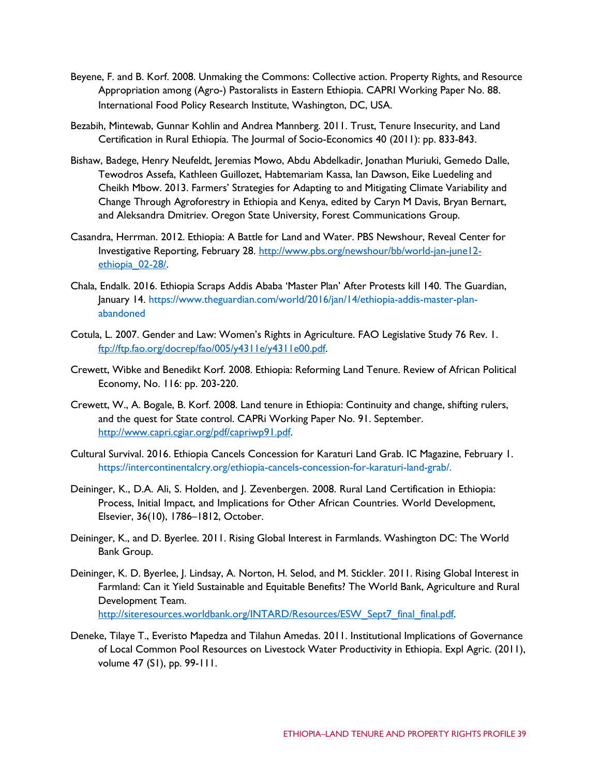- Beyene, F. and B. Korf. 2008. Unmaking the Commons: Collective action. Property Rights, and Resource Appropriation among (Agro-) Pastoralists in Eastern Ethiopia. CAPRI Working Paper No. 88. International Food Policy Research Institute, Washington, DC, USA.
- Bezabih, Mintewab, Gunnar Kohlin and Andrea Mannberg. 2011. Trust, Tenure Insecurity, and Land Certification in Rural Ethiopia. The Jourmal of Socio-Economics 40 (2011): pp. 833-843.
- Bishaw, Badege, Henry Neufeldt, Jeremias Mowo, Abdu Abdelkadir, Jonathan Muriuki, Gemedo Dalle, Tewodros Assefa, Kathleen Guillozet, Habtemariam Kassa, Ian Dawson, Eike Luedeling and Cheikh Mbow. 2013. Farmers' Strategies for Adapting to and Mitigating Climate Variability and Change Through Agroforestry in Ethiopia and Kenya, edited by Caryn M Davis, Bryan Bernart, and Aleksandra Dmitriev. Oregon State University, Forest Communications Group.
- Casandra, Herrman. 2012. Ethiopia: A Battle for Land and Water. PBS Newshour, Reveal Center for Investigative Reporting, February 28. [http://www.pbs.org/newshour/bb/world-jan-june12](http://www.pbs.org/newshour/bb/world-jan-june12-ethiopia_02-28/) [ethiopia\\_02-28/.](http://www.pbs.org/newshour/bb/world-jan-june12-ethiopia_02-28/)
- Chala, Endalk. 2016. Ethiopia Scraps Addis Ababa 'Master Plan' After Protests kill 140. The Guardian, January 14. http[s://www.theguardian.com/world/2016/jan/14/ethiopia-addis-master-plan](http://www.theguardian.com/world/2016/jan/14/ethiopia-addis-master-plan-)abandoned
- Cotula, L. 2007. Gender and Law: Women's Rights in Agriculture. FAO Legislative Study 76 Rev. 1. [ftp://ftp.fao.org/docrep/fao/005/y4311e/y4311e00.pdf.](ftp://ftp.fao.org/docrep/fao/005/y4311e/y4311e00.pdf)
- Crewett, Wibke and Benedikt Korf. 2008. Ethiopia: Reforming Land Tenure. Review of African Political Economy, No. 116: pp. 203-220.
- Crewett, W., A. Bogale, B. Korf. 2008. Land tenure in Ethiopia: Continuity and change, shifting rulers, and the quest for State control. CAPRi Working Paper No. 91. September. [http://www.capri.cgiar.org/pdf/capriwp91.pdf.](http://www.capri.cgiar.org/pdf/capriwp91.pdf)
- Cultural Survival. 2016. Ethiopia Cancels Concession for Karaturi Land Grab. IC Magazine, February 1. https://intercontinentalcry.org/ethiopia-cancels-concession-for-karaturi-land-grab/.
- Deininger, K., D.A. Ali, S. Holden, and J. Zevenbergen. 2008. Rural Land Certification in Ethiopia: Process, Initial Impact, and Implications for Other African Countries. World Development, Elsevier, 36(10), 1786–1812, October.
- Deininger, K., and D. Byerlee. 2011. Rising Global Interest in Farmlands. Washington DC: The World Bank Group.
- Deininger, K. D. Byerlee, J. Lindsay, A. Norton, H. Selod, and M. Stickler. 2011. Rising Global Interest in Farmland: Can it Yield Sustainable and Equitable Benefits? The World Bank, Agriculture and Rural Development Team.

[http://siteresources.worldbank.org/INTARD/Resources/ESW\\_Sept7\\_final\\_final.pdf.](http://siteresources.worldbank.org/INTARD/Resources/ESW_Sept7_final_final.pdf)

Deneke, Tilaye T., Everisto Mapedza and Tilahun Amedas. 2011. Institutional Implications of Governance of Local Common Pool Resources on Livestock Water Productivity in Ethiopia. Expl Agric. (2011), volume 47 (S1), pp. 99-111.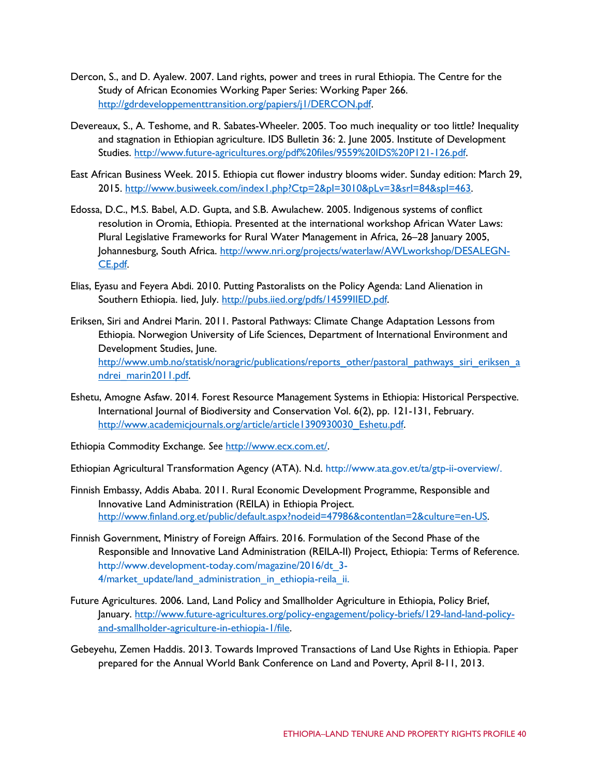- Dercon, S., and D. Ayalew. 2007. Land rights, power and trees in rural Ethiopia. The Centre for the Study of African Economies Working Paper Series: Working Paper 266. [http://gdrdeveloppementtransition.org/papiers/j1/DERCON.pdf.](http://gdrdeveloppementtransition.org/papiers/j1/DERCON.pdf)
- Devereaux, S., A. Teshome, and R. Sabates-Wheeler. 2005. Too much inequality or too little? Inequality and stagnation in Ethiopian agriculture. IDS Bulletin 36: 2. June 2005. Institute of Development Studies. [http://www.future-agricultures.org/pdf%20files/9559%20IDS%20P121-126.pdf.](http://www.future-agricultures.org/pdf%20files/9559%20IDS%20P121-126.pdf)
- East African Business Week. 2015. Ethiopia cut flower industry blooms wider. Sunday edition: March 29, 2015. [http://www.busiweek.com/index1.php?Ctp=2&pI=3010&pLv=3&srI=84&spI=463.](http://www.busiweek.com/index1.php?Ctp=2&pI=3010&pLv=3&srI=84&spI=463)
- Edossa, D.C., M.S. Babel, A.D. Gupta, and S.B. Awulachew. 2005. Indigenous systems of conflict resolution in Oromia, Ethiopia. Presented at the international workshop African Water Laws: Plural Legislative Frameworks for Rural Water Management in Africa, 26–28 January 2005, Johannesburg, South Africa. [http://www.nri.org/projects/waterlaw/AWLworkshop/DESALEGN-](http://www.nri.org/projects/waterlaw/AWLworkshop/DESALEGN-CE.pdf)[CE.pdf.](http://www.nri.org/projects/waterlaw/AWLworkshop/DESALEGN-CE.pdf)
- Elias, Eyasu and Feyera Abdi. 2010. Putting Pastoralists on the Policy Agenda: Land Alienation in Southern Ethiopia. lied, July. [http://pubs.iied.org/pdfs/14599IIED.pdf.](http://pubs.iied.org/pdfs/14599IIED.pdf)
- Eriksen, Siri and Andrei Marin. 2011. Pastoral Pathways: Climate Change Adaptation Lessons from Ethiopia. Norwegion University of Life Sciences, Department of International Environment and Development Studies, June. [http://www.umb.no/statisk/noragric/publications/reports\\_other/pastoral\\_pathways\\_siri\\_eriksen\\_a](http://www.umb.no/statisk/noragric/publications/reports_other/pastoral_pathways_siri_eriksen_andrei_marin2011.pdf) [ndrei\\_marin2011.pdf.](http://www.umb.no/statisk/noragric/publications/reports_other/pastoral_pathways_siri_eriksen_andrei_marin2011.pdf)
- Eshetu, Amogne Asfaw. 2014. Forest Resource Management Systems in Ethiopia: Historical Perspective. International Journal of Biodiversity and Conservation Vol. 6(2), pp. 121-131, February. [http://www.academicjournals.org/article/article1390930030\\_Eshetu.pdf.](http://www.academicjournals.org/article/article1390930030_Eshetu.pdf)
- Ethiopia Commodity Exchange. *See* [http://www.ecx.com.et/.](http://www.ecx.com.et/)
- Ethiopian Agricultural Transformation Agency (ATA). N.d. [http://www.ata.gov.et/ta/gtp-ii-overview/.](http://www.ata.gov.et/ta/gtp-ii-overview/)
- Finnish Embassy, Addis Ababa. 2011. Rural Economic Development Programme, Responsible and Innovative Land Administration (REILA) in Ethiopia Project. [http://www.finland.org.et/public/default.aspx?nodeid=47986&contentlan=2&culture=en-US.](http://www.finland.org.et/public/default.aspx?nodeid=47986&contentlan=2&culture=en-US)
- Finnish Government, Ministry of Foreign Affairs. 2016. Formulation of the Second Phase of the Responsible and Innovative Land Administration (REILA-II) Project, Ethiopia: Terms of Reference. [http://www.development-today.com/magazine/2016/dt\\_3-](http://www.development-today.com/magazine/2016/dt_3-) 4/market\_update/land\_administration\_in\_ethiopia-reila\_ii.
- Future Agricultures. 2006. Land, Land Policy and Smallholder Agriculture in Ethiopia, Policy Brief, January. [http://www.future-agricultures.org/policy-engagement/policy-briefs/129-land-land-policy](http://www.future-agricultures.org/policy-engagement/policy-briefs/129-land-land-policy-and-smallholder-agriculture-in-ethiopia-1/file)[and-smallholder-agriculture-in-ethiopia-1/file.](http://www.future-agricultures.org/policy-engagement/policy-briefs/129-land-land-policy-and-smallholder-agriculture-in-ethiopia-1/file)
- Gebeyehu, Zemen Haddis. 2013. Towards Improved Transactions of Land Use Rights in Ethiopia. Paper prepared for the Annual World Bank Conference on Land and Poverty, April 8-11, 2013.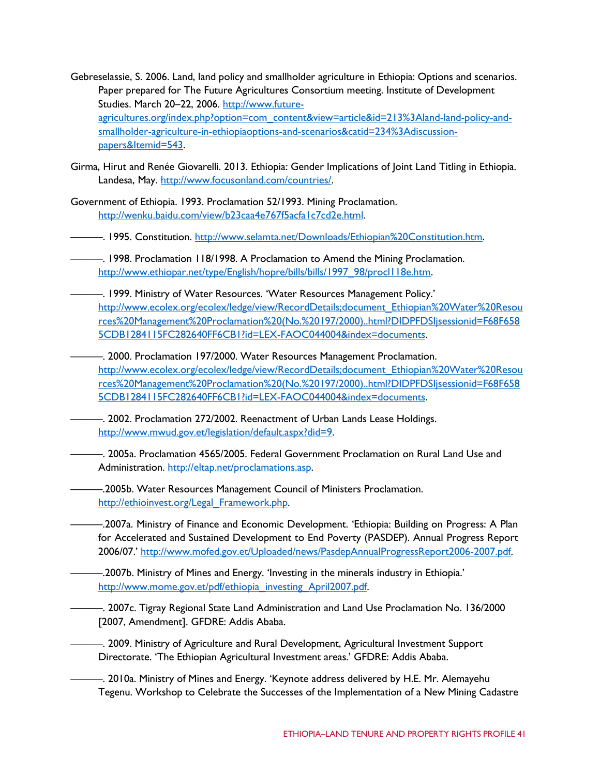- Gebreselassie, S. 2006. Land, land policy and smallholder agriculture in Ethiopia: Options and scenarios. Paper prepared for The Future Agricultures Consortium meeting. Institute of Development Studies. March 20–22, 2006. [http://www.future](http://www.future-agricultures.org/index.php?option=com_content&view=article&id=213%3Aland-land-policy-and-smallholder-agriculture-in-ethiopiaoptions-and-scenarios&catid=234%3Adiscussion-papers&Itemid=543)[agricultures.org/index.php?option=com\\_content&view=article&id=213%3Aland-land-policy-and](http://www.future-agricultures.org/index.php?option=com_content&view=article&id=213%3Aland-land-policy-and-smallholder-agriculture-in-ethiopiaoptions-and-scenarios&catid=234%3Adiscussion-papers&Itemid=543)[smallholder-agriculture-in-ethiopiaoptions-and-scenarios&catid=234%3Adiscussion](http://www.future-agricultures.org/index.php?option=com_content&view=article&id=213%3Aland-land-policy-and-smallholder-agriculture-in-ethiopiaoptions-and-scenarios&catid=234%3Adiscussion-papers&Itemid=543)[papers&Itemid=543.](http://www.future-agricultures.org/index.php?option=com_content&view=article&id=213%3Aland-land-policy-and-smallholder-agriculture-in-ethiopiaoptions-and-scenarios&catid=234%3Adiscussion-papers&Itemid=543)
- Girma, Hirut and Renée Giovarelli. 2013. Ethiopia: Gender Implications of Joint Land Titling in Ethiopia. Landesa, May. [http://www.focusonland.com/countries/.](http://www.focusonland.com/countries/)
- Government of Ethiopia. 1993. Proclamation 52/1993. Mining Proclamation. [http://wenku.baidu.com/view/b23caa4e767f5acfa1c7cd2e.html.](http://wenku.baidu.com/view/b23caa4e767f5acfa1c7cd2e.html)
- ———. 1995. Constitution. [http://www.selamta.net/Downloads/Ethiopian%20Constitution.htm.](http://www.selamta.net/Downloads/Ethiopian%20Constitution.htm)
- -. 1998. Proclamation 118/1998. A Proclamation to Amend the Mining Proclamation. [http://www.ethiopar.net/type/English/hopre/bills/bills/1997\\_98/procl118e.htm.](http://www.ethiopar.net/type/English/hopre/bills/bills/1997_98/procl118e.htm)
- ———. 1999. Ministry of Water Resources. 'Water Resources Management Policy.' [http://www.ecolex.org/ecolex/ledge/view/RecordDetails;document\\_Ethiopian%20Water%20Resou](http://www.ecolex.org/ecolex/ledge/view/RecordDetails%3Bdocument_Ethiopian%20Water%20Resources%20Management%20Proclamation%20(No.%20197/2000)..html?DIDPFDSIjsessionid=F68F6585CDB1284115FC282640FF6CB1%3Fid%3DLEX-FAOC044004&index=documents) [rces%20Management%20Proclamation%20\(No.%20197/2000\)..html?DIDPFDSIjsessionid=F68F658](http://www.ecolex.org/ecolex/ledge/view/RecordDetails%3Bdocument_Ethiopian%20Water%20Resources%20Management%20Proclamation%20(No.%20197/2000)..html?DIDPFDSIjsessionid=F68F6585CDB1284115FC282640FF6CB1%3Fid%3DLEX-FAOC044004&index=documents) [5CDB1284115FC282640FF6CB1?id=LEX-FAOC044004&index=documents.](http://www.ecolex.org/ecolex/ledge/view/RecordDetails%3Bdocument_Ethiopian%20Water%20Resources%20Management%20Proclamation%20(No.%20197/2000)..html?DIDPFDSIjsessionid=F68F6585CDB1284115FC282640FF6CB1%3Fid%3DLEX-FAOC044004&index=documents)
- ———. 2000. Proclamation 197/2000. Water Resources Management Proclamation. [http://www.ecolex.org/ecolex/ledge/view/RecordDetails;document\\_Ethiopian%20Water%20Resou](http://www.ecolex.org/ecolex/ledge/view/RecordDetails%3Bdocument_Ethiopian%20Water%20Resources%20Management%20Proclamation%20(No.%20197/2000)..html?DIDPFDSIjsessionid=F68F6585CDB1284115FC282640FF6CB1%3Fid%3DLEX-FAOC044004&index=documents) [rces%20Management%20Proclamation%20\(No.%20197/2000\)..html?DIDPFDSIjsessionid=F68F658](http://www.ecolex.org/ecolex/ledge/view/RecordDetails%3Bdocument_Ethiopian%20Water%20Resources%20Management%20Proclamation%20(No.%20197/2000)..html?DIDPFDSIjsessionid=F68F6585CDB1284115FC282640FF6CB1%3Fid%3DLEX-FAOC044004&index=documents) [5CDB1284115FC282640FF6CB1?id=LEX-FAOC044004&index=documents.](http://www.ecolex.org/ecolex/ledge/view/RecordDetails%3Bdocument_Ethiopian%20Water%20Resources%20Management%20Proclamation%20(No.%20197/2000)..html?DIDPFDSIjsessionid=F68F6585CDB1284115FC282640FF6CB1%3Fid%3DLEX-FAOC044004&index=documents)
	- $-$ . 2002. Proclamation 272/2002. Reenactment of Urban Lands Lease Holdings. [http://www.mwud.gov.et/legislation/default.aspx?did=9.](http://www.mwud.gov.et/legislation/default.aspx?did=9)
	- ———. 2005a. Proclamation 4565/2005. Federal Government Proclamation on Rural Land Use and Administration. [http://eltap.net/proclamations.asp.](http://eltap.net/proclamations.asp)
		- ———.2005b. Water Resources Management Council of Ministers Proclamation. [http://ethioinvest.org/Legal\\_Framework.php.](http://ethioinvest.org/Legal_Framework.php)
	- ———.2007a. Ministry of Finance and Economic Development. 'Ethiopia: Building on Progress: A Plan for Accelerated and Sustained Development to End Poverty (PASDEP). Annual Progress Report 2006/07.' [http://www.mofed.gov.et/Uploaded/news/PasdepAnnualProgressReport2006-2007.pdf.](http://www.mofed.gov.et/Uploaded/news/PasdepAnnualProgressReport2006-2007.pdf)
- ———.2007b. Ministry of Mines and Energy. 'Investing in the minerals industry in Ethiopia.' [http://www.mome.gov.et/pdf/ethiopia\\_investing\\_April2007.pdf.](http://www.mome.gov.et/pdf/ethiopia_investing_April2007.pdf)
	- ———. 2007c. Tigray Regional State Land Administration and Land Use Proclamation No. 136/2000 [2007, Amendment]. GFDRE: Addis Ababa.
- ———. 2009. Ministry of Agriculture and Rural Development, Agricultural Investment Support Directorate. 'The Ethiopian Agricultural Investment areas.' GFDRE: Addis Ababa.
- ———. 2010a. Ministry of Mines and Energy. 'Keynote address delivered by H.E. Mr. Alemayehu Tegenu. Workshop to Celebrate the Successes of the Implementation of a New Mining Cadastre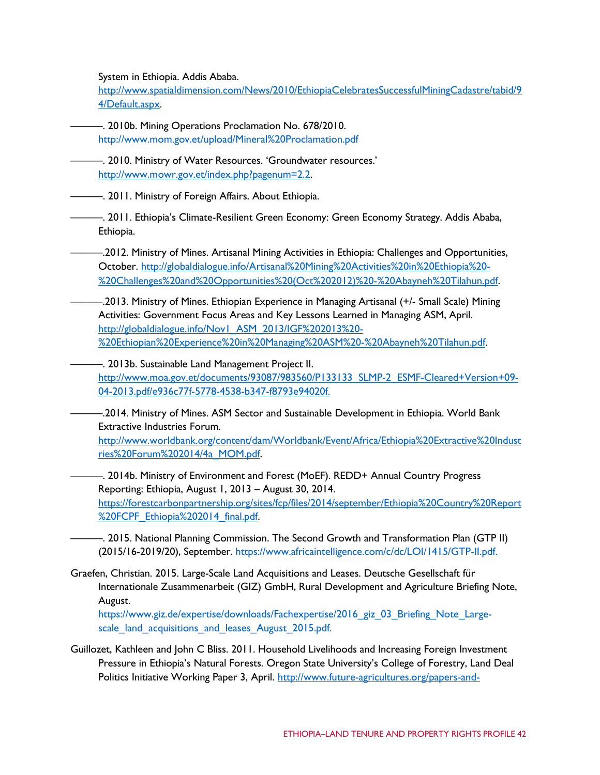System in Ethiopia. Addis Ababa.

[http://www.spatialdimension.com/News/2010/EthiopiaCelebratesSuccessfulMiningCadastre/tabid/9](http://www.spatialdimension.com/News/2010/EthiopiaCelebratesSuccessfulMiningCadastre/tabid/94/Default.aspx) [4/Default.aspx.](http://www.spatialdimension.com/News/2010/EthiopiaCelebratesSuccessfulMiningCadastre/tabid/94/Default.aspx)

- ———. 2010b. Mining Operations Proclamation No. 678/2010. <http://www.mom.gov.et/upload/Mineral%20Proclamation.pdf>
- -. 2010. Ministry of Water Resources. 'Groundwater resources.' [http://www.mowr.gov.et/index.php?pagenum=2.2.](http://www.mowr.gov.et/index.php?pagenum=2.2)
- ———. 2011. Ministry of Foreign Affairs. About Ethiopia.
- ———. 2011. Ethiopia's Climate-Resilient Green Economy: Green Economy Strategy. Addis Ababa, Ethiopia.
- ———.2012. Ministry of Mines. Artisanal Mining Activities in Ethiopia: Challenges and Opportunities, October. [http://globaldialogue.info/Artisanal%20Mining%20Activities%20in%20Ethiopia%20-](http://globaldialogue.info/Artisanal%20Mining%20Activities%20in%20Ethiopia%20-%20Challenges%20and%20Opportunities%20(Oct%202012)%20-%20Abayneh%20Tilahun.pdf) [%20Challenges%20and%20Opportunities%20\(Oct%202012\)%20-%20Abayneh%20Tilahun.pdf.](http://globaldialogue.info/Artisanal%20Mining%20Activities%20in%20Ethiopia%20-%20Challenges%20and%20Opportunities%20(Oct%202012)%20-%20Abayneh%20Tilahun.pdf)
- ———.2013. Ministry of Mines. Ethiopian Experience in Managing Artisanal (+/- Small Scale) Mining Activities: Government Focus Areas and Key Lessons Learned in Managing ASM, April. [http://globaldialogue.info/Nov1\\_ASM\\_2013/IGF%202013%20-](http://globaldialogue.info/Nov1_ASM_2013/IGF%202013%20-%20Ethiopian%20Experience%20in%20Managing%20ASM%20-%20Abayneh%20Tilahun.pdf) [%20Ethiopian%20Experience%20in%20Managing%20ASM%20-%20Abayneh%20Tilahun.pdf.](http://globaldialogue.info/Nov1_ASM_2013/IGF%202013%20-%20Ethiopian%20Experience%20in%20Managing%20ASM%20-%20Abayneh%20Tilahun.pdf)
- ———. 2013b. Sustainable Land Management Project II. [http://www.moa.gov.et/documents/93087/983560/P133133\\_SLMP-2\\_ESMF-Cleared+Version+09-](http://www.moa.gov.et/documents/93087/983560/P133133_SLMP-2_ESMF-Cleared%2BVersion%2B09-04-2013.pdf/e936c77f-5778-4538-b347-f8793e94020f) [04-2013.pdf/e936c77f-5778-4538-b347-f8793e94020f.](http://www.moa.gov.et/documents/93087/983560/P133133_SLMP-2_ESMF-Cleared%2BVersion%2B09-04-2013.pdf/e936c77f-5778-4538-b347-f8793e94020f)
- ———.2014. Ministry of Mines. ASM Sector and Sustainable Development in Ethiopia. World Bank Extractive Industries Forum. [http://www.worldbank.org/content/dam/Worldbank/Event/Africa/Ethiopia%20Extractive%20Indust](http://www.worldbank.org/content/dam/Worldbank/Event/Africa/Ethiopia%20Extractive%20Industries%20Forum%202014/4a_MOM.pdf) [ries%20Forum%202014/4a\\_MOM.pdf.](http://www.worldbank.org/content/dam/Worldbank/Event/Africa/Ethiopia%20Extractive%20Industries%20Forum%202014/4a_MOM.pdf)
	- -. 2014b. Ministry of Environment and Forest (MoEF). REDD+ Annual Country Progress Reporting: Ethiopia, August 1, 2013 – August 30, 2014. [https://forestcarbonpartnership.org/sites/fcp/files/2014/september/Ethiopia%20Country%20Report](https://forestcarbonpartnership.org/sites/fcp/files/2014/september/Ethiopia%20Country%20Report%20FCPF_Ethiopia%202014_final.pdf) [%20FCPF\\_Ethiopia%202014\\_final.pdf.](https://forestcarbonpartnership.org/sites/fcp/files/2014/september/Ethiopia%20Country%20Report%20FCPF_Ethiopia%202014_final.pdf)
- -. 2015. National Planning Commission. The Second Growth and Transformation Plan (GTP II) (2015/16-2019/20), September. https:/[/www.africaintelligence.com/c/dc/LOI/1415/GTP-II.pdf.](http://www.africaintelligence.com/c/dc/LOI/1415/GTP-II.pdf)
- Graefen, Christian. 2015. Large-Scale Land Acquisitions and Leases. Deutsche Gesellschaft für Internationale Zusammenarbeit (GIZ) GmbH, Rural Development and Agriculture Briefing Note, August.

https[://www.giz.de/expertise/downloads/Fachexpertise/2016\\_giz\\_03\\_Briefing\\_Note\\_Large](http://www.giz.de/expertise/downloads/Fachexpertise/2016_giz_03_Briefing_Note_Large-)scale\_land\_acquisitions\_and\_leases\_August\_2015.pdf.

Guillozet, Kathleen and John C Bliss. 2011. Household Livelihoods and Increasing Foreign Investment Pressure in Ethiopia's Natural Forests. Oregon State University's College of Forestry, Land Deal Politics Initiative Working Paper 3, April. [http://www.future-agricultures.org/papers-and-](http://www.future-agricultures.org/papers-and-presentations/conference-papers-2/1167-household-livelihoods-and-increasing-foreign-investment-pressure-in-ethiopia-s-natural-forests-1/file)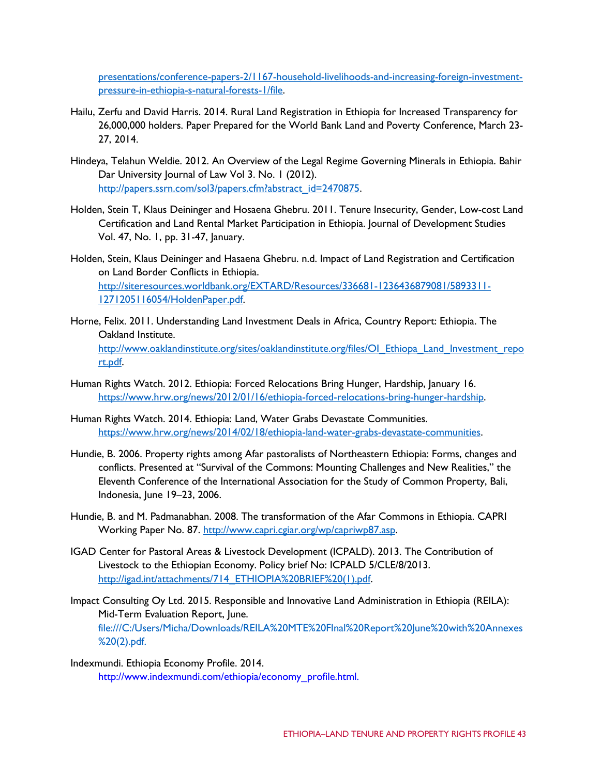[presentations/conference-papers-2/1167-household-livelihoods-and-increasing-foreign-investment](http://www.future-agricultures.org/papers-and-presentations/conference-papers-2/1167-household-livelihoods-and-increasing-foreign-investment-pressure-in-ethiopia-s-natural-forests-1/file)[pressure-in-ethiopia-s-natural-forests-1/file.](http://www.future-agricultures.org/papers-and-presentations/conference-papers-2/1167-household-livelihoods-and-increasing-foreign-investment-pressure-in-ethiopia-s-natural-forests-1/file)

- Hailu, Zerfu and David Harris. 2014. Rural Land Registration in Ethiopia for Increased Transparency for 26,000,000 holders. Paper Prepared for the World Bank Land and Poverty Conference, March 23- 27, 2014.
- Hindeya, Telahun Weldie. 2012. An Overview of the Legal Regime Governing Minerals in Ethiopia. Bahir Dar University Journal of Law Vol 3. No. 1 (2012). [http://papers.ssrn.com/sol3/papers.cfm?abstract\\_id=2470875.](http://papers.ssrn.com/sol3/papers.cfm?abstract_id=2470875)
- Holden, Stein T, Klaus Deininger and Hosaena Ghebru. 2011. Tenure Insecurity, Gender, Low-cost Land Certification and Land Rental Market Participation in Ethiopia. Journal of Development Studies Vol. 47, No. 1, pp. 31-47, January.
- Holden, Stein, Klaus Deininger and Hasaena Ghebru. n.d. Impact of Land Registration and Certification on Land Border Conflicts in Ethiopia. [http://siteresources.worldbank.org/EXTARD/Resources/336681-1236436879081/5893311-](http://siteresources.worldbank.org/EXTARD/Resources/336681-1236436879081/5893311-1271205116054/HoldenPaper.pdf) [1271205116054/HoldenPaper.pdf.](http://siteresources.worldbank.org/EXTARD/Resources/336681-1236436879081/5893311-1271205116054/HoldenPaper.pdf)
- Horne, Felix. 2011. Understanding Land Investment Deals in Africa, Country Report: Ethiopia. The Oakland Institute. [http://www.oaklandinstitute.org/sites/oaklandinstitute.org/files/OI\\_Ethiopa\\_Land\\_Investment\\_repo](http://www.oaklandinstitute.org/sites/oaklandinstitute.org/files/OI_Ethiopa_Land_Investment_report.pdf) [rt.pdf.](http://www.oaklandinstitute.org/sites/oaklandinstitute.org/files/OI_Ethiopa_Land_Investment_report.pdf)
- Human Rights Watch. 2012. Ethiopia: Forced Relocations Bring Hunger, Hardship, January 16. [https://www.hrw.org/news/2012/01/16/ethiopia-forced-relocations-bring-hunger-hardship.](https://www.hrw.org/news/2012/01/16/ethiopia-forced-relocations-bring-hunger-hardship)
- Human Rights Watch. 2014. Ethiopia: Land, Water Grabs Devastate Communities. [https://www.hrw.org/news/2014/02/18/ethiopia-land-water-grabs-devastate-communities.](https://www.hrw.org/news/2014/02/18/ethiopia-land-water-grabs-devastate-communities)
- Hundie, B. 2006. Property rights among Afar pastoralists of Northeastern Ethiopia: Forms, changes and conflicts. Presented at "Survival of the Commons: Mounting Challenges and New Realities," the Eleventh Conference of the International Association for the Study of Common Property, Bali, Indonesia, June 19–23, 2006.
- Hundie, B. and M. Padmanabhan. 2008. The transformation of the Afar Commons in Ethiopia. CAPRI Working Paper No. 87. [http://www.capri.cgiar.org/wp/capriwp87.asp.](http://www.capri.cgiar.org/wp/capriwp87.asp)
- IGAD Center for Pastoral Areas & Livestock Development (ICPALD). 2013. The Contribution of Livestock to the Ethiopian Economy. Policy brief No: ICPALD 5/CLE/8/2013. [http://igad.int/attachments/714\\_ETHIOPIA%20BRIEF%20\(1\).pdf.](http://igad.int/attachments/714_ETHIOPIA%20BRIEF%20(1).pdf)
- Impact Consulting Oy Ltd. 2015. Responsible and Innovative Land Administration in Ethiopia (REILA): Mid-Term Evaluation Report, June. file:///C:/Users/Micha/Downloads/REILA%20MTE%20FInal%20Report%20June%20with%20Annexes %20(2).pdf.
- Indexmundi. Ethiopia Economy Profile. 2014. [http://www.indexmundi.com/ethiopia/economy\\_profile.html.](http://www.indexmundi.com/ethiopia/economy_profile.html)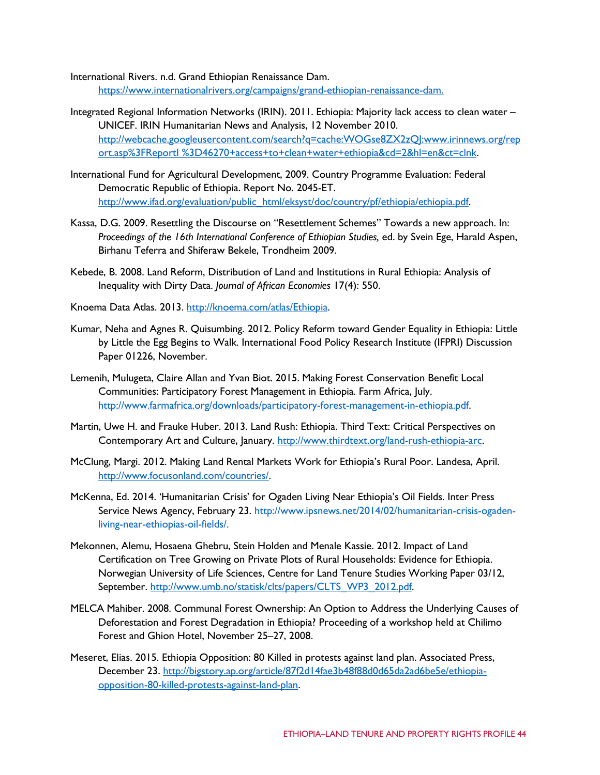International Rivers. n.d. Grand Ethiopian Renaissance Dam. [https://www.internationalrivers.org/campaigns/grand-ethiopian-renaissance-dam.](https://www.internationalrivers.org/campaigns/grand-ethiopian-renaissance-dam)

- Integrated Regional Information Networks (IRIN). 2011. Ethiopia: Majority lack access to clean water UNICEF. IRIN Humanitarian News and Analysis, 12 November 2010. http://webcache.googleusercontent.com/search?q=cache:WOGse8ZX2zQJ[:www.irinnews.org/rep](http://www.irinnews.org/rep) ort.asp%3FReportI %3D46270+access+to+clean+water+ethiopia&cd=2&hl=en&ct=clnk.
- International Fund for Agricultural Development, 2009. Country Programme Evaluation: Federal Democratic Republic of Ethiopia. Report No. 2045-ET. [http://www.ifad.org/evaluation/public\\_html/eksyst/doc/country/pf/ethiopia/ethiopia.pdf.](http://www.ifad.org/evaluation/public_html/eksyst/doc/country/pf/ethiopia/ethiopia.pdf)
- Kassa, D.G. 2009. Resettling the Discourse on "Resettlement Schemes" Towards a new approach. In: *Proceedings of the 16th International Conference of Ethiopian Studies,* ed. by Svein Ege, Harald Aspen, Birhanu Teferra and Shiferaw Bekele, Trondheim 2009.
- Kebede, B. 2008. Land Reform, Distribution of Land and Institutions in Rural Ethiopia: Analysis of Inequality with Dirty Data. *Journal of African Economies* 17(4): 550.
- Knoema Data Atlas. 2013. [http://knoema.com/atlas/Ethiopia.](http://knoema.com/atlas/Ethiopia)
- Kumar, Neha and Agnes R. Quisumbing. 2012. Policy Reform toward Gender Equality in Ethiopia: Little by Little the Egg Begins to Walk. International Food Policy Research Institute (IFPRI) Discussion Paper 01226, November.
- Lemenih, Mulugeta, Claire Allan and Yvan Biot. 2015. Making Forest Conservation Benefit Local Communities: Participatory Forest Management in Ethiopia. Farm Africa, July. [http://www.farmafrica.org/downloads/participatory-forest-management-in-ethiopia.pdf.](http://www.farmafrica.org/downloads/participatory-forest-management-in-ethiopia.pdf)
- Martin, Uwe H. and Frauke Huber. 2013. Land Rush: Ethiopia. Third Text: Critical Perspectives on Contemporary Art and Culture, January. [http://www.thirdtext.org/land-rush-ethiopia-arc.](http://www.thirdtext.org/land-rush-ethiopia-arc)
- McClung, Margi. 2012. Making Land Rental Markets Work for Ethiopia's Rural Poor. Landesa, April. [http://www.focusonland.com/countries/.](http://www.focusonland.com/countries/)
- McKenna, Ed. 2014. 'Humanitarian Crisis' for Ogaden Living Near Ethiopia's Oil Fields. Inter Press Service News Agency, February 23. [http://www.ipsnews.net/2014/02/humanitarian-crisis-ogaden](http://www.ipsnews.net/2014/02/humanitarian-crisis-ogaden-)living-near-ethiopias-oil-fields/.
- Mekonnen, Alemu, Hosaena Ghebru, Stein Holden and Menale Kassie. 2012. Impact of Land Certification on Tree Growing on Private Plots of Rural Households: Evidence for Ethiopia. Norwegian University of Life Sciences, Centre for Land Tenure Studies Working Paper 03/12, September. [http://www.umb.no/statisk/clts/papers/CLTS\\_WP3\\_2012.pdf.](http://www.umb.no/statisk/clts/papers/CLTS_WP3_2012.pdf)
- MELCA Mahiber. 2008. Communal Forest Ownership: An Option to Address the Underlying Causes of Deforestation and Forest Degradation in Ethiopia? Proceeding of a workshop held at Chilimo Forest and Ghion Hotel, November 25–27, 2008.
- Meseret, Elias. 2015. Ethiopia Opposition: 80 Killed in protests against land plan. Associated Press, December 23. [http://bigstory.ap.org/article/87f2d14fae3b48f88d0d65da2ad6be5e/ethiopia](http://bigstory.ap.org/article/87f2d14fae3b48f88d0d65da2ad6be5e/ethiopia-opposition-80-killed-protests-against-land-plan)[opposition-80-killed-protests-against-land-plan.](http://bigstory.ap.org/article/87f2d14fae3b48f88d0d65da2ad6be5e/ethiopia-opposition-80-killed-protests-against-land-plan)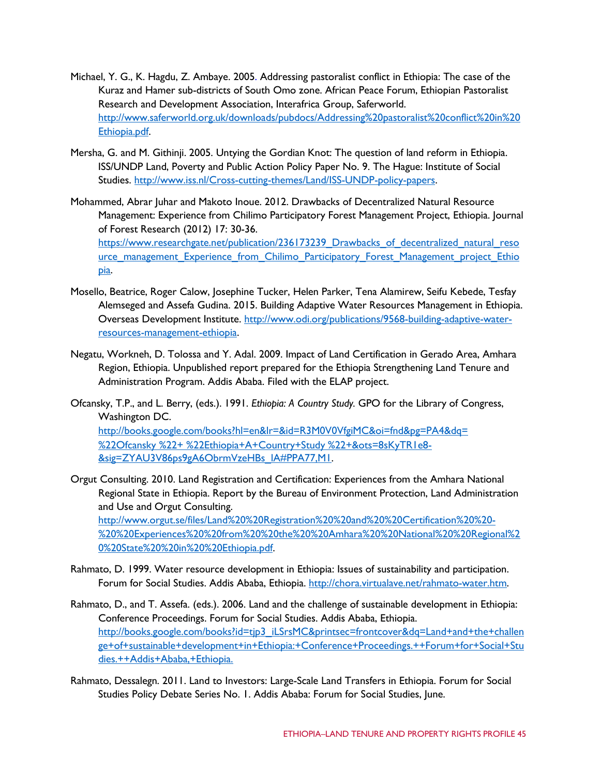- Michael, Y. G., K. Hagdu, Z. Ambaye. 2005. Addressing pastoralist conflict in Ethiopia: The case of the Kuraz and Hamer sub-districts of South Omo zone. African Peace Forum, Ethiopian Pastoralist Research and Development Association, Interafrica Group, Saferworld. [http://www.saferworld.org.uk/downloads/pubdocs/Addressing%20pastoralist%20conflict%20in%20](http://www.saferworld.org.uk/downloads/pubdocs/Addressing%20pastoralist%20conflict%20in%20Ethiopia.pdf) [Ethiopia.pdf.](http://www.saferworld.org.uk/downloads/pubdocs/Addressing%20pastoralist%20conflict%20in%20Ethiopia.pdf)
- Mersha, G. and M. Githinji. 2005. Untying the Gordian Knot: The question of land reform in Ethiopia. ISS/UNDP Land, Poverty and Public Action Policy Paper No. 9. The Hague: Institute of Social Studies. [http://www.iss.nl/Cross-cutting-themes/Land/ISS-UNDP-policy-papers.](http://www.iss.nl/Cross-cutting-themes/Land/ISS-UNDP-policy-papers)
- Mohammed, Abrar Juhar and Makoto Inoue. 2012. Drawbacks of Decentralized Natural Resource Management: Experience from Chilimo Participatory Forest Management Project, Ethiopia. Journal of Forest Research (2012) 17: 30-36. [https://www.researchgate.net/publication/236173239\\_Drawbacks\\_of\\_decentralized\\_natural\\_reso](https://www.researchgate.net/publication/236173239_Drawbacks_of_decentralized_natural_resource_management_Experience_from_Chilimo_Participatory_Forest_Management_project_Ethiopia) urce management Experience from Chilimo Participatory Forest Management project Ethio [pia.](https://www.researchgate.net/publication/236173239_Drawbacks_of_decentralized_natural_resource_management_Experience_from_Chilimo_Participatory_Forest_Management_project_Ethiopia)
- Mosello, Beatrice, Roger Calow, Josephine Tucker, Helen Parker, Tena Alamirew, Seifu Kebede, Tesfay Alemseged and Assefa Gudina. 2015. Building Adaptive Water Resources Management in Ethiopia. Overseas Development Institute. [http://www.odi.org/publications/9568-building-adaptive-water](http://www.odi.org/publications/9568-building-adaptive-water-resources-management-ethiopia)[resources-management-ethiopia.](http://www.odi.org/publications/9568-building-adaptive-water-resources-management-ethiopia)
- Negatu, Workneh, D. Tolossa and Y. Adal. 2009. Impact of Land Certification in Gerado Area, Amhara Region, Ethiopia. Unpublished report prepared for the Ethiopia Strengthening Land Tenure and Administration Program. Addis Ababa. Filed with the ELAP project.
- Ofcansky, T.P., and L. Berry, (eds.). 1991. *Ethiopia: A Country Study.* GPO for the Library of Congress, Washington DC. [http://books.google.com/books?hl=en&lr=&id=R3M0V0VfgiMC&oi=fnd&pg=PA4&dq=](http://books.google.com/books?hl=en&lr&id=R3M0V0VfgiMC&oi=fnd&pg=PA4&dq=%20%22Ofcansky%20%22%2B%20%22Ethiopia%2BA%2BCountry%2BStudy%20%22%2B&ots=8sKyTR1e8-&sig=ZYAU3V86ps9gA6ObrmVzeHBs_lA%23PPA77%2CM1) %22Ofcansky %22+ [%22Ethiopia+A+Country+Study](http://books.google.com/books?hl=en&lr&id=R3M0V0VfgiMC&oi=fnd&pg=PA4&dq=%20%22Ofcansky%20%22%2B%20%22Ethiopia%2BA%2BCountry%2BStudy%20%22%2B&ots=8sKyTR1e8-&sig=ZYAU3V86ps9gA6ObrmVzeHBs_lA%23PPA77%2CM1) %22+&ots=8sKyTR1e8- [&sig=ZYAU3V86ps9gA6ObrmVzeHBs\\_lA#PPA77,M1.](http://books.google.com/books?hl=en&lr&id=R3M0V0VfgiMC&oi=fnd&pg=PA4&dq=%20%22Ofcansky%20%22%2B%20%22Ethiopia%2BA%2BCountry%2BStudy%20%22%2B&ots=8sKyTR1e8-&sig=ZYAU3V86ps9gA6ObrmVzeHBs_lA%23PPA77%2CM1)
- Orgut Consulting. 2010. Land Registration and Certification: Experiences from the Amhara National Regional State in Ethiopia. Report by the Bureau of Environment Protection, Land Administration and Use and Orgut Consulting. [http://www.orgut.se/files/Land%20%20Registration%20%20and%20%20Certification%20%20-](http://www.orgut.se/files/Land%20%20Registration%20%20and%20%20Certification%20%20-%20%20Experiences%20%20from%20%20the%20%20Amhara%20%20National%20%20Regional%20%20State%20%20in%20%20Ethiopia.pdf) [%20%20Experiences%20%20from%20%20the%20%20Amhara%20%20National%20%20Regional%2](http://www.orgut.se/files/Land%20%20Registration%20%20and%20%20Certification%20%20-%20%20Experiences%20%20from%20%20the%20%20Amhara%20%20National%20%20Regional%20%20State%20%20in%20%20Ethiopia.pdf) [0%20State%20%20in%20%20Ethiopia.pdf.](http://www.orgut.se/files/Land%20%20Registration%20%20and%20%20Certification%20%20-%20%20Experiences%20%20from%20%20the%20%20Amhara%20%20National%20%20Regional%20%20State%20%20in%20%20Ethiopia.pdf)
- Rahmato, D. 1999. Water resource development in Ethiopia: Issues of sustainability and participation. Forum for Social Studies. Addis Ababa, Ethiopia. [http://chora.virtualave.net/rahmato-water.htm.](http://chora.virtualave.net/rahmato-water.htm)
- Rahmato, D., and T. Assefa. (eds.). 2006. Land and the challenge of sustainable development in Ethiopia: Conference Proceedings. Forum for Social Studies. Addis Ababa, Ethiopia. [http://books.google.com/books?id=tjp3\\_iLSrsMC&printsec=frontcover&dq=Land+and+the+challen](http://books.google.com/books?id=tjp3_iLSrsMC&printsec=frontcover&dq=Land%2Band%2Bthe%2Bchallenge%2Bof%2Bsustainable%2Bdevelopment%2Bin%2BEthiopia%3A%2BConference%2BProceedings.%2B%2BForum%2Bfor%2BSocial%2BStudies.%2B%2BAddis%2BAbaba%2C%2BEthiopia) [ge+of+sustainable+development+in+Ethiopia:+Conference+Proceedings.++Forum+for+Social+Stu](http://books.google.com/books?id=tjp3_iLSrsMC&printsec=frontcover&dq=Land%2Band%2Bthe%2Bchallenge%2Bof%2Bsustainable%2Bdevelopment%2Bin%2BEthiopia%3A%2BConference%2BProceedings.%2B%2BForum%2Bfor%2BSocial%2BStudies.%2B%2BAddis%2BAbaba%2C%2BEthiopia) [dies.++Addis+Ababa,+Ethiopia.](http://books.google.com/books?id=tjp3_iLSrsMC&printsec=frontcover&dq=Land%2Band%2Bthe%2Bchallenge%2Bof%2Bsustainable%2Bdevelopment%2Bin%2BEthiopia%3A%2BConference%2BProceedings.%2B%2BForum%2Bfor%2BSocial%2BStudies.%2B%2BAddis%2BAbaba%2C%2BEthiopia)
- Rahmato, Dessalegn. 2011. Land to Investors: Large-Scale Land Transfers in Ethiopia. Forum for Social Studies Policy Debate Series No. 1. Addis Ababa: Forum for Social Studies, June.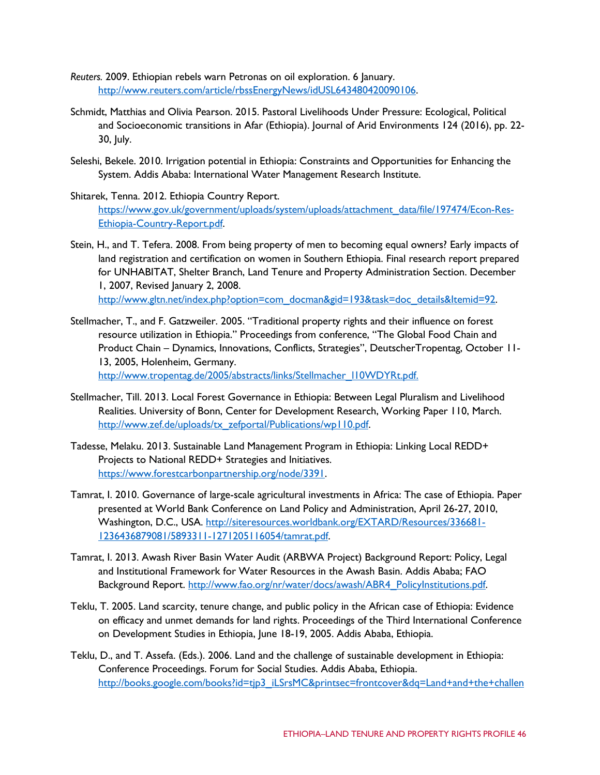- *Reuters.* 2009. Ethiopian rebels warn Petronas on oil exploration. 6 January. [http://www.reuters.com/article/rbssEnergyNews/idUSL643480420090106.](http://www.reuters.com/article/rbssEnergyNews/idUSL643480420090106)
- Schmidt, Matthias and Olivia Pearson. 2015. Pastoral Livelihoods Under Pressure: Ecological, Political and Socioeconomic transitions in Afar (Ethiopia). Journal of Arid Environments 124 (2016), pp. 22- 30, July.
- Seleshi, Bekele. 2010. Irrigation potential in Ethiopia: Constraints and Opportunities for Enhancing the System. Addis Ababa: International Water Management Research Institute.
- Shitarek, Tenna. 2012. Ethiopia Country Report. [https://www.gov.uk/government/uploads/system/uploads/attachment\\_data/file/197474/Econ-Res-](https://www.gov.uk/government/uploads/system/uploads/attachment_data/file/197474/Econ-Res-Ethiopia-Country-Report.pdf)[Ethiopia-Country-Report.pdf.](https://www.gov.uk/government/uploads/system/uploads/attachment_data/file/197474/Econ-Res-Ethiopia-Country-Report.pdf)
- Stein, H., and T. Tefera. 2008. From being property of men to becoming equal owners? Early impacts of land registration and certification on women in Southern Ethiopia. Final research report prepared for UNHABITAT, Shelter Branch, Land Tenure and Property Administration Section. December 1, 2007, Revised January 2, 2008. [http://www.gltn.net/index.php?option=com\\_docman&gid=193&task=doc\\_details&Itemid=92.](http://www.gltn.net/index.php?option=com_docman&gid=193&task=doc_details&Itemid=92)
- Stellmacher, T., and F. Gatzweiler. 2005. "Traditional property rights and their influence on forest resource utilization in Ethiopia." Proceedings from conference, "The Global Food Chain and Product Chain – Dynamics, Innovations, Conflicts, Strategies", DeutscherTropentag, October 11- 13, 2005, Holenheim, Germany. [http://www.tropentag.de/2005/abstracts/links/Stellmacher\\_l10WDYRt.pdf.](http://www.tropentag.de/2005/abstracts/links/Stellmacher_l10WDYRt.pdf)
- Stellmacher, Till. 2013. Local Forest Governance in Ethiopia: Between Legal Pluralism and Livelihood Realities. University of Bonn, Center for Development Research, Working Paper 110, March. [http://www.zef.de/uploads/tx\\_zefportal/Publications/wp110.pdf.](http://www.zef.de/uploads/tx_zefportal/Publications/wp110.pdf)
- Tadesse, Melaku. 2013. Sustainable Land Management Program in Ethiopia: Linking Local REDD+ Projects to National REDD+ Strategies and Initiatives. [https://www.forestcarbonpartnership.org/node/3391.](https://www.forestcarbonpartnership.org/node/3391)
- Tamrat, I. 2010. Governance of large-scale agricultural investments in Africa: The case of Ethiopia. Paper presented at World Bank Conference on Land Policy and Administration, April 26-27, 2010, Washington, D.C., USA. [http://siteresources.worldbank.org/EXTARD/Resources/336681-](http://siteresources.worldbank.org/EXTARD/Resources/336681-1236436879081/5893311-1271205116054/tamrat.pdf) [1236436879081/5893311-1271205116054/tamrat.pdf.](http://siteresources.worldbank.org/EXTARD/Resources/336681-1236436879081/5893311-1271205116054/tamrat.pdf)
- Tamrat, I. 2013. Awash River Basin Water Audit (ARBWA Project) Background Report: Policy, Legal and Institutional Framework for Water Resources in the Awash Basin. Addis Ababa; FAO Background Report. [http://www.fao.org/nr/water/docs/awash/ABR4\\_PolicyInstitutions.pdf.](http://www.fao.org/nr/water/docs/awash/ABR4_PolicyInstitutions.pdf)
- Teklu, T. 2005. Land scarcity, tenure change, and public policy in the African case of Ethiopia: Evidence on efficacy and unmet demands for land rights. Proceedings of the Third International Conference on Development Studies in Ethiopia, June 18-19, 2005. Addis Ababa, Ethiopia.
- Teklu, D., and T. Assefa. (Eds.). 2006. Land and the challenge of sustainable development in Ethiopia: Conference Proceedings. Forum for Social Studies. Addis Ababa, Ethiopia. [http://books.google.com/books?id=tjp3\\_iLSrsMC&printsec=frontcover&dq=Land+and+the+challen](http://books.google.com/books?id=tjp3_iLSrsMC&printsec=frontcover&dq=Land%2Band%2Bthe%2Bchallenge%2Bof%2Bsustainable%2Bdevelopment%2Bin%2BEthiopia%3A%2BConference%2BProceedings.%2B%2BForum%2Bfor%2BSocial%2BStudies.%2B%2BAddis%2BAbaba%2C%2BEthiopia)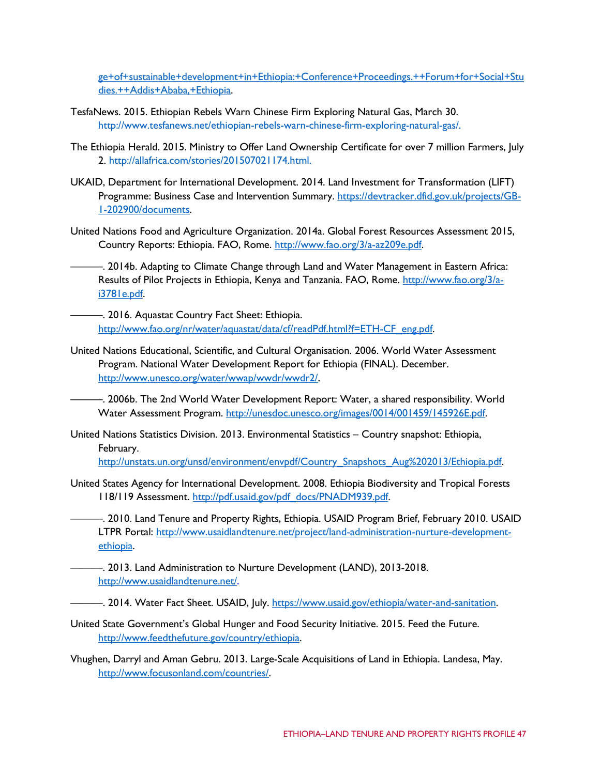[ge+of+sustainable+development+in+Ethiopia:+Conference+Proceedings.++Forum+for+Social+Stu](http://books.google.com/books?id=tjp3_iLSrsMC&printsec=frontcover&dq=Land%2Band%2Bthe%2Bchallenge%2Bof%2Bsustainable%2Bdevelopment%2Bin%2BEthiopia%3A%2BConference%2BProceedings.%2B%2BForum%2Bfor%2BSocial%2BStudies.%2B%2BAddis%2BAbaba%2C%2BEthiopia) [dies.++Addis+Ababa,+Ethiopia.](http://books.google.com/books?id=tjp3_iLSrsMC&printsec=frontcover&dq=Land%2Band%2Bthe%2Bchallenge%2Bof%2Bsustainable%2Bdevelopment%2Bin%2BEthiopia%3A%2BConference%2BProceedings.%2B%2BForum%2Bfor%2BSocial%2BStudies.%2B%2BAddis%2BAbaba%2C%2BEthiopia)

- TesfaNews. 2015. Ethiopian Rebels Warn Chinese Firm Exploring Natural Gas, March 30. [http://www.tesfanews.net/ethiopian-rebels-warn-chinese-firm-exploring-natural-gas/.](http://www.tesfanews.net/ethiopian-rebels-warn-chinese-firm-exploring-natural-gas/)
- The Ethiopia Herald. 2015. Ministry to Offer Land Ownership Certificate for over 7 million Farmers, July 2. [http://allafrica.com/stories/201507021174.html.](http://allafrica.com/stories/201507021174.html)
- UKAID, Department for International Development. 2014. Land Investment for Transformation (LIFT) Programme: Business Case and Intervention Summary. [https://devtracker.dfid.gov.uk/projects/GB-](https://devtracker.dfid.gov.uk/projects/GB-1-202900/documents)[1-202900/documents.](https://devtracker.dfid.gov.uk/projects/GB-1-202900/documents)
- United Nations Food and Agriculture Organization. 2014a. Global Forest Resources Assessment 2015, Country Reports: Ethiopia. FAO, Rome. [http://www.fao.org/3/a-az209e.pdf.](http://www.fao.org/3/a-az209e.pdf)

———. 2014b. Adapting to Climate Change through Land and Water Management in Eastern Africa: Results of Pilot Projects in Ethiopia, Kenya and Tanzania. FAO, Rome. [http://www.fao.org/3/a](http://www.fao.org/3/a-i3781e.pdf)[i3781e.pdf.](http://www.fao.org/3/a-i3781e.pdf)

———. 2016. Aquastat Country Fact Sheet: Ethiopia. [http://www.fao.org/nr/water/aquastat/data/cf/readPdf.html?f=ETH-CF\\_eng.pdf.](http://www.fao.org/nr/water/aquastat/data/cf/readPdf.html?f=ETH-CF_eng.pdf)

United Nations Educational, Scientific, and Cultural Organisation. 2006. World Water Assessment Program. National Water Development Report for Ethiopia (FINAL). December. [http://www.unesco.org/water/wwap/wwdr/wwdr2/.](http://www.unesco.org/water/wwap/wwdr/wwdr2/)

———. 2006b. The 2nd World Water Development Report: Water, a shared responsibility. World Water Assessment Program. [http://unesdoc.unesco.org/images/0014/001459/145926E.pdf.](http://unesdoc.unesco.org/images/0014/001459/145926E.pdf)

United Nations Statistics Division. 2013. Environmental Statistics – Country snapshot: Ethiopia, February.

[http://unstats.un.org/unsd/environment/envpdf/Country\\_Snapshots\\_Aug%202013/Ethiopia.pdf.](http://unstats.un.org/unsd/environment/envpdf/Country_Snapshots_Aug%202013/Ethiopia.pdf)

United States Agency for International Development. 2008. Ethiopia Biodiversity and Tropical Forests 118/119 Assessment. [http://pdf.usaid.gov/pdf\\_docs/PNADM939.pdf.](http://pdf.usaid.gov/pdf_docs/PNADM939.pdf)

———. 2010. Land Tenure and Property Rights, Ethiopia. USAID Program Brief, February 2010. USAID LTPR Portal: [http://www.usaidlandtenure.net/project/land-administration-nurture-development](http://www.usaidlandtenure.net/project/land-administration-nurture-development-ethiopia)[ethiopia.](http://www.usaidlandtenure.net/project/land-administration-nurture-development-ethiopia)

———. 2013. Land Administration to Nurture Development (LAND), 2013-2018. [http://www.usaidlandtenure.net/.](http://www.usaidlandtenure.net/)

- 2014. Water Fact Sheet. USAID, July. [https://www.usaid.gov/ethiopia/water-and-sanitation.](https://www.usaid.gov/ethiopia/water-and-sanitation)

United State Government's Global Hunger and Food Security Initiative. 2015. Feed the Future. [http://www.feedthefuture.gov/country/ethiopia.](http://www.feedthefuture.gov/country/ethiopia)

Vhughen, Darryl and Aman Gebru. 2013. Large-Scale Acquisitions of Land in Ethiopia. Landesa, May. [http://www.focusonland.com/countries/.](http://www.focusonland.com/countries/)